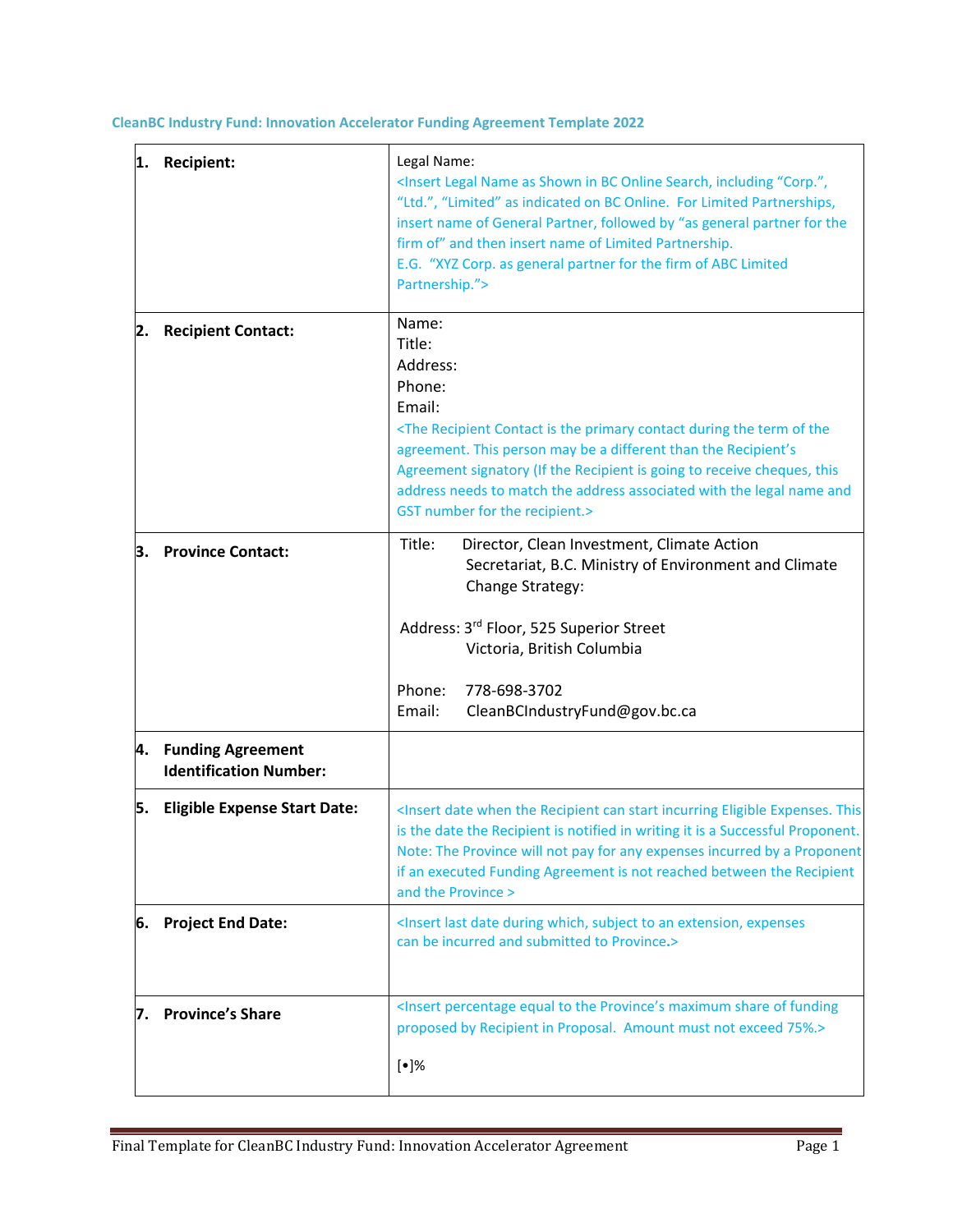**CleanBC Industry Fund: Innovation Accelerator Funding Agreement Template 2022**

| 1. | <b>Recipient:</b>                                     | Legal Name:<br><insert "corp.",<br="" as="" bc="" in="" including="" legal="" name="" online="" search,="" shown="">"Ltd.", "Limited" as indicated on BC Online. For Limited Partnerships,<br/>insert name of General Partner, followed by "as general partner for the<br/>firm of" and then insert name of Limited Partnership.<br/>E.G. "XYZ Corp. as general partner for the firm of ABC Limited<br/>Partnership."&gt;</insert> |  |  |
|----|-------------------------------------------------------|------------------------------------------------------------------------------------------------------------------------------------------------------------------------------------------------------------------------------------------------------------------------------------------------------------------------------------------------------------------------------------------------------------------------------------|--|--|
| 2. | <b>Recipient Contact:</b>                             | Name:<br>Title:<br>Address:<br>Phone:<br>Email:<br><the contact="" during="" is="" of="" primary="" recipient="" term="" the="" the<br="">agreement. This person may be a different than the Recipient's<br/>Agreement signatory (If the Recipient is going to receive cheques, this<br/>address needs to match the address associated with the legal name and<br/>GST number for the recipient.&gt;</the>                         |  |  |
|    | 3. Province Contact:                                  | Title:<br>Director, Clean Investment, Climate Action<br>Secretariat, B.C. Ministry of Environment and Climate<br>Change Strategy:<br>Address: 3rd Floor, 525 Superior Street<br>Victoria, British Columbia<br>Phone:<br>778-698-3702<br>Email:<br>CleanBCIndustryFund@gov.bc.ca                                                                                                                                                    |  |  |
|    | 4. Funding Agreement<br><b>Identification Number:</b> |                                                                                                                                                                                                                                                                                                                                                                                                                                    |  |  |
| 5. | <b>Eligible Expense Start Date:</b>                   | <insert can="" date="" eligible="" expenses.="" incurring="" recipient="" start="" the="" this<br="" when="">is the date the Recipient is notified in writing it is a Successful Proponent.<br/>Note: The Province will not pay for any expenses incurred by a Proponent<br/>if an executed Funding Agreement is not reached between the Recipient<br/>and the Province &gt;</insert>                                              |  |  |
|    | 6. Project End Date:                                  | <insert an="" date="" during="" expenses<br="" extension,="" last="" subject="" to="" which,="">can be incurred and submitted to Province.&gt;</insert>                                                                                                                                                                                                                                                                            |  |  |
| 7. | <b>Province's Share</b>                               | <insert equal="" funding<br="" maximum="" of="" percentage="" province's="" share="" the="" to="">proposed by Recipient in Proposal. Amount must not exceed 75%.&gt;<br/><math>[•]\%</math></insert>                                                                                                                                                                                                                               |  |  |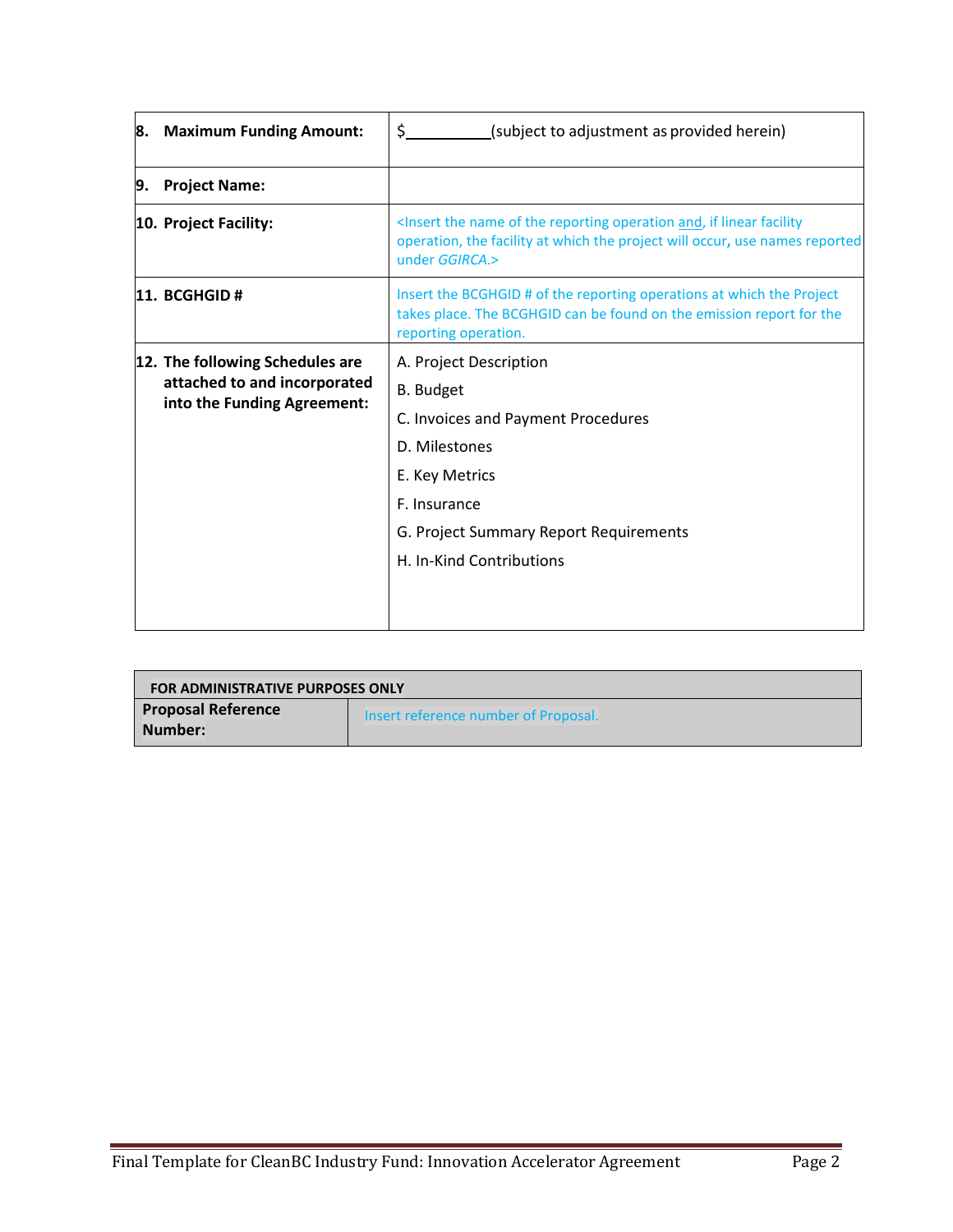|    | 8. Maximum Funding Amount:                                                                     | \$<br>(subject to adjustment as provided herein)                                                                                                                                                         |  |  |  |
|----|------------------------------------------------------------------------------------------------|----------------------------------------------------------------------------------------------------------------------------------------------------------------------------------------------------------|--|--|--|
| 9. | <b>Project Name:</b>                                                                           |                                                                                                                                                                                                          |  |  |  |
|    | 10. Project Facility:                                                                          | <insert and,="" facility<br="" if="" linear="" name="" of="" operation="" reporting="" the="">operation, the facility at which the project will occur, use names reported<br/>under GGIRCA.&gt;</insert> |  |  |  |
|    | 11. BCGHGD #                                                                                   | Insert the BCGHGID # of the reporting operations at which the Project<br>takes place. The BCGHGID can be found on the emission report for the<br>reporting operation.                                    |  |  |  |
|    | 12. The following Schedules are<br>attached to and incorporated<br>into the Funding Agreement: | A. Project Description                                                                                                                                                                                   |  |  |  |
|    |                                                                                                | <b>B.</b> Budget                                                                                                                                                                                         |  |  |  |
|    |                                                                                                | C. Invoices and Payment Procedures                                                                                                                                                                       |  |  |  |
|    |                                                                                                | D. Milestones                                                                                                                                                                                            |  |  |  |
|    |                                                                                                | E. Key Metrics                                                                                                                                                                                           |  |  |  |
|    |                                                                                                | F. Insurance                                                                                                                                                                                             |  |  |  |
|    |                                                                                                | G. Project Summary Report Requirements                                                                                                                                                                   |  |  |  |
|    |                                                                                                | H. In-Kind Contributions                                                                                                                                                                                 |  |  |  |
|    |                                                                                                |                                                                                                                                                                                                          |  |  |  |

| <b>FOR ADMINISTRATIVE PURPOSES ONLY</b> |                                      |  |  |  |  |
|-----------------------------------------|--------------------------------------|--|--|--|--|
| <b>Proposal Reference</b><br>Number:    | Insert reference number of Proposal. |  |  |  |  |
|                                         |                                      |  |  |  |  |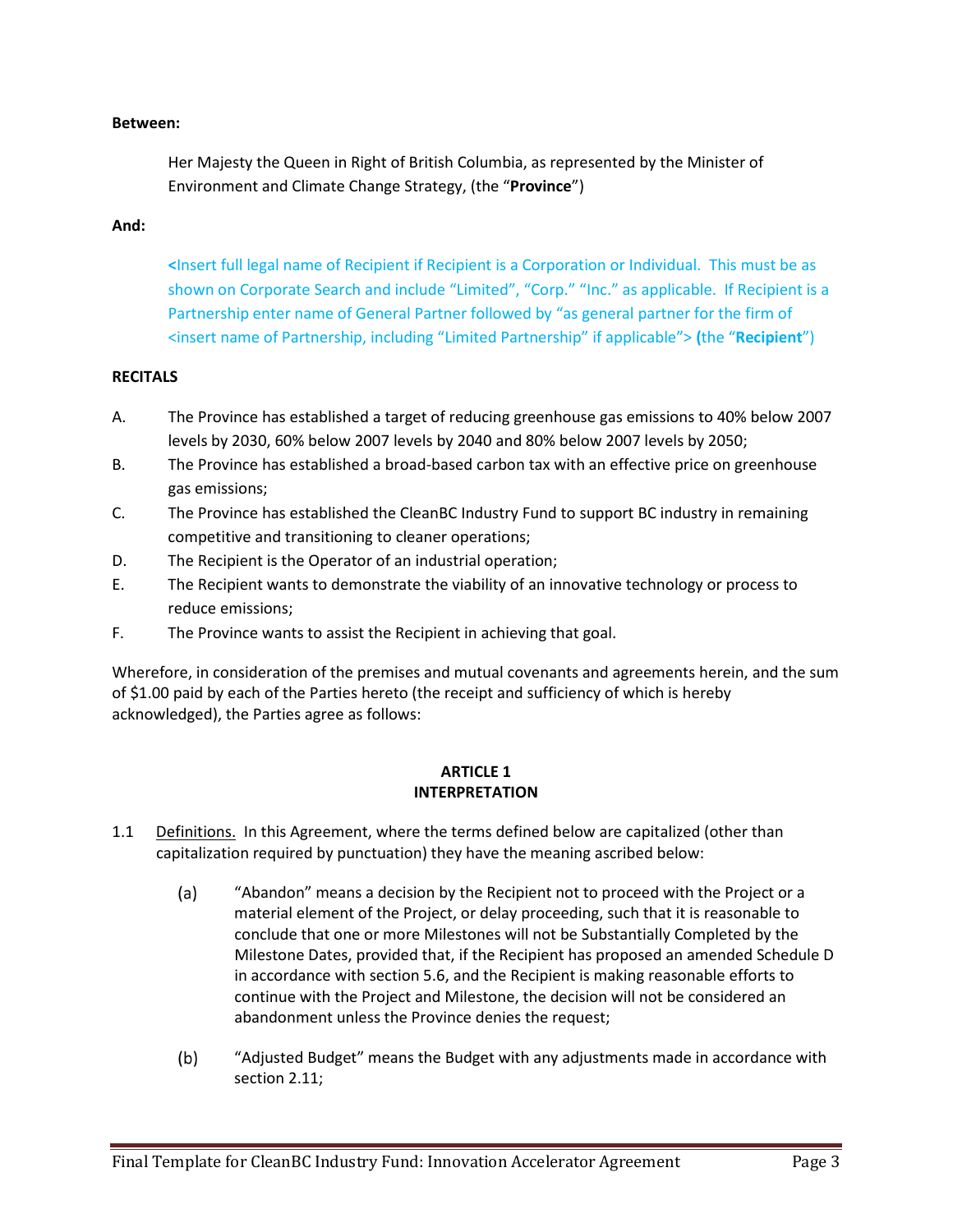#### **Between:**

Her Majesty the Queen in Right of British Columbia, as represented by the Minister of Environment and Climate Change Strategy, (the "**Province**")

#### **And:**

**<**Insert full legal name of Recipient if Recipient is a Corporation or Individual. This must be as shown on Corporate Search and include "Limited", "Corp." "Inc." as applicable. If Recipient is a Partnership enter name of General Partner followed by "as general partner for the firm of <insert name of Partnership, including "Limited Partnership" if applicable"> **(**the "**Recipient**")

### **RECITALS**

- A. The Province has established a target of reducing greenhouse gas emissions to 40% below 2007 levels by 2030, 60% below 2007 levels by 2040 and 80% below 2007 levels by 2050;
- B. The Province has established a broad-based carbon tax with an effective price on greenhouse gas emissions;
- C. The Province has established the CleanBC Industry Fund to support BC industry in remaining competitive and transitioning to cleaner operations;
- D. The Recipient is the Operator of an industrial operation;
- E. The Recipient wants to demonstrate the viability of an innovative technology or process to reduce emissions;
- F. The Province wants to assist the Recipient in achieving that goal.

Wherefore, in consideration of the premises and mutual covenants and agreements herein, and the sum of \$1.00 paid by each of the Parties hereto (the receipt and sufficiency of which is hereby acknowledged), the Parties agree as follows:

#### **ARTICLE 1 INTERPRETATION**

- 1.1 Definitions. In this Agreement, where the terms defined below are capitalized (other than capitalization required by punctuation) they have the meaning ascribed below:
	- $(a)$ "Abandon" means a decision by the Recipient not to proceed with the Project or a material element of the Project, or delay proceeding, such that it is reasonable to conclude that one or more Milestones will not be Substantially Completed by the Milestone Dates, provided that, if the Recipient has proposed an amended Schedule D in accordance with section 5.6, and the Recipient is making reasonable efforts to continue with the Project and Milestone, the decision will not be considered an abandonment unless the Province denies the request;
	- $(b)$ "Adjusted Budget" means the Budget with any adjustments made in accordance with section 2.11;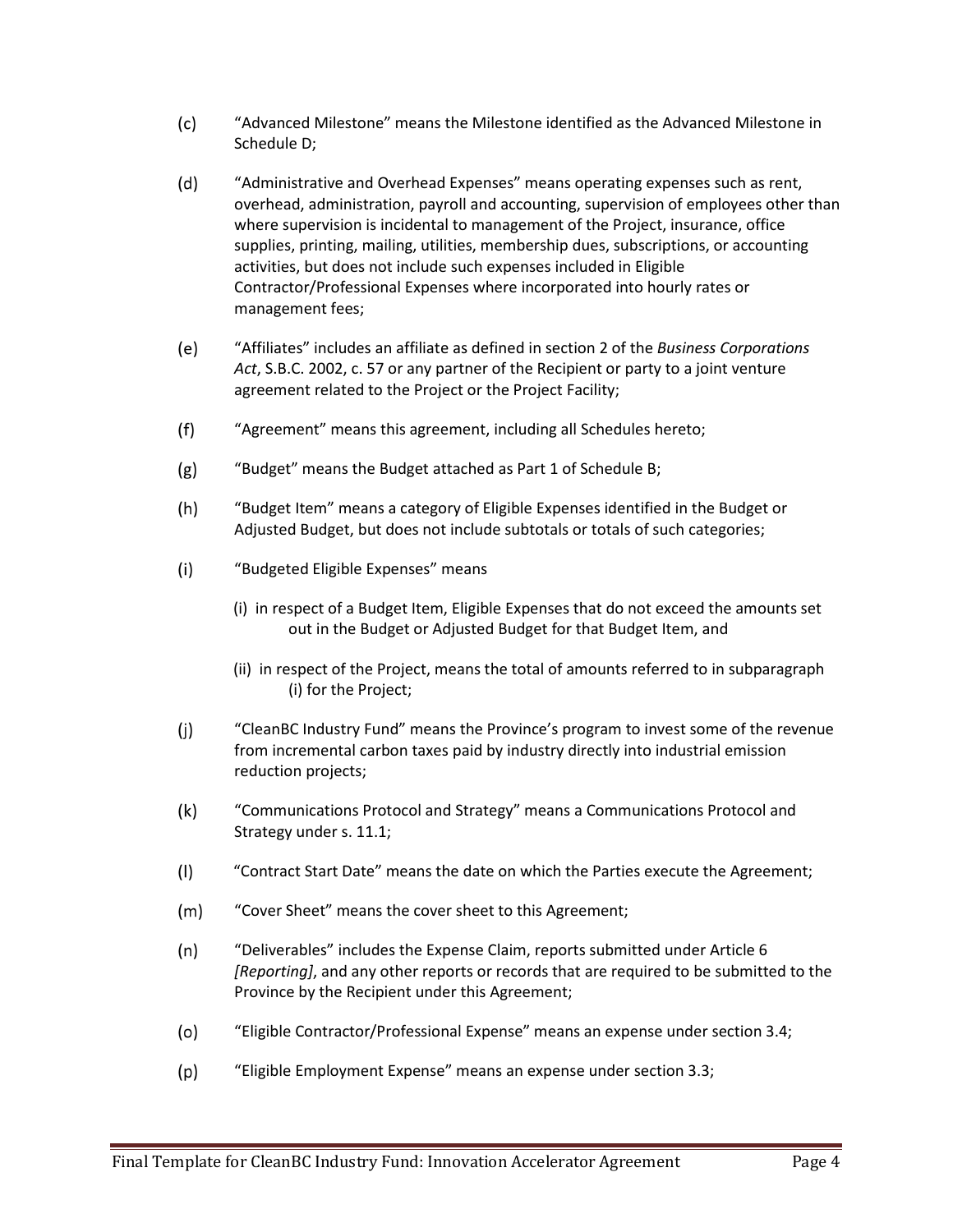- $(c)$ "Advanced Milestone" means the Milestone identified as the Advanced Milestone in Schedule D;
- $(d)$ "Administrative and Overhead Expenses" means operating expenses such as rent, overhead, administration, payroll and accounting, supervision of employees other than where supervision is incidental to management of the Project, insurance, office supplies, printing, mailing, utilities, membership dues, subscriptions, or accounting activities, but does not include such expenses included in Eligible Contractor/Professional Expenses where incorporated into hourly rates or management fees;
- $(e)$ "Affiliates" includes an affiliate as defined in section 2 of the *Business Corporations Act*, S.B.C. 2002, c. 57 or any partner of the Recipient or party to a joint venture agreement related to the Project or the Project Facility;
- $(f)$ "Agreement" means this agreement, including all Schedules hereto;
- $(g)$ "Budget" means the Budget attached as Part 1 of Schedule B;
- $(h)$ "Budget Item" means a category of Eligible Expenses identified in the Budget or Adjusted Budget, but does not include subtotals or totals of such categories;
- "Budgeted Eligible Expenses" means  $(i)$ 
	- (i) in respect of a Budget Item, Eligible Expenses that do not exceed the amounts set out in the Budget or Adjusted Budget for that Budget Item, and
	- (ii) in respect of the Project, means the total of amounts referred to in subparagraph (i) for the Project;
- $(i)$ "CleanBC Industry Fund" means the Province's program to invest some of the revenue from incremental carbon taxes paid by industry directly into industrial emission reduction projects;
- $(k)$ "Communications Protocol and Strategy" means a Communications Protocol and Strategy under s. 11.1;
- $(1)$ "Contract Start Date" means the date on which the Parties execute the Agreement;
- $(m)$ "Cover Sheet" means the cover sheet to this Agreement;
- $(n)$ "Deliverables" includes the Expense Claim, reports submitted under Article 6 *[Reporting]*, and any other reports or records that are required to be submitted to the Province by the Recipient under this Agreement;
- "Eligible Contractor/Professional Expense" means an expense under section 3.4;  $(o)$
- $(p)$ "Eligible Employment Expense" means an expense under section 3.3;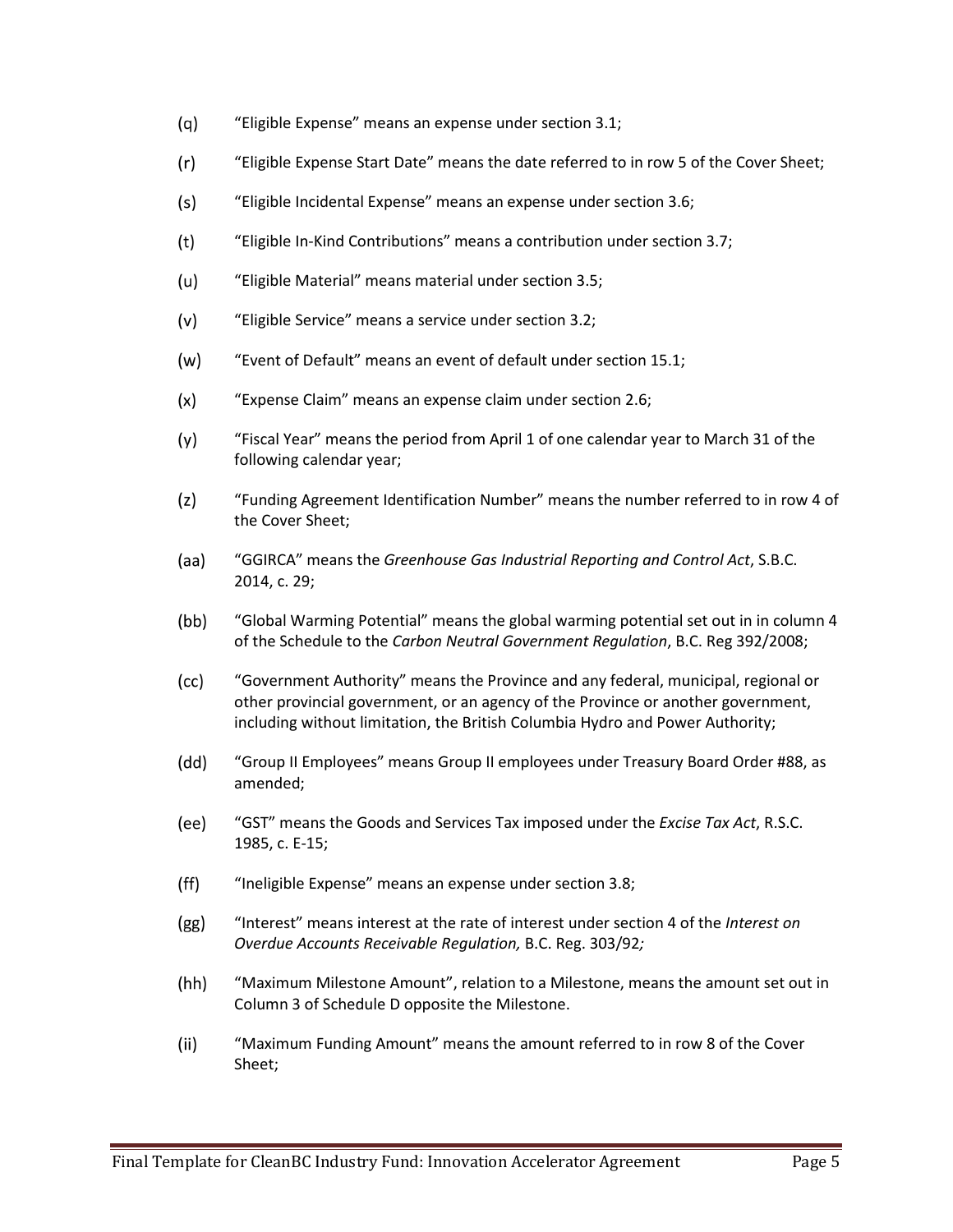- $(q)$ "Eligible Expense" means an expense under section 3.1;
- $(r)$ "Eligible Expense Start Date" means the date referred to in row 5 of the Cover Sheet;
- $(s)$ "Eligible Incidental Expense" means an expense under section 3.6;
- $(t)$ "Eligible In-Kind Contributions" means a contribution under section 3.7;
- $(u)$ "Eligible Material" means material under section 3.5;
- "Eligible Service" means a service under section 3.2;  $(v)$
- $(w)$ "Event of Default" means an event of default under section 15.1;
- "Expense Claim" means an expense claim under section 2.6;  $(x)$
- "Fiscal Year" means the period from April 1 of one calendar year to March 31 of the  $(y)$ following calendar year;
- $(z)$ "Funding Agreement Identification Number" means the number referred to in row 4 of the Cover Sheet;
- (aa) "GGIRCA" means the *Greenhouse Gas Industrial Reporting and Control Act*, S.B.C. 2014, c. 29;
- $(bb)$ "Global Warming Potential" means the global warming potential set out in in column 4 of the Schedule to the *Carbon Neutral Government Regulation*, B.C. Reg 392/2008;
- $(cc)$ "Government Authority" means the Province and any federal, municipal, regional or other provincial government, or an agency of the Province or another government, including without limitation, the British Columbia Hydro and Power Authority;
- $(dd)$ "Group II Employees" means Group II employees under Treasury Board Order #88, as amended;
- $(ee)$ "GST" means the Goods and Services Tax imposed under the *Excise Tax Act*, R.S.C. 1985, c. E-15;
- $(ff)$ "Ineligible Expense" means an expense under section 3.8;
- $(gg)$ "Interest" means interest at the rate of interest under section 4 of the *Interest on Overdue Accounts Receivable Regulation,* B.C. Reg. 303/92*;*
- $(hh)$ "Maximum Milestone Amount", relation to a Milestone, means the amount set out in Column 3 of Schedule D opposite the Milestone.
- $(ii)$ "Maximum Funding Amount" means the amount referred to in row 8 of the Cover Sheet;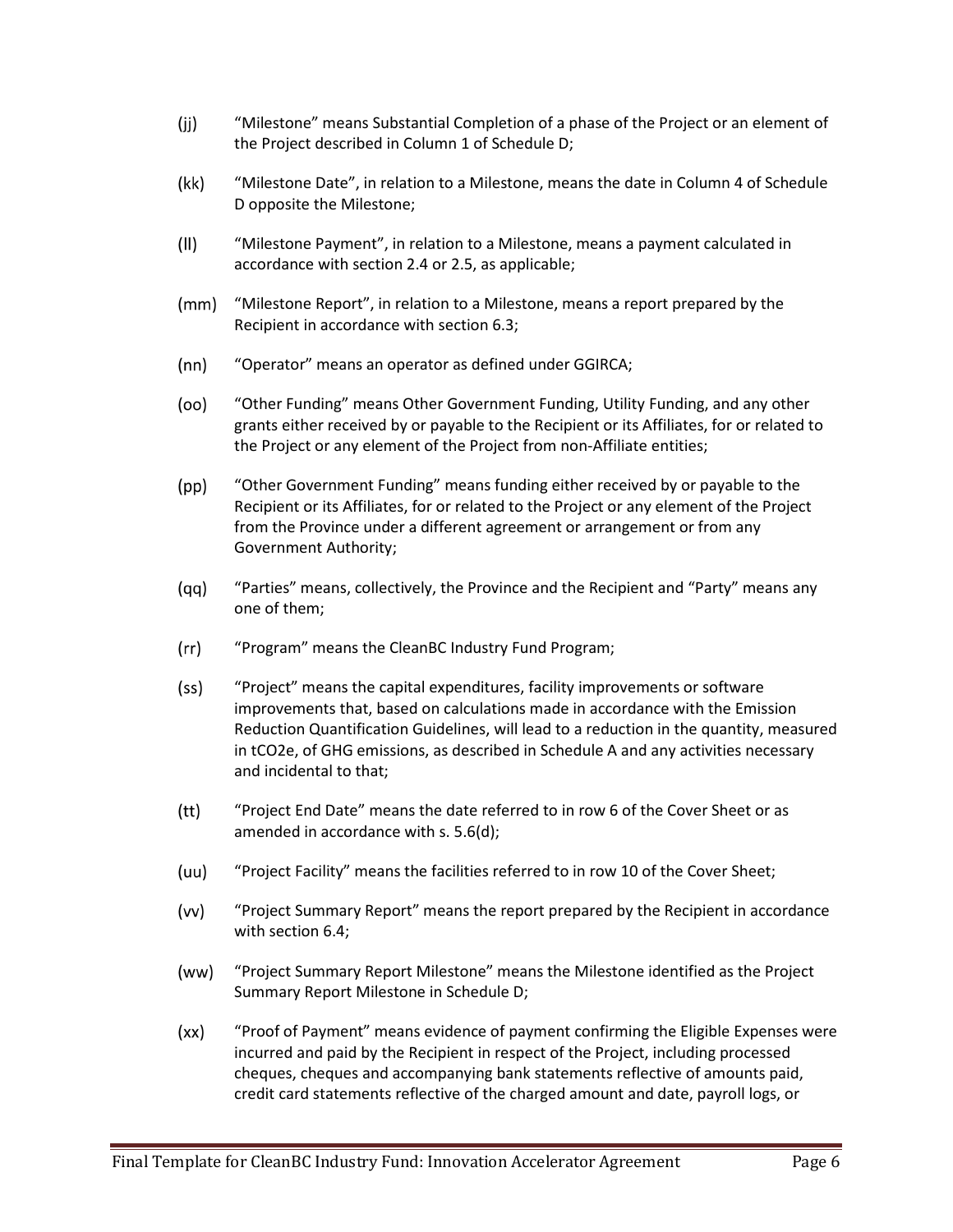- $(i)$ "Milestone" means Substantial Completion of a phase of the Project or an element of the Project described in Column 1 of Schedule D;
- $(kk)$ "Milestone Date", in relation to a Milestone, means the date in Column 4 of Schedule D opposite the Milestone;
- $(11)$ "Milestone Payment", in relation to a Milestone, means a payment calculated in accordance with section 2.4 or 2.5, as applicable;
- $(mm)$ "Milestone Report", in relation to a Milestone, means a report prepared by the Recipient in accordance with section 6.3;
- $(nn)$ "Operator" means an operator as defined under GGIRCA;
- (oo) "Other Funding" means Other Government Funding, Utility Funding, and any other grants either received by or payable to the Recipient or its Affiliates, for or related to the Project or any element of the Project from non-Affiliate entities;
- $(pp)$ "Other Government Funding" means funding either received by or payable to the Recipient or its Affiliates, for or related to the Project or any element of the Project from the Province under a different agreement or arrangement or from any Government Authority;
- $(qq)$ "Parties" means, collectively, the Province and the Recipient and "Party" means any one of them;
- $(rr)$ "Program" means the CleanBC Industry Fund Program;
- $(s<sub>S</sub>)$ "Project" means the capital expenditures, facility improvements or software improvements that, based on calculations made in accordance with the Emission Reduction Quantification Guidelines, will lead to a reduction in the quantity, measured in tCO2e, of GHG emissions, as described in Schedule A and any activities necessary and incidental to that;
- $(tt)$ "Project End Date" means the date referred to in row 6 of the Cover Sheet or as amended in accordance with s. 5.6(d);
- $(uu)$ "Project Facility" means the facilities referred to in row 10 of the Cover Sheet;
- $(vv)$ "Project Summary Report" means the report prepared by the Recipient in accordance with section 6.4;
- (ww) "Project Summary Report Milestone" means the Milestone identified as the Project Summary Report Milestone in Schedule D;
- "Proof of Payment" means evidence of payment confirming the Eligible Expenses were  $(xx)$ incurred and paid by the Recipient in respect of the Project, including processed cheques, cheques and accompanying bank statements reflective of amounts paid, credit card statements reflective of the charged amount and date, payroll logs, or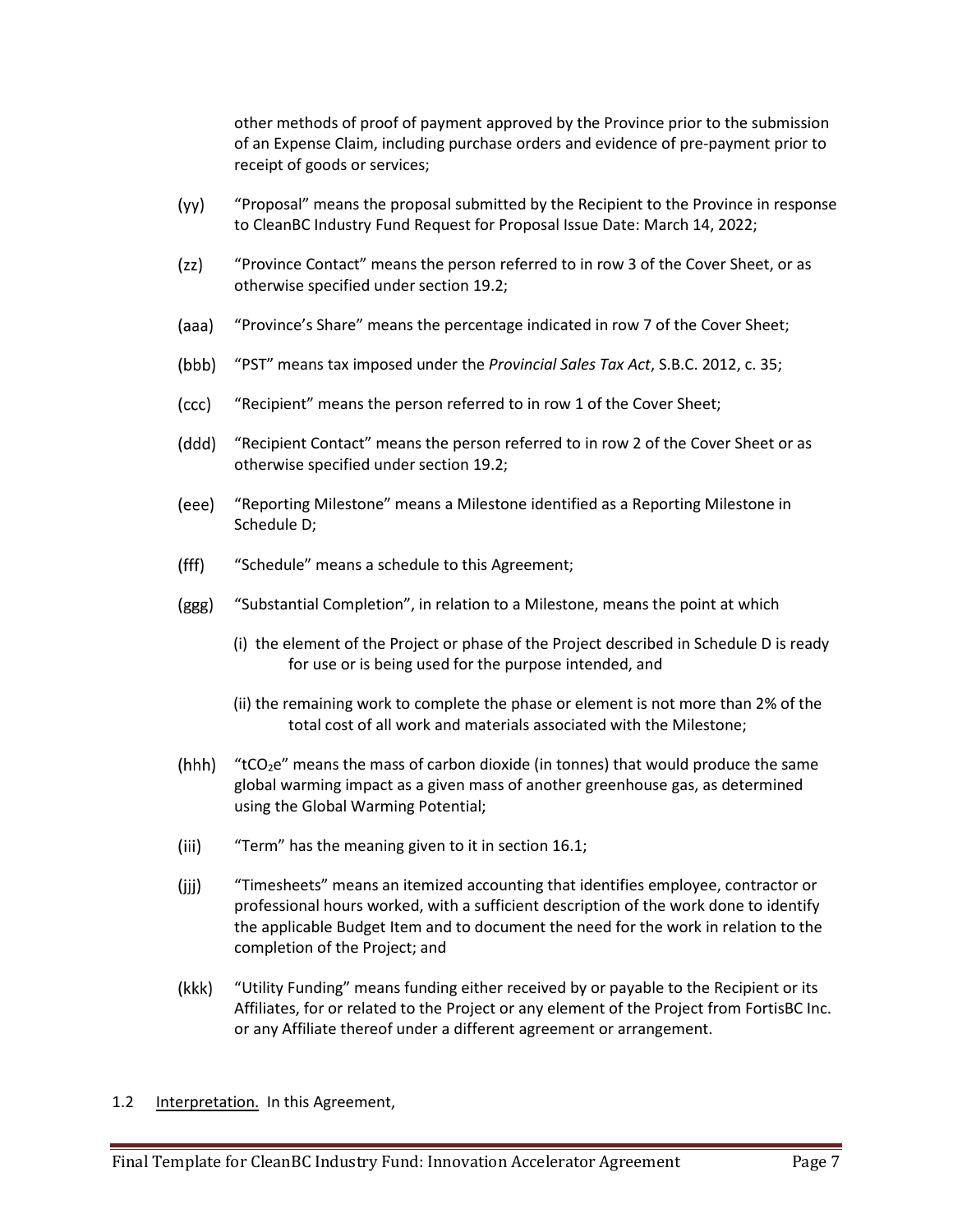other methods of proof of payment approved by the Province prior to the submission of an Expense Claim, including purchase orders and evidence of pre-payment prior to receipt of goods or services;

- $(yy)$ "Proposal" means the proposal submitted by the Recipient to the Province in response to CleanBC Industry Fund Request for Proposal Issue Date: March 14, 2022;
- $(zz)$ "Province Contact" means the person referred to in row 3 of the Cover Sheet, or as otherwise specified under section 19.2;
- (aaa) "Province's Share" means the percentage indicated in row 7 of the Cover Sheet;
- (bbb) "PST" means tax imposed under the *Provincial Sales Tax Act*, S.B.C. 2012, c. 35;
- $(ccc)$ "Recipient" means the person referred to in row 1 of the Cover Sheet;
- (ddd) "Recipient Contact" means the person referred to in row 2 of the Cover Sheet or as otherwise specified under section 19.2;
- (eee) "Reporting Milestone" means a Milestone identified as a Reporting Milestone in Schedule D;
- $(fff)$ "Schedule" means a schedule to this Agreement;
- (ggg) "Substantial Completion", in relation to a Milestone, means the point at which
	- (i) the element of the Project or phase of the Project described in Schedule D is ready for use or is being used for the purpose intended, and
	- (ii) the remaining work to complete the phase or element is not more than 2% of the total cost of all work and materials associated with the Milestone;
- (hhh) "tCO<sub>2</sub>e" means the mass of carbon dioxide (in tonnes) that would produce the same global warming impact as a given mass of another greenhouse gas, as determined using the Global Warming Potential;
- $(iii)$ "Term" has the meaning given to it in section 16.1;
- $(iii)$ "Timesheets" means an itemized accounting that identifies employee, contractor or professional hours worked, with a sufficient description of the work done to identify the applicable Budget Item and to document the need for the work in relation to the completion of the Project; and
- "Utility Funding" means funding either received by or payable to the Recipient or its (kkk) Affiliates, for or related to the Project or any element of the Project from FortisBC Inc. or any Affiliate thereof under a different agreement or arrangement.
- 1.2 Interpretation. In this Agreement,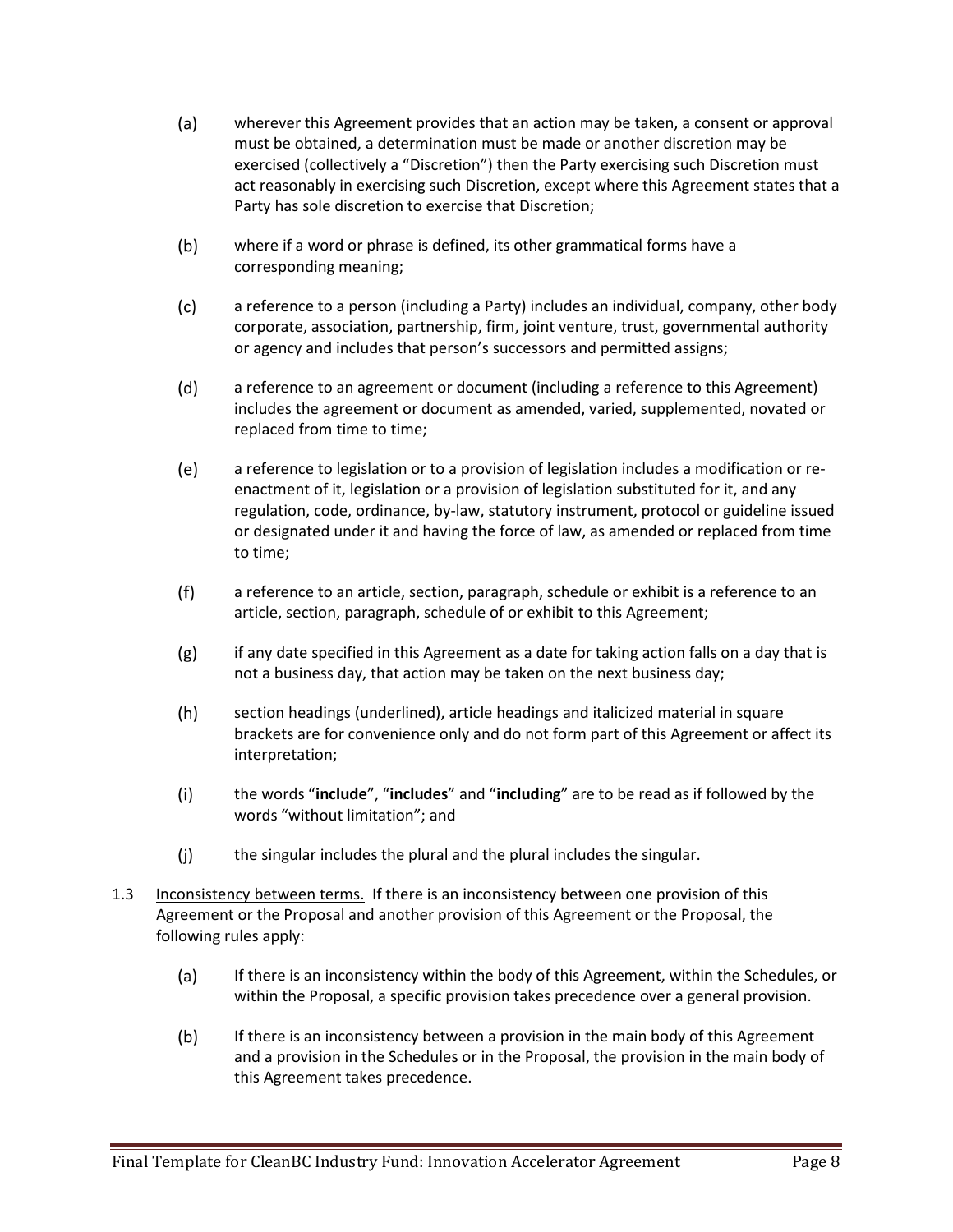- $(a)$ wherever this Agreement provides that an action may be taken, a consent or approval must be obtained, a determination must be made or another discretion may be exercised (collectively a "Discretion") then the Party exercising such Discretion must act reasonably in exercising such Discretion, except where this Agreement states that a Party has sole discretion to exercise that Discretion;
- $(b)$ where if a word or phrase is defined, its other grammatical forms have a corresponding meaning;
- $(c)$ a reference to a person (including a Party) includes an individual, company, other body corporate, association, partnership, firm, joint venture, trust, governmental authority or agency and includes that person's successors and permitted assigns;
- $(d)$ a reference to an agreement or document (including a reference to this Agreement) includes the agreement or document as amended, varied, supplemented, novated or replaced from time to time;
- $(e)$ a reference to legislation or to a provision of legislation includes a modification or reenactment of it, legislation or a provision of legislation substituted for it, and any regulation, code, ordinance, by-law, statutory instrument, protocol or guideline issued or designated under it and having the force of law, as amended or replaced from time to time;
- $(f)$ a reference to an article, section, paragraph, schedule or exhibit is a reference to an article, section, paragraph, schedule of or exhibit to this Agreement;
- $(g)$ if any date specified in this Agreement as a date for taking action falls on a day that is not a business day, that action may be taken on the next business day;
- $(h)$ section headings (underlined), article headings and italicized material in square brackets are for convenience only and do not form part of this Agreement or affect its interpretation;
- $(i)$ the words "**include**", "**includes**" and "**including**" are to be read as if followed by the words "without limitation"; and
- $(j)$ the singular includes the plural and the plural includes the singular.
- 1.3 Inconsistency between terms. If there is an inconsistency between one provision of this Agreement or the Proposal and another provision of this Agreement or the Proposal, the following rules apply:
	- $(a)$ If there is an inconsistency within the body of this Agreement, within the Schedules, or within the Proposal, a specific provision takes precedence over a general provision.
	- $(b)$ If there is an inconsistency between a provision in the main body of this Agreement and a provision in the Schedules or in the Proposal, the provision in the main body of this Agreement takes precedence.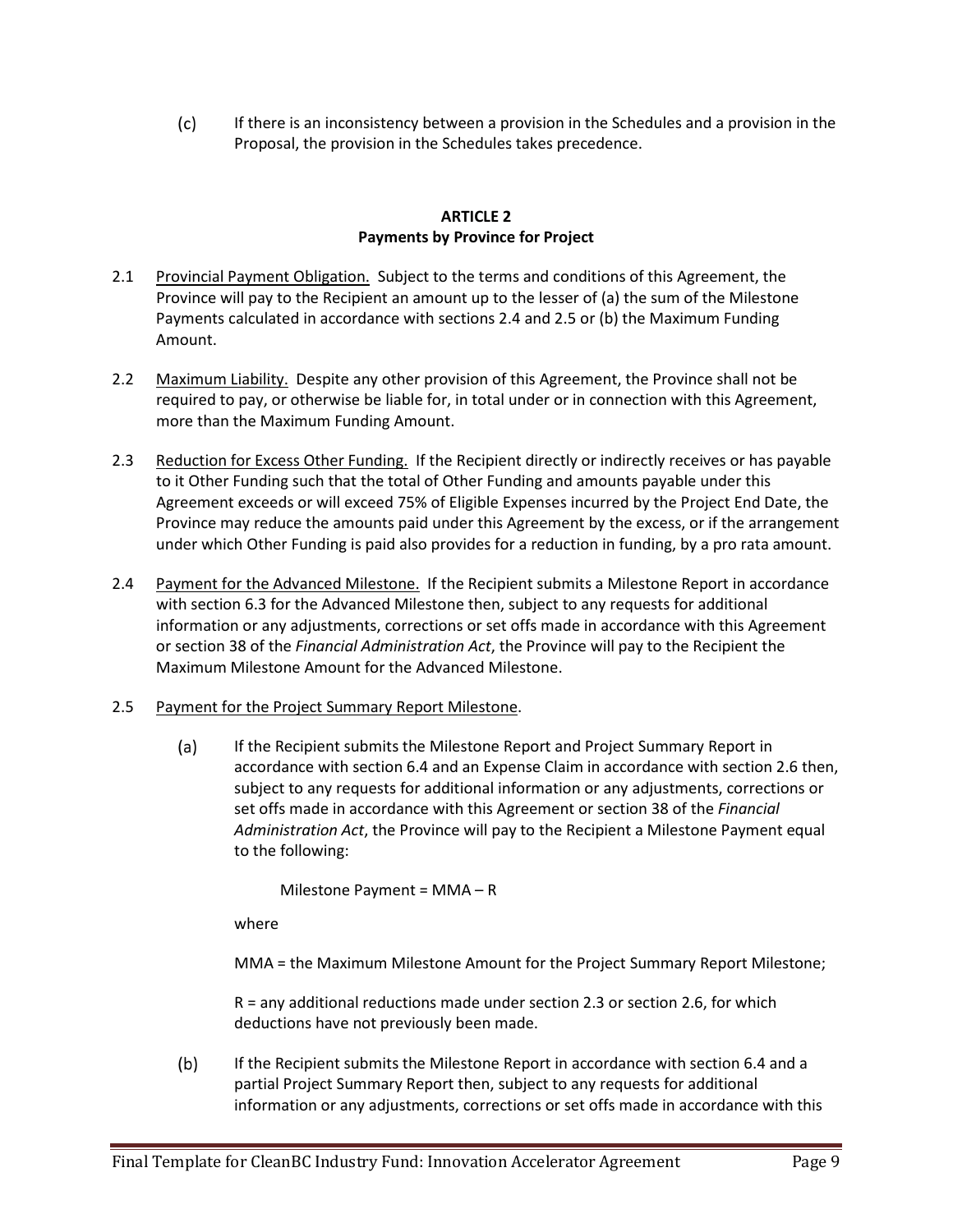$(c)$ If there is an inconsistency between a provision in the Schedules and a provision in the Proposal, the provision in the Schedules takes precedence.

### **ARTICLE 2 Payments by Province for Project**

- 2.1 Provincial Payment Obligation. Subject to the terms and conditions of this Agreement, the Province will pay to the Recipient an amount up to the lesser of (a) the sum of the Milestone Payments calculated in accordance with sections 2.4 and 2.5 or (b) the Maximum Funding Amount.
- 2.2 Maximum Liability. Despite any other provision of this Agreement, the Province shall not be required to pay, or otherwise be liable for, in total under or in connection with this Agreement, more than the Maximum Funding Amount.
- 2.3 Reduction for Excess Other Funding. If the Recipient directly or indirectly receives or has payable to it Other Funding such that the total of Other Funding and amounts payable under this Agreement exceeds or will exceed 75% of Eligible Expenses incurred by the Project End Date, the Province may reduce the amounts paid under this Agreement by the excess, or if the arrangement under which Other Funding is paid also provides for a reduction in funding, by a pro rata amount.
- 2.4 Payment for the Advanced Milestone. If the Recipient submits a Milestone Report in accordance with section 6.3 for the Advanced Milestone then, subject to any requests for additional information or any adjustments, corrections or set offs made in accordance with this Agreement or section 38 of the *Financial Administration Act*, the Province will pay to the Recipient the Maximum Milestone Amount for the Advanced Milestone.
- 2.5 Payment for the Project Summary Report Milestone.
	- If the Recipient submits the Milestone Report and Project Summary Report in  $(a)$ accordance with section 6.4 and an Expense Claim in accordance with section 2.6 then, subject to any requests for additional information or any adjustments, corrections or set offs made in accordance with this Agreement or section 38 of the *Financial Administration Act*, the Province will pay to the Recipient a Milestone Payment equal to the following:

Milestone Payment = MMA – R

where

MMA = the Maximum Milestone Amount for the Project Summary Report Milestone;

R = any additional reductions made under section 2.3 or section 2.6, for which deductions have not previously been made.

 $(b)$ If the Recipient submits the Milestone Report in accordance with section 6.4 and a partial Project Summary Report then, subject to any requests for additional information or any adjustments, corrections or set offs made in accordance with this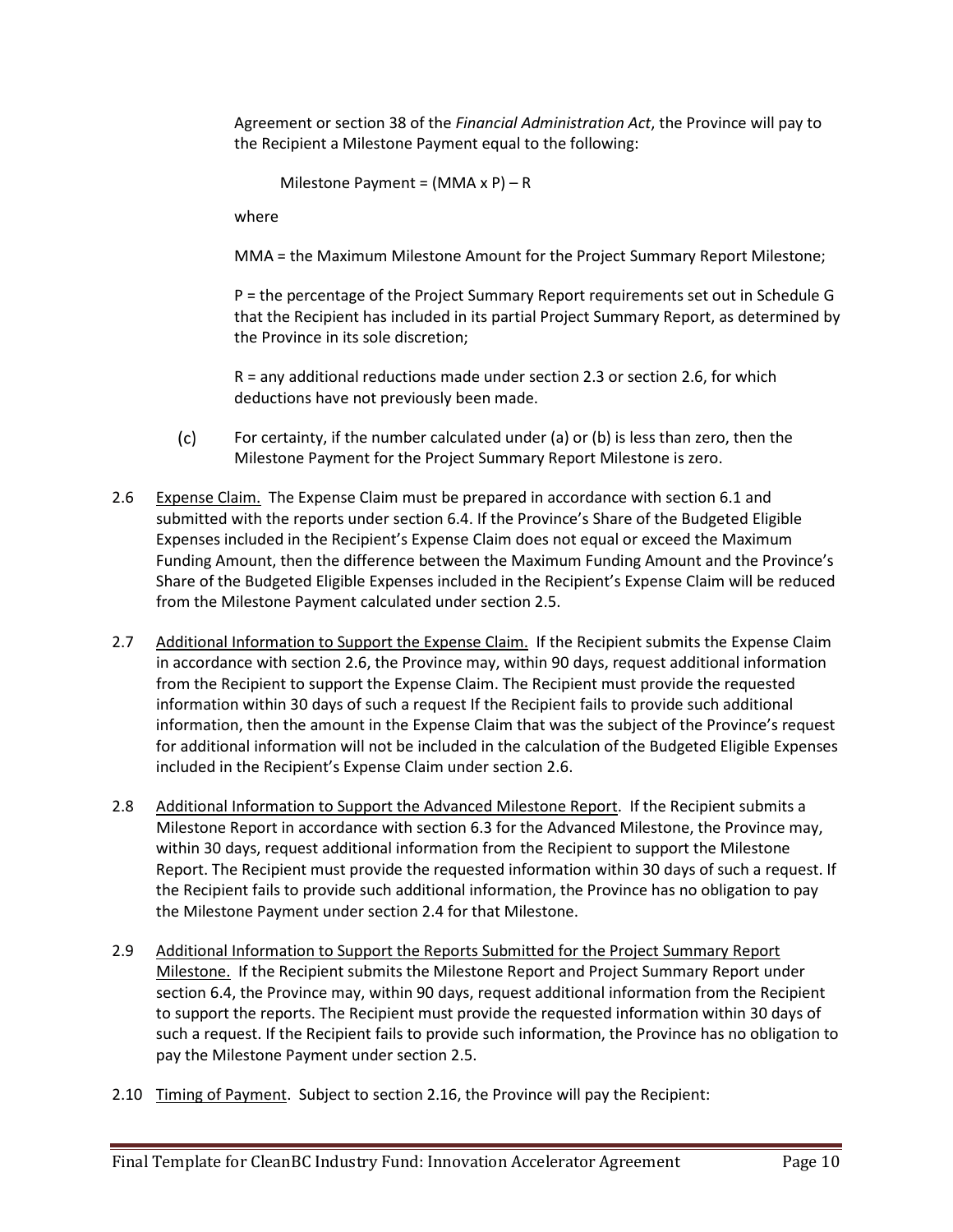Agreement or section 38 of the *Financial Administration Act*, the Province will pay to the Recipient a Milestone Payment equal to the following:

Milestone Payment =  $(MMA \times P) - R$ 

where

MMA = the Maximum Milestone Amount for the Project Summary Report Milestone;

P = the percentage of the Project Summary Report requirements set out in Schedule G that the Recipient has included in its partial Project Summary Report, as determined by the Province in its sole discretion;

R = any additional reductions made under section 2.3 or section 2.6, for which deductions have not previously been made.

- $(c)$ For certainty, if the number calculated under (a) or (b) is less than zero, then the Milestone Payment for the Project Summary Report Milestone is zero.
- 2.6 Expense Claim. The Expense Claim must be prepared in accordance with section 6.1 and submitted with the reports under section 6.4. If the Province's Share of the Budgeted Eligible Expenses included in the Recipient's Expense Claim does not equal or exceed the Maximum Funding Amount, then the difference between the Maximum Funding Amount and the Province's Share of the Budgeted Eligible Expenses included in the Recipient's Expense Claim will be reduced from the Milestone Payment calculated under section 2.5.
- 2.7 Additional Information to Support the Expense Claim. If the Recipient submits the Expense Claim in accordance with section 2.6, the Province may, within 90 days, request additional information from the Recipient to support the Expense Claim. The Recipient must provide the requested information within 30 days of such a request If the Recipient fails to provide such additional information, then the amount in the Expense Claim that was the subject of the Province's request for additional information will not be included in the calculation of the Budgeted Eligible Expenses included in the Recipient's Expense Claim under section 2.6.
- 2.8 Additional Information to Support the Advanced Milestone Report. If the Recipient submits a Milestone Report in accordance with section 6.3 for the Advanced Milestone, the Province may, within 30 days, request additional information from the Recipient to support the Milestone Report. The Recipient must provide the requested information within 30 days of such a request. If the Recipient fails to provide such additional information, the Province has no obligation to pay the Milestone Payment under section 2.4 for that Milestone.
- 2.9 Additional Information to Support the Reports Submitted for the Project Summary Report Milestone. If the Recipient submits the Milestone Report and Project Summary Report under section 6.4, the Province may, within 90 days, request additional information from the Recipient to support the reports. The Recipient must provide the requested information within 30 days of such a request. If the Recipient fails to provide such information, the Province has no obligation to pay the Milestone Payment under section 2.5.
- 2.10 Timing of Payment. Subject to section 2.16, the Province will pay the Recipient: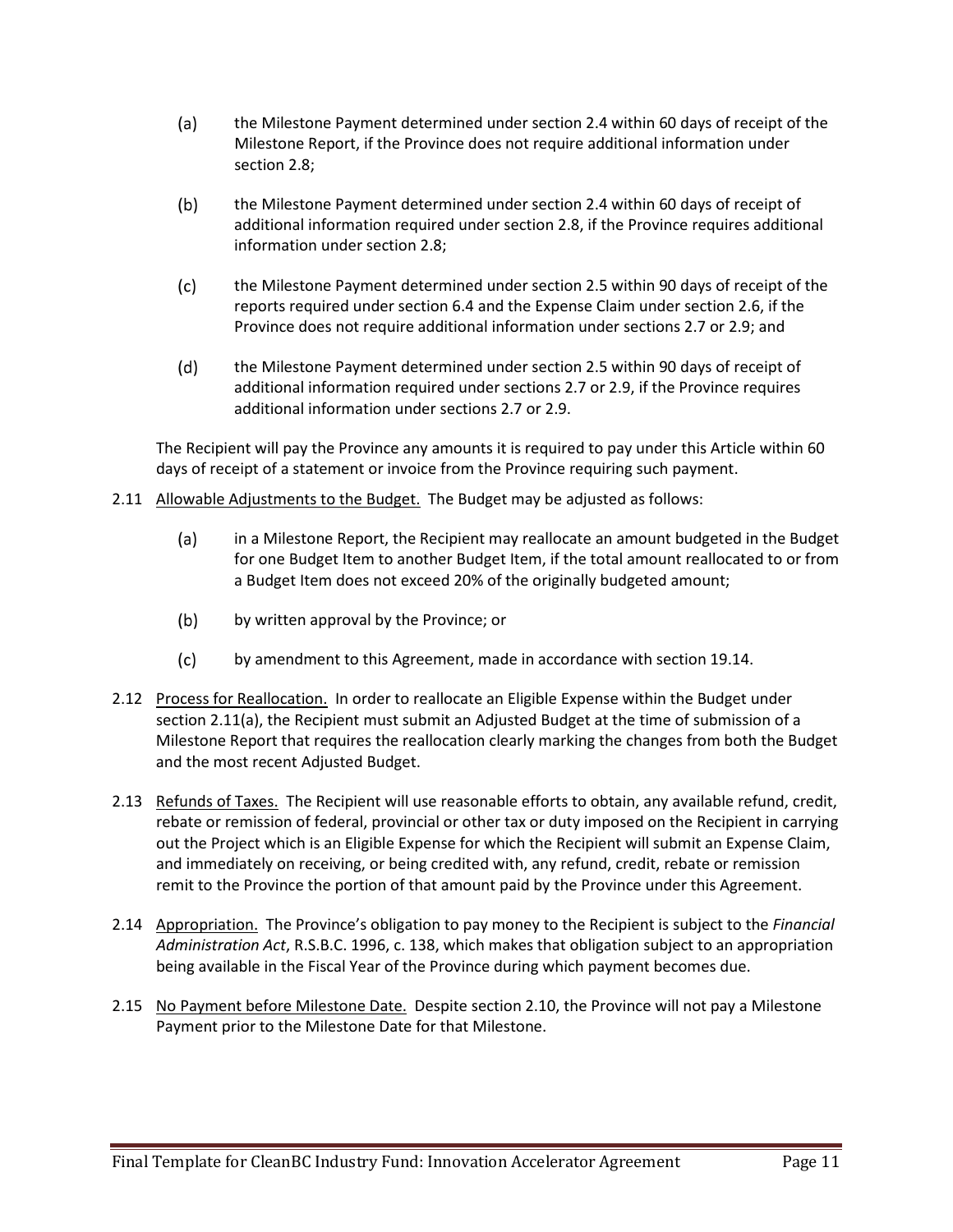- $(a)$ the Milestone Payment determined under section 2.4 within 60 days of receipt of the Milestone Report, if the Province does not require additional information under section 2.8;
- $(b)$ the Milestone Payment determined under section 2.4 within 60 days of receipt of additional information required under section 2.8, if the Province requires additional information under section 2.8;
- $(c)$ the Milestone Payment determined under section 2.5 within 90 days of receipt of the reports required under section 6.4 and the Expense Claim under section 2.6, if the Province does not require additional information under sections 2.7 or 2.9; and
- $(d)$ the Milestone Payment determined under section 2.5 within 90 days of receipt of additional information required under sections 2.7 or 2.9, if the Province requires additional information under sections 2.7 or 2.9.

The Recipient will pay the Province any amounts it is required to pay under this Article within 60 days of receipt of a statement or invoice from the Province requiring such payment.

- 2.11 Allowable Adjustments to the Budget. The Budget may be adjusted as follows:
	- $(a)$ in a Milestone Report, the Recipient may reallocate an amount budgeted in the Budget for one Budget Item to another Budget Item, if the total amount reallocated to or from a Budget Item does not exceed 20% of the originally budgeted amount;
	- $(b)$ by written approval by the Province; or
	- $(c)$ by amendment to this Agreement, made in accordance with section 19.14.
- 2.12 Process for Reallocation. In order to reallocate an Eligible Expense within the Budget under section 2.11(a), the Recipient must submit an Adjusted Budget at the time of submission of a Milestone Report that requires the reallocation clearly marking the changes from both the Budget and the most recent Adjusted Budget.
- 2.13 Refunds of Taxes. The Recipient will use reasonable efforts to obtain, any available refund, credit, rebate or remission of federal, provincial or other tax or duty imposed on the Recipient in carrying out the Project which is an Eligible Expense for which the Recipient will submit an Expense Claim, and immediately on receiving, or being credited with, any refund, credit, rebate or remission remit to the Province the portion of that amount paid by the Province under this Agreement.
- 2.14 Appropriation. The Province's obligation to pay money to the Recipient is subject to the *Financial Administration Act*, R.S.B.C. 1996, c. 138, which makes that obligation subject to an appropriation being available in the Fiscal Year of the Province during which payment becomes due.
- 2.15 No Payment before Milestone Date. Despite section 2.10, the Province will not pay a Milestone Payment prior to the Milestone Date for that Milestone.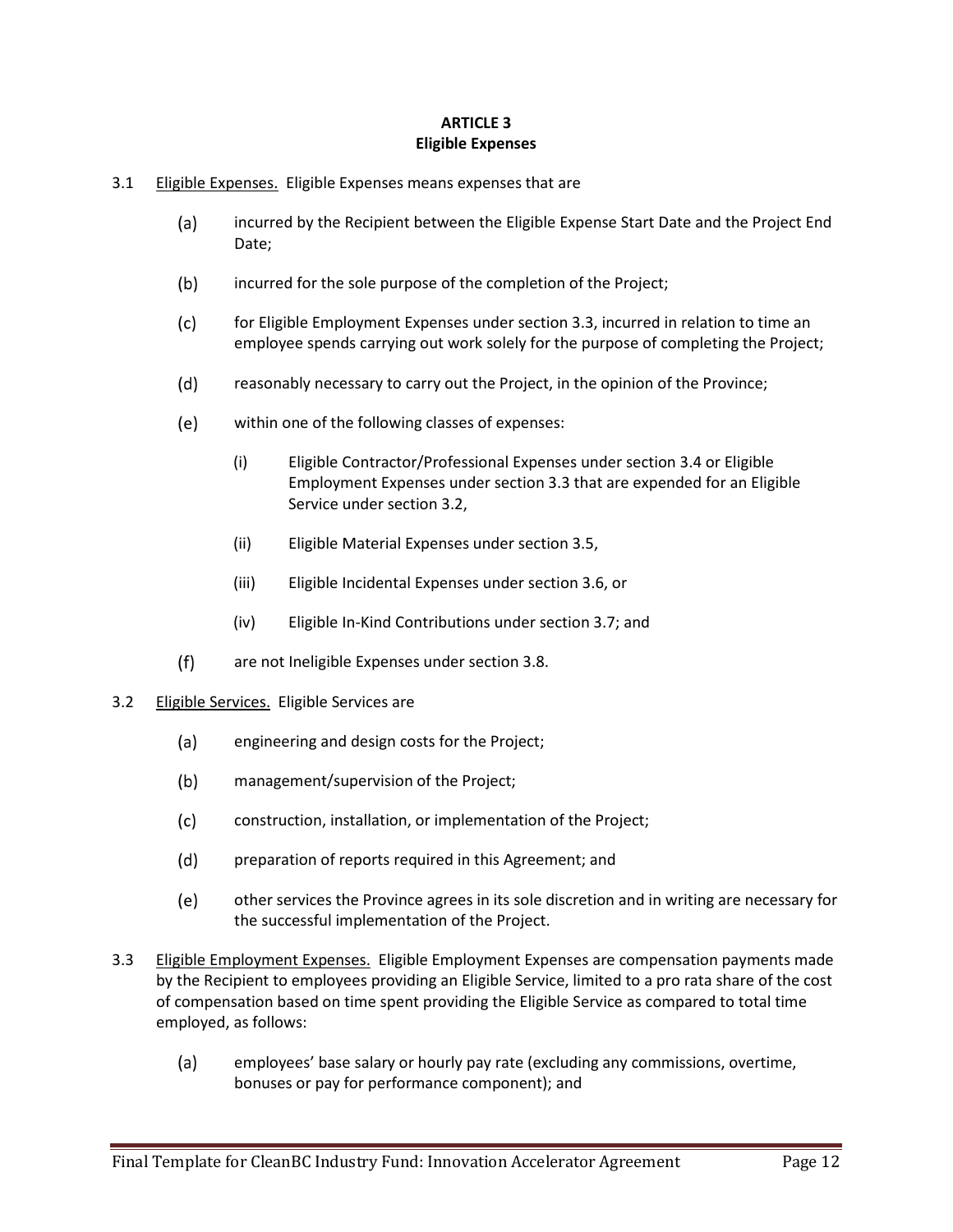# **ARTICLE 3 Eligible Expenses**

- 3.1 Eligible Expenses. Eligible Expenses means expenses that are
	- $(a)$ incurred by the Recipient between the Eligible Expense Start Date and the Project End Date;
	- $(b)$ incurred for the sole purpose of the completion of the Project;
	- $(c)$ for Eligible Employment Expenses under section 3.3, incurred in relation to time an employee spends carrying out work solely for the purpose of completing the Project;
	- $(d)$ reasonably necessary to carry out the Project, in the opinion of the Province;
	- $(e)$ within one of the following classes of expenses:
		- (i) Eligible Contractor/Professional Expenses under section 3.4 or Eligible Employment Expenses under section 3.3 that are expended for an Eligible Service under section 3.2,
		- (ii) Eligible Material Expenses under section 3.5,
		- (iii) Eligible Incidental Expenses under section 3.6, or
		- (iv) Eligible In-Kind Contributions under section 3.7; and
	- are not Ineligible Expenses under section 3.8.  $(f)$
- 3.2 Eligible Services. Eligible Services are
	- $(a)$ engineering and design costs for the Project;
	- $(b)$ management/supervision of the Project;
	- $(c)$ construction, installation, or implementation of the Project;
	- $(d)$ preparation of reports required in this Agreement; and
	- $(e)$ other services the Province agrees in its sole discretion and in writing are necessary for the successful implementation of the Project.
- 3.3 Eligible Employment Expenses. Eligible Employment Expenses are compensation payments made by the Recipient to employees providing an Eligible Service, limited to a pro rata share of the cost of compensation based on time spent providing the Eligible Service as compared to total time employed, as follows:
	- $(a)$ employees' base salary or hourly pay rate (excluding any commissions, overtime, bonuses or pay for performance component); and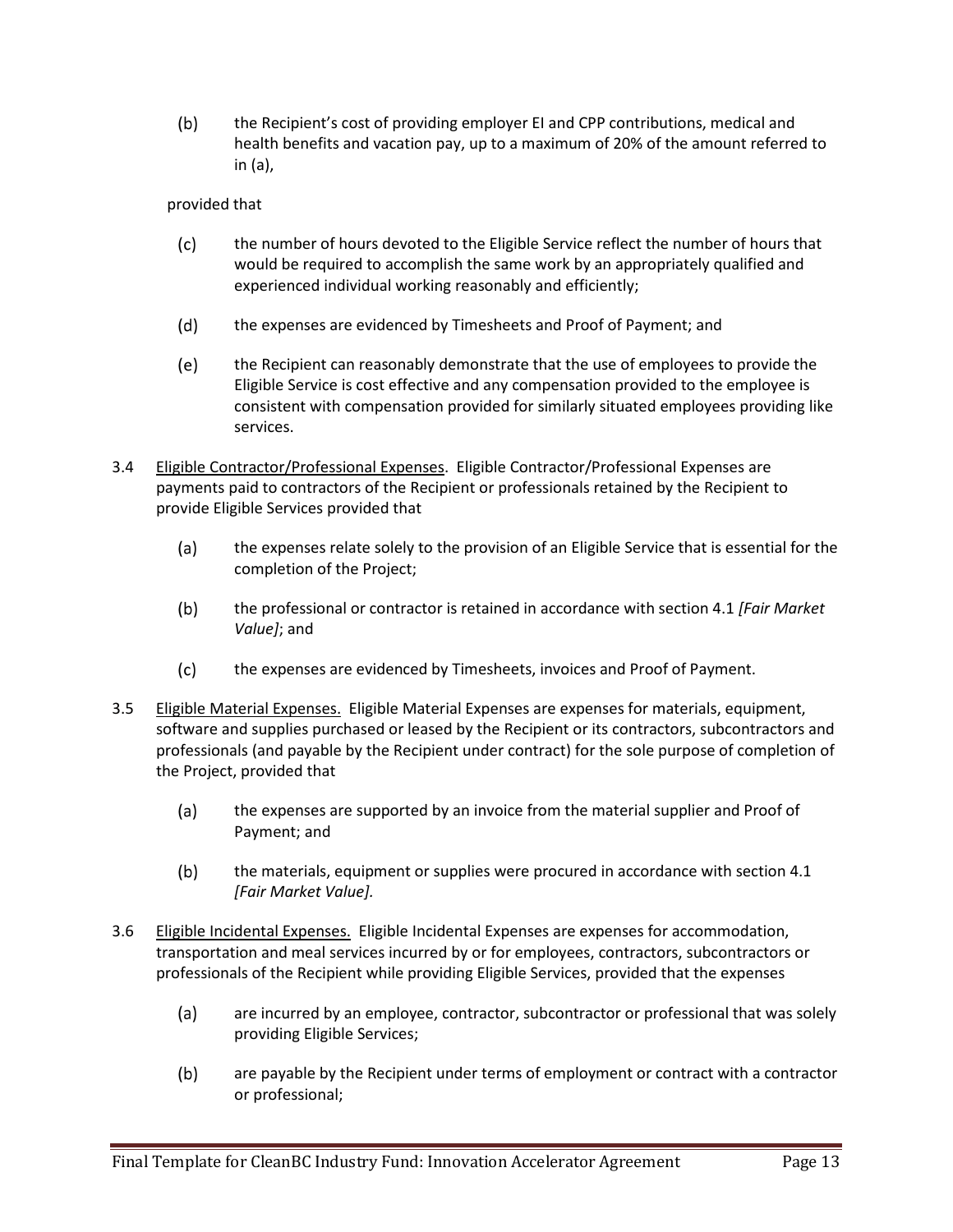$(b)$ the Recipient's cost of providing employer EI and CPP contributions, medical and health benefits and vacation pay, up to a maximum of 20% of the amount referred to in (a),

provided that

- $(c)$ the number of hours devoted to the Eligible Service reflect the number of hours that would be required to accomplish the same work by an appropriately qualified and experienced individual working reasonably and efficiently;
- $(d)$ the expenses are evidenced by Timesheets and Proof of Payment; and
- $(e)$ the Recipient can reasonably demonstrate that the use of employees to provide the Eligible Service is cost effective and any compensation provided to the employee is consistent with compensation provided for similarly situated employees providing like services.
- 3.4 Eligible Contractor/Professional Expenses. Eligible Contractor/Professional Expenses are payments paid to contractors of the Recipient or professionals retained by the Recipient to provide Eligible Services provided that
	- the expenses relate solely to the provision of an Eligible Service that is essential for the  $(a)$ completion of the Project;
	- $(b)$ the professional or contractor is retained in accordance with section 4.1 *[Fair Market Value]*; and
	- $(c)$ the expenses are evidenced by Timesheets, invoices and Proof of Payment.
- 3.5 Eligible Material Expenses. Eligible Material Expenses are expenses for materials, equipment, software and supplies purchased or leased by the Recipient or its contractors, subcontractors and professionals (and payable by the Recipient under contract) for the sole purpose of completion of the Project, provided that
	- $(a)$ the expenses are supported by an invoice from the material supplier and Proof of Payment; and
	- $(b)$ the materials, equipment or supplies were procured in accordance with section 4.1 *[Fair Market Value].*
- 3.6 Eligible Incidental Expenses. Eligible Incidental Expenses are expenses for accommodation, transportation and meal services incurred by or for employees, contractors, subcontractors or professionals of the Recipient while providing Eligible Services, provided that the expenses
	- $(a)$ are incurred by an employee, contractor, subcontractor or professional that was solely providing Eligible Services;
	- are payable by the Recipient under terms of employment or contract with a contractor  $(b)$ or professional;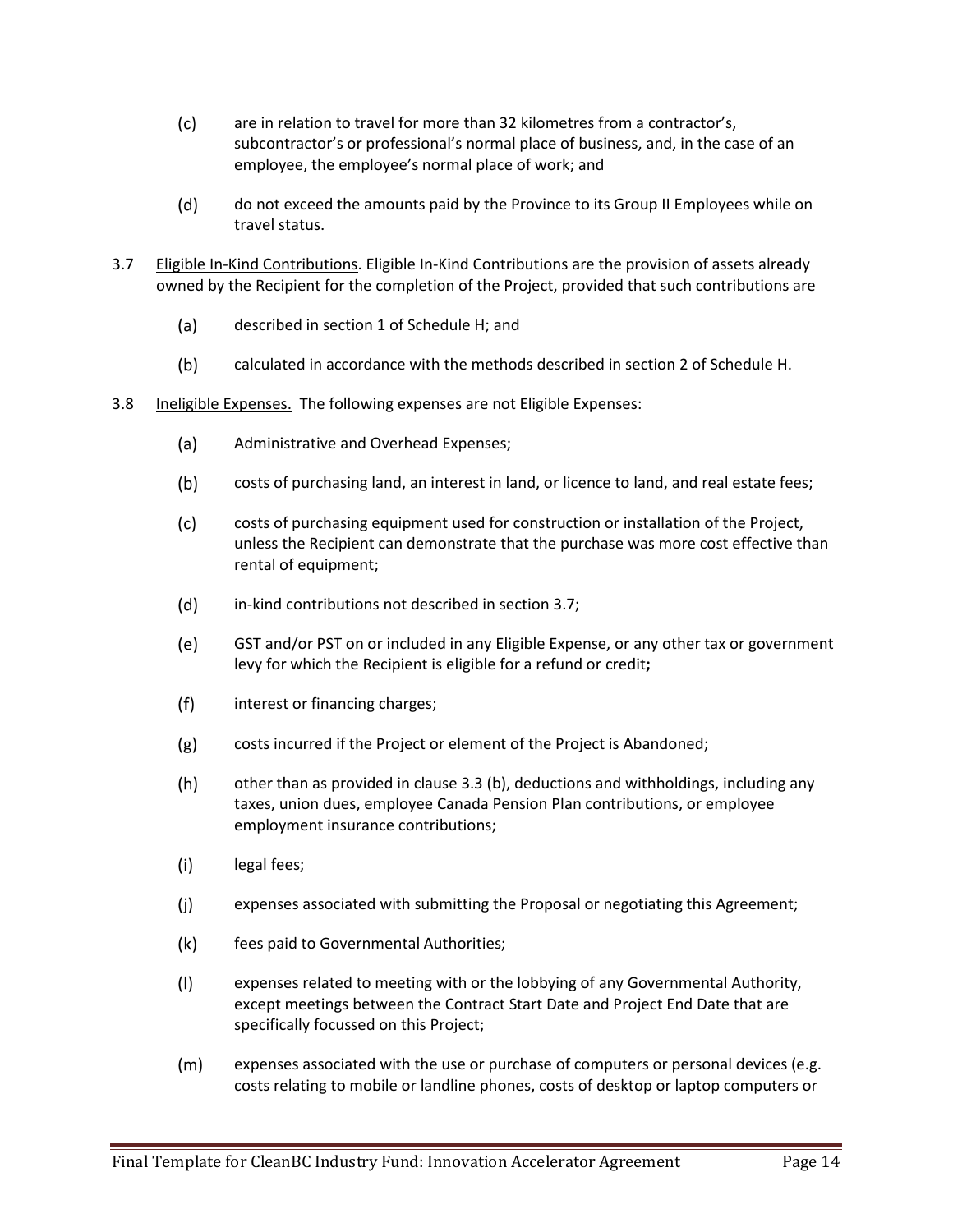- $(c)$ are in relation to travel for more than 32 kilometres from a contractor's, subcontractor's or professional's normal place of business, and, in the case of an employee, the employee's normal place of work; and
- $(d)$ do not exceed the amounts paid by the Province to its Group II Employees while on travel status.
- 3.7 Eligible In-Kind Contributions. Eligible In-Kind Contributions are the provision of assets already owned by the Recipient for the completion of the Project, provided that such contributions are
	- $(a)$ described in section 1 of Schedule H; and
	- $(b)$ calculated in accordance with the methods described in section 2 of Schedule H.
- 3.8 Ineligible Expenses. The following expenses are not Eligible Expenses:
	- $(a)$ Administrative and Overhead Expenses;
	- $(b)$ costs of purchasing land, an interest in land, or licence to land, and real estate fees;
	- $(c)$ costs of purchasing equipment used for construction or installation of the Project, unless the Recipient can demonstrate that the purchase was more cost effective than rental of equipment;
	- $(d)$ in-kind contributions not described in section 3.7;
	- $(e)$ GST and/or PST on or included in any Eligible Expense, or any other tax or government levy for which the Recipient is eligible for a refund or credit**;**
	- $(f)$ interest or financing charges;
	- $(g)$ costs incurred if the Project or element of the Project is Abandoned;
	- $(h)$ other than as provided in clause 3.3 (b), deductions and withholdings, including any taxes, union dues, employee Canada Pension Plan contributions, or employee employment insurance contributions;
	- $(i)$ legal fees;
	- $(j)$ expenses associated with submitting the Proposal or negotiating this Agreement;
	- $(k)$ fees paid to Governmental Authorities;
	- $(1)$ expenses related to meeting with or the lobbying of any Governmental Authority, except meetings between the Contract Start Date and Project End Date that are specifically focussed on this Project;
	- $(m)$ expenses associated with the use or purchase of computers or personal devices (e.g. costs relating to mobile or landline phones, costs of desktop or laptop computers or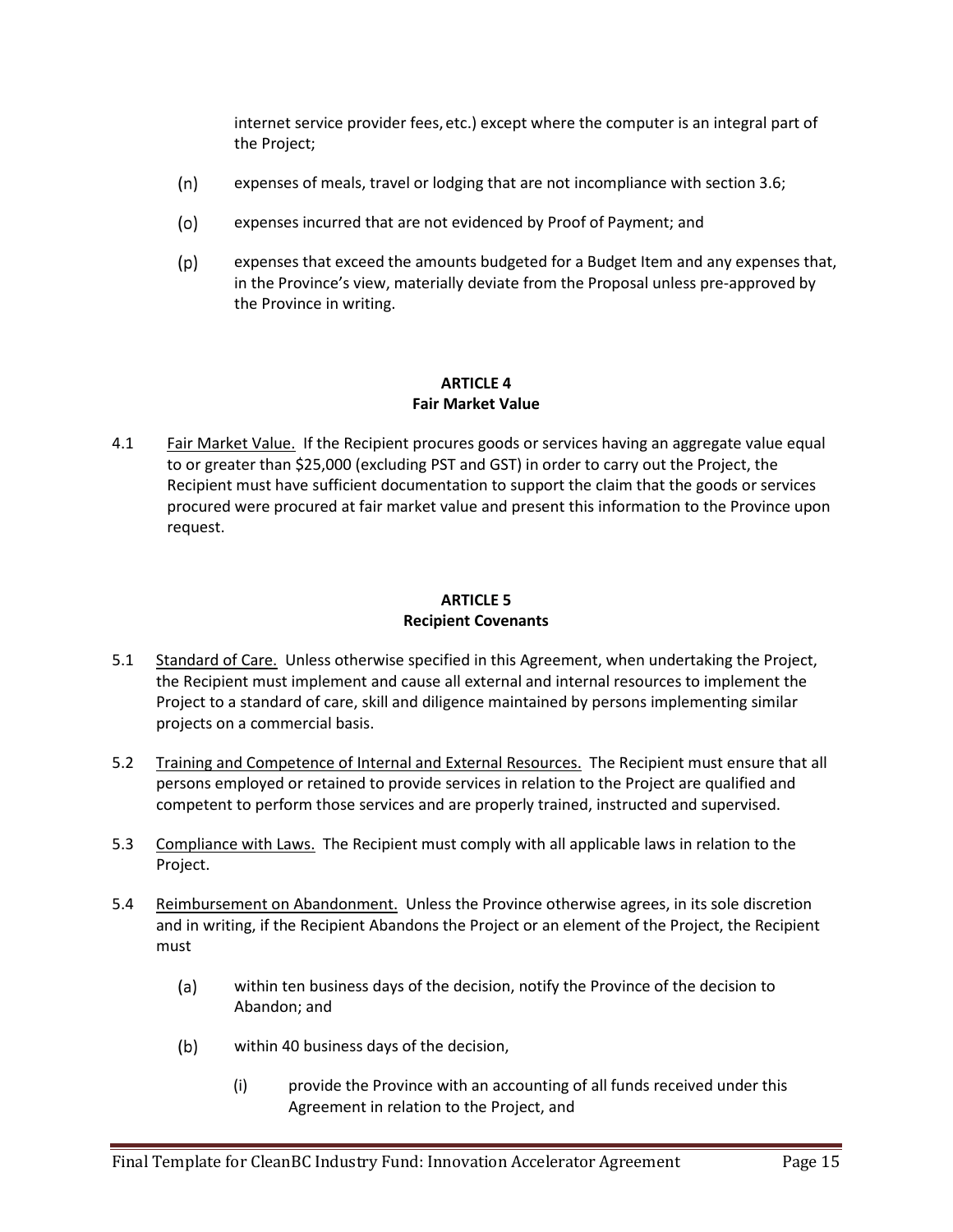internet service provider fees, etc.) except where the computer is an integral part of the Project;

- $(n)$ expenses of meals, travel or lodging that are not incompliance with section 3.6;
- $(o)$ expenses incurred that are not evidenced by Proof of Payment; and
- $(p)$ expenses that exceed the amounts budgeted for a Budget Item and any expenses that, in the Province's view, materially deviate from the Proposal unless pre-approved by the Province in writing.

## **ARTICLE 4 Fair Market Value**

4.1 Fair Market Value. If the Recipient procures goods or services having an aggregate value equal to or greater than \$25,000 (excluding PST and GST) in order to carry out the Project, the Recipient must have sufficient documentation to support the claim that the goods or services procured were procured at fair market value and present this information to the Province upon request.

# **ARTICLE 5 Recipient Covenants**

- 5.1 Standard of Care. Unless otherwise specified in this Agreement, when undertaking the Project, the Recipient must implement and cause all external and internal resources to implement the Project to a standard of care, skill and diligence maintained by persons implementing similar projects on a commercial basis.
- 5.2 Training and Competence of Internal and External Resources. The Recipient must ensure that all persons employed or retained to provide services in relation to the Project are qualified and competent to perform those services and are properly trained, instructed and supervised.
- 5.3 Compliance with Laws. The Recipient must comply with all applicable laws in relation to the Project.
- 5.4 Reimbursement on Abandonment. Unless the Province otherwise agrees, in its sole discretion and in writing, if the Recipient Abandons the Project or an element of the Project, the Recipient must
	- $(a)$ within ten business days of the decision, notify the Province of the decision to Abandon; and
	- $(b)$ within 40 business days of the decision,
		- (i) provide the Province with an accounting of all funds received under this Agreement in relation to the Project, and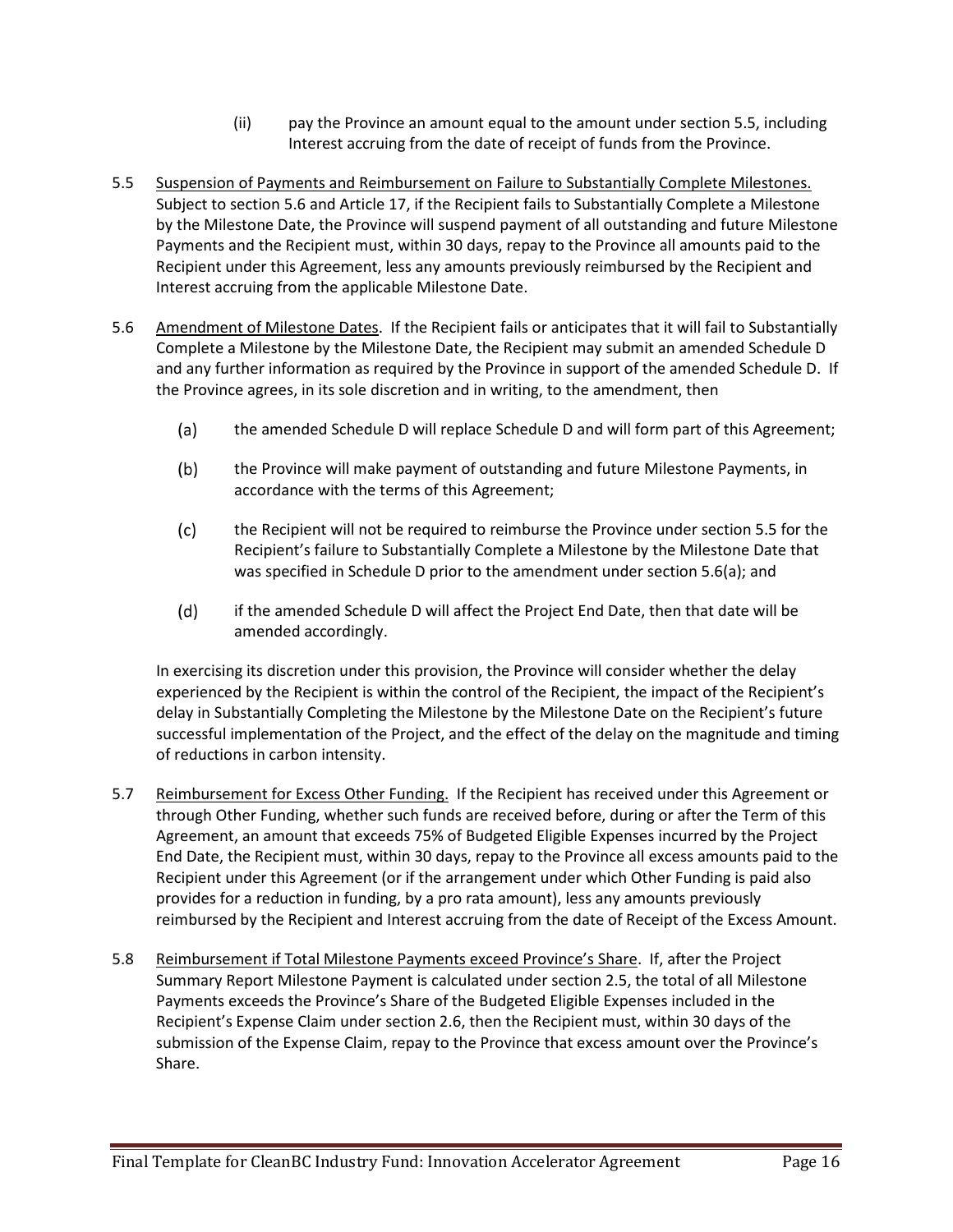- (ii) pay the Province an amount equal to the amount under section 5.5, including Interest accruing from the date of receipt of funds from the Province.
- 5.5 Suspension of Payments and Reimbursement on Failure to Substantially Complete Milestones. Subject to section 5.6 and Article 17, if the Recipient fails to Substantially Complete a Milestone by the Milestone Date, the Province will suspend payment of all outstanding and future Milestone Payments and the Recipient must, within 30 days, repay to the Province all amounts paid to the Recipient under this Agreement, less any amounts previously reimbursed by the Recipient and Interest accruing from the applicable Milestone Date.
- 5.6 Amendment of Milestone Dates. If the Recipient fails or anticipates that it will fail to Substantially Complete a Milestone by the Milestone Date, the Recipient may submit an amended Schedule D and any further information as required by the Province in support of the amended Schedule D. If the Province agrees, in its sole discretion and in writing, to the amendment, then
	- $(a)$ the amended Schedule D will replace Schedule D and will form part of this Agreement;
	- $(b)$ the Province will make payment of outstanding and future Milestone Payments, in accordance with the terms of this Agreement;
	- $(c)$ the Recipient will not be required to reimburse the Province under section 5.5 for the Recipient's failure to Substantially Complete a Milestone by the Milestone Date that was specified in Schedule D prior to the amendment under section 5.6(a); and
	- $(d)$ if the amended Schedule D will affect the Project End Date, then that date will be amended accordingly.

In exercising its discretion under this provision, the Province will consider whether the delay experienced by the Recipient is within the control of the Recipient, the impact of the Recipient's delay in Substantially Completing the Milestone by the Milestone Date on the Recipient's future successful implementation of the Project, and the effect of the delay on the magnitude and timing of reductions in carbon intensity.

- 5.7 Reimbursement for Excess Other Funding. If the Recipient has received under this Agreement or through Other Funding, whether such funds are received before, during or after the Term of this Agreement, an amount that exceeds 75% of Budgeted Eligible Expenses incurred by the Project End Date, the Recipient must, within 30 days, repay to the Province all excess amounts paid to the Recipient under this Agreement (or if the arrangement under which Other Funding is paid also provides for a reduction in funding, by a pro rata amount), less any amounts previously reimbursed by the Recipient and Interest accruing from the date of Receipt of the Excess Amount.
- 5.8 Reimbursement if Total Milestone Payments exceed Province's Share. If, after the Project Summary Report Milestone Payment is calculated under section 2.5, the total of all Milestone Payments exceeds the Province's Share of the Budgeted Eligible Expenses included in the Recipient's Expense Claim under section 2.6, then the Recipient must, within 30 days of the submission of the Expense Claim, repay to the Province that excess amount over the Province's Share.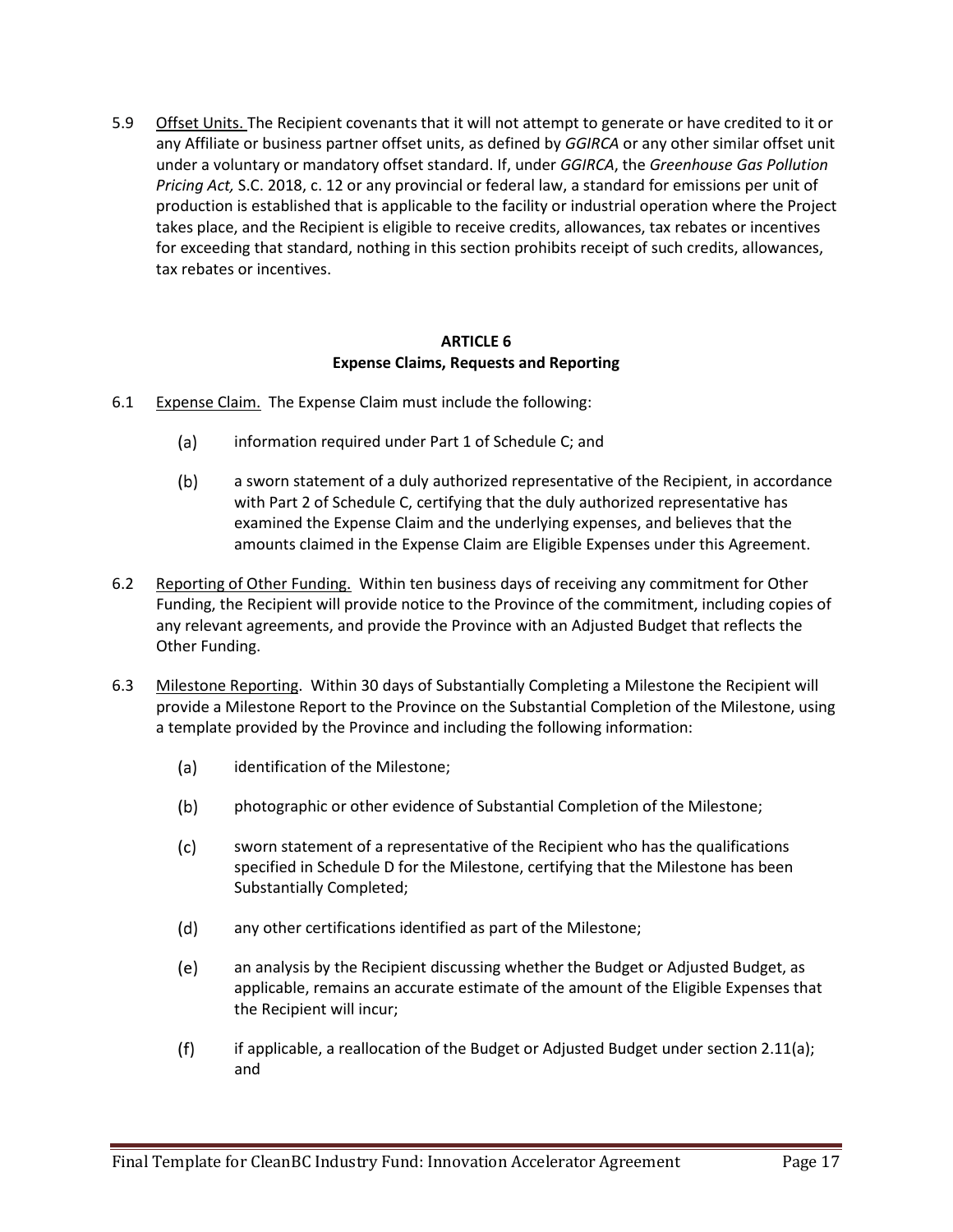5.9 Offset Units. The Recipient covenants that it will not attempt to generate or have credited to it or any Affiliate or business partner offset units, as defined by *GGIRCA* or any other similar offset unit under a voluntary or mandatory offset standard. If, under *GGIRCA*, the *Greenhouse Gas Pollution Pricing Act,* S.C. 2018, c. 12 or any provincial or federal law, a standard for emissions per unit of production is established that is applicable to the facility or industrial operation where the Project takes place, and the Recipient is eligible to receive credits, allowances, tax rebates or incentives for exceeding that standard, nothing in this section prohibits receipt of such credits, allowances, tax rebates or incentives.

#### **ARTICLE 6 Expense Claims, Requests and Reporting**

- 6.1 Expense Claim. The Expense Claim must include the following:
	- $(a)$ information required under Part 1 of Schedule C; and
	- $(b)$ a sworn statement of a duly authorized representative of the Recipient, in accordance with Part 2 of Schedule C, certifying that the duly authorized representative has examined the Expense Claim and the underlying expenses, and believes that the amounts claimed in the Expense Claim are Eligible Expenses under this Agreement.
- 6.2 Reporting of Other Funding. Within ten business days of receiving any commitment for Other Funding, the Recipient will provide notice to the Province of the commitment, including copies of any relevant agreements, and provide the Province with an Adjusted Budget that reflects the Other Funding.
- 6.3 Milestone Reporting. Within 30 days of Substantially Completing a Milestone the Recipient will provide a Milestone Report to the Province on the Substantial Completion of the Milestone, using a template provided by the Province and including the following information:
	- $(a)$ identification of the Milestone;
	- $(b)$ photographic or other evidence of Substantial Completion of the Milestone;
	- $(c)$ sworn statement of a representative of the Recipient who has the qualifications specified in Schedule D for the Milestone, certifying that the Milestone has been Substantially Completed;
	- $(d)$ any other certifications identified as part of the Milestone;
	- $(e)$ an analysis by the Recipient discussing whether the Budget or Adjusted Budget, as applicable, remains an accurate estimate of the amount of the Eligible Expenses that the Recipient will incur;
	- $(f)$ if applicable, a reallocation of the Budget or Adjusted Budget under section 2.11(a); and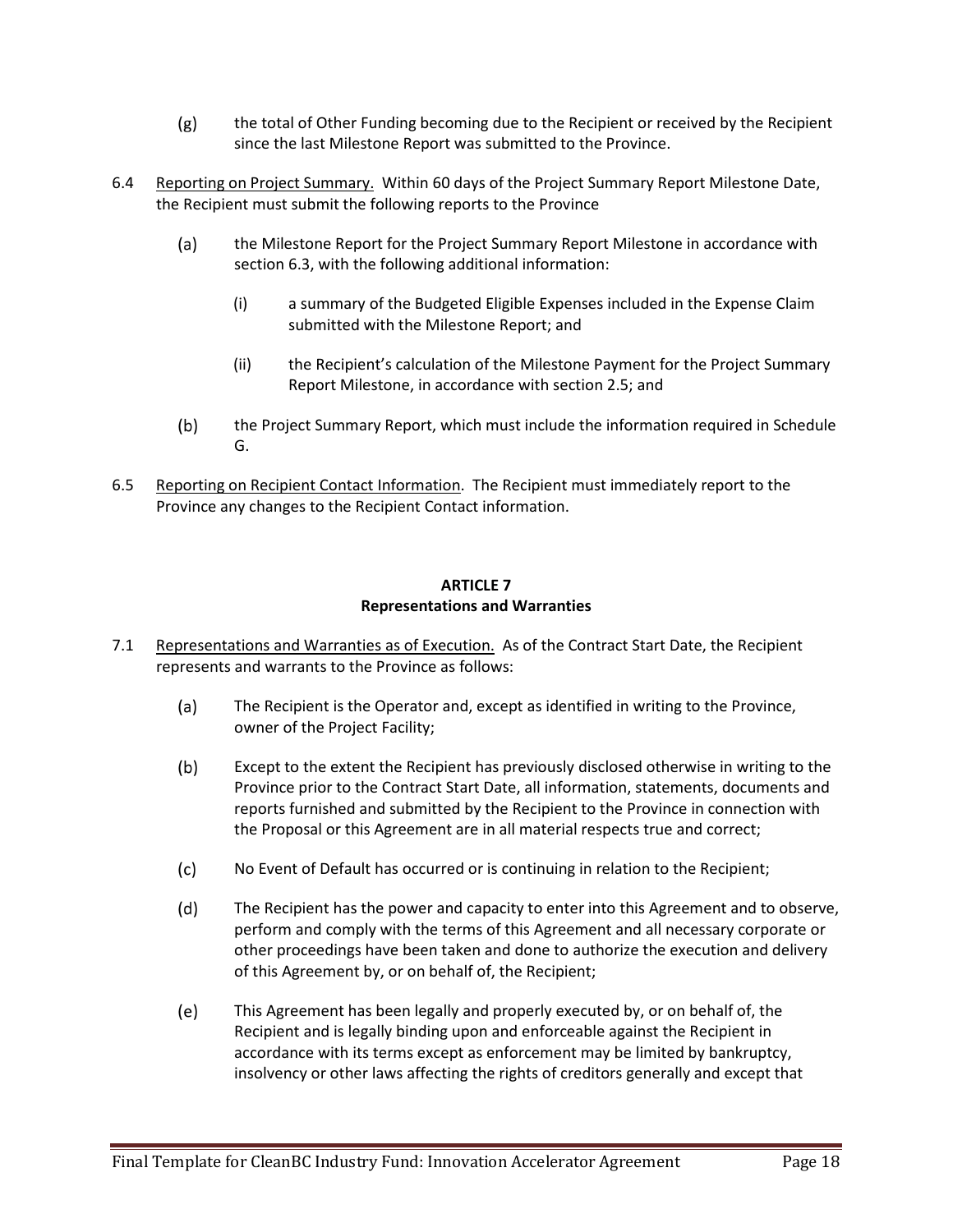- $(g)$ the total of Other Funding becoming due to the Recipient or received by the Recipient since the last Milestone Report was submitted to the Province.
- 6.4 Reporting on Project Summary. Within 60 days of the Project Summary Report Milestone Date, the Recipient must submit the following reports to the Province
	- $(a)$ the Milestone Report for the Project Summary Report Milestone in accordance with section 6.3, with the following additional information:
		- (i) a summary of the Budgeted Eligible Expenses included in the Expense Claim submitted with the Milestone Report; and
		- (ii) the Recipient's calculation of the Milestone Payment for the Project Summary Report Milestone, in accordance with section 2.5; and
	- $(b)$ the Project Summary Report, which must include the information required in Schedule G.
- 6.5 Reporting on Recipient Contact Information. The Recipient must immediately report to the Province any changes to the Recipient Contact information.

## **ARTICLE 7 Representations and Warranties**

- 7.1 Representations and Warranties as of Execution. As of the Contract Start Date, the Recipient represents and warrants to the Province as follows:
	- $(a)$ The Recipient is the Operator and, except as identified in writing to the Province, owner of the Project Facility;
	- $(b)$ Except to the extent the Recipient has previously disclosed otherwise in writing to the Province prior to the Contract Start Date, all information, statements, documents and reports furnished and submitted by the Recipient to the Province in connection with the Proposal or this Agreement are in all material respects true and correct;
	- $(c)$ No Event of Default has occurred or is continuing in relation to the Recipient;
	- $(d)$ The Recipient has the power and capacity to enter into this Agreement and to observe, perform and comply with the terms of this Agreement and all necessary corporate or other proceedings have been taken and done to authorize the execution and delivery of this Agreement by, or on behalf of, the Recipient;
	- $(e)$ This Agreement has been legally and properly executed by, or on behalf of, the Recipient and is legally binding upon and enforceable against the Recipient in accordance with its terms except as enforcement may be limited by bankruptcy, insolvency or other laws affecting the rights of creditors generally and except that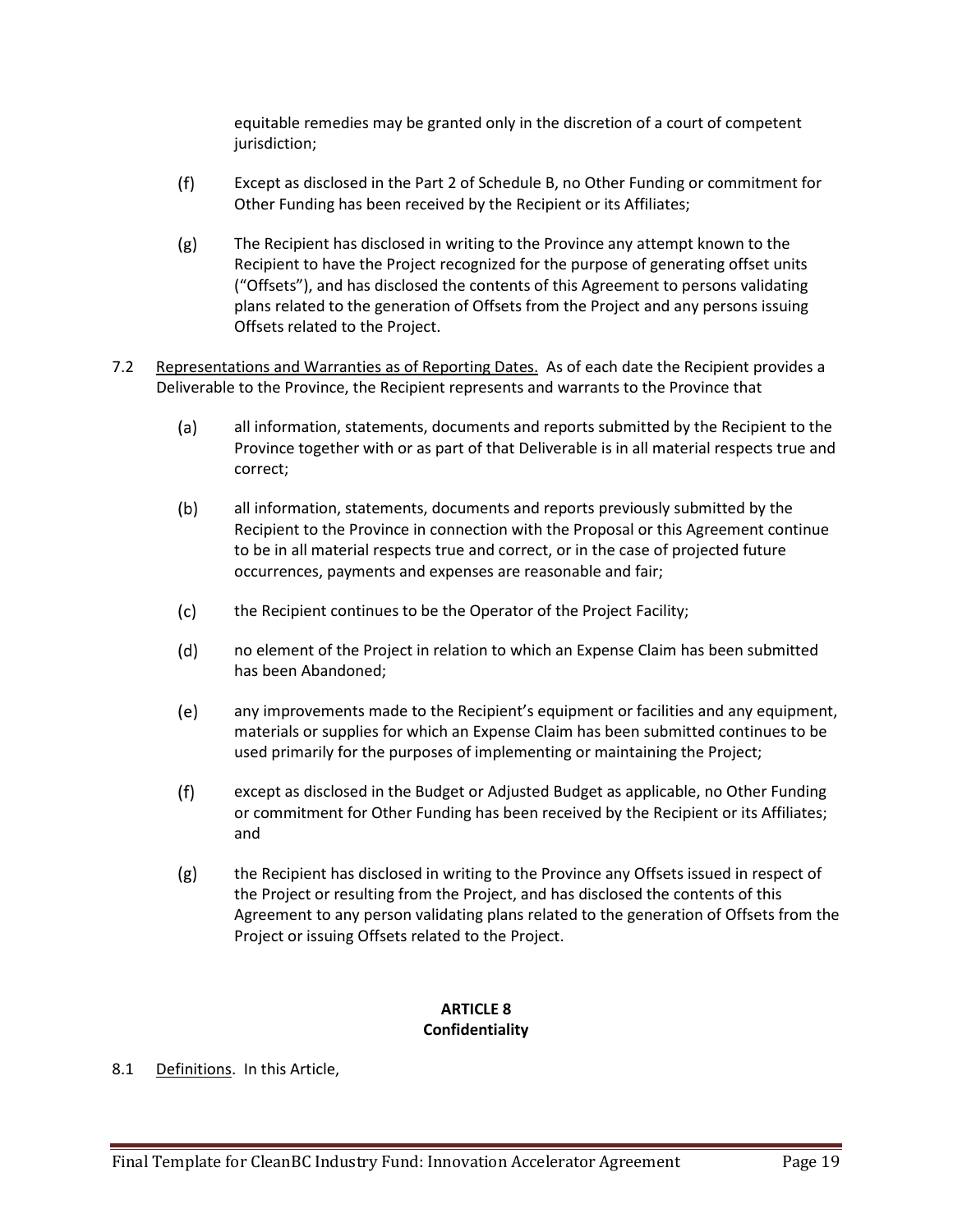equitable remedies may be granted only in the discretion of a court of competent jurisdiction;

- $(f)$ Except as disclosed in the Part 2 of Schedule B, no Other Funding or commitment for Other Funding has been received by the Recipient or its Affiliates;
- $(g)$ The Recipient has disclosed in writing to the Province any attempt known to the Recipient to have the Project recognized for the purpose of generating offset units ("Offsets"), and has disclosed the contents of this Agreement to persons validating plans related to the generation of Offsets from the Project and any persons issuing Offsets related to the Project.
- 7.2 Representations and Warranties as of Reporting Dates. As of each date the Recipient provides a Deliverable to the Province, the Recipient represents and warrants to the Province that
	- $(a)$ all information, statements, documents and reports submitted by the Recipient to the Province together with or as part of that Deliverable is in all material respects true and correct;
	- $(b)$ all information, statements, documents and reports previously submitted by the Recipient to the Province in connection with the Proposal or this Agreement continue to be in all material respects true and correct, or in the case of projected future occurrences, payments and expenses are reasonable and fair;
	- $(c)$ the Recipient continues to be the Operator of the Project Facility;
	- $(d)$ no element of the Project in relation to which an Expense Claim has been submitted has been Abandoned;
	- $(e)$ any improvements made to the Recipient's equipment or facilities and any equipment, materials or supplies for which an Expense Claim has been submitted continues to be used primarily for the purposes of implementing or maintaining the Project;
	- $(f)$ except as disclosed in the Budget or Adjusted Budget as applicable, no Other Funding or commitment for Other Funding has been received by the Recipient or its Affiliates; and
	- $(g)$ the Recipient has disclosed in writing to the Province any Offsets issued in respect of the Project or resulting from the Project, and has disclosed the contents of this Agreement to any person validating plans related to the generation of Offsets from the Project or issuing Offsets related to the Project.

# **ARTICLE 8 Confidentiality**

8.1 Definitions. In this Article,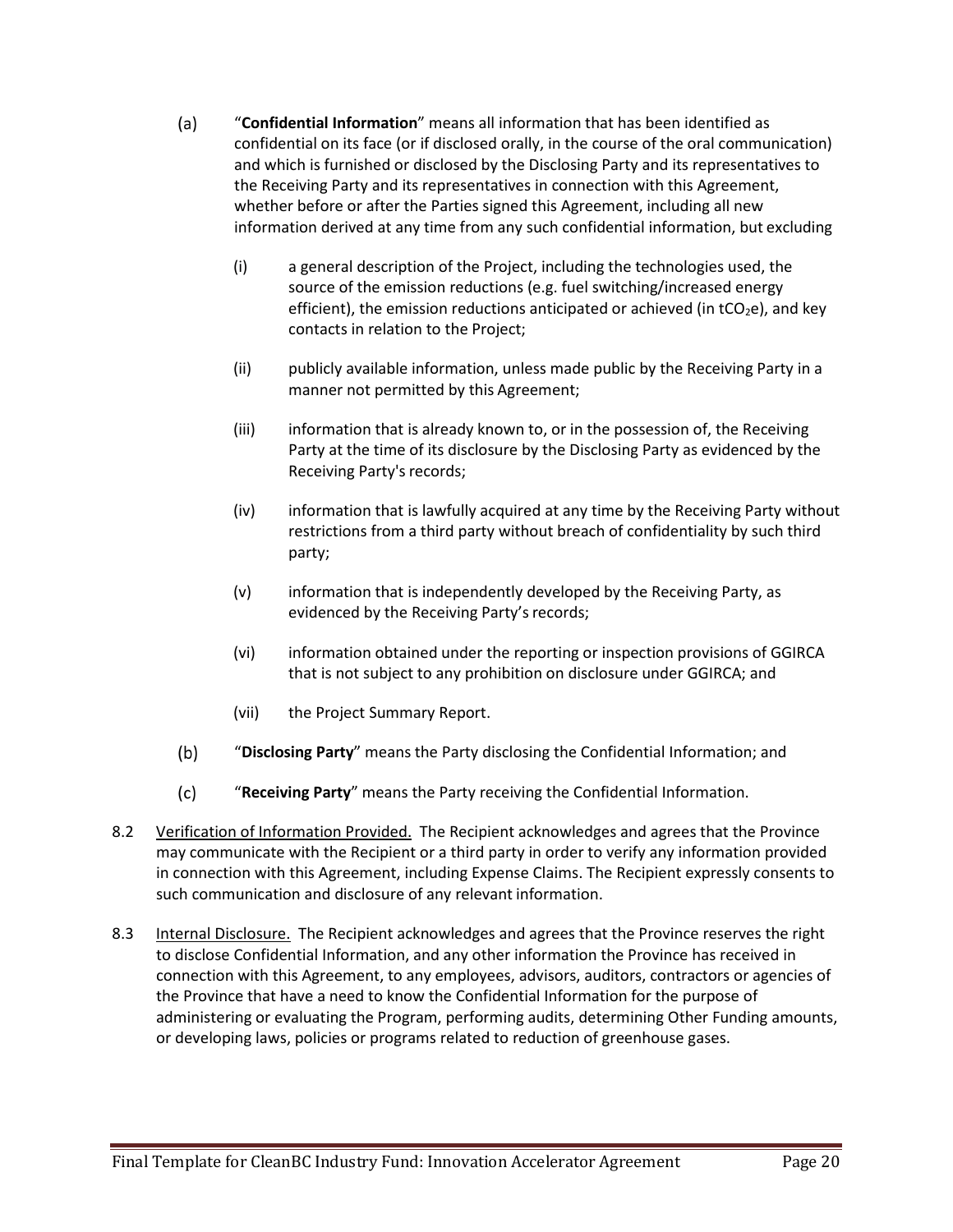- $(a)$ "**Confidential Information**" means all information that has been identified as confidential on its face (or if disclosed orally, in the course of the oral communication) and which is furnished or disclosed by the Disclosing Party and its representatives to the Receiving Party and its representatives in connection with this Agreement, whether before or after the Parties signed this Agreement, including all new information derived at any time from any such confidential information, but excluding
	- (i) a general description of the Project, including the technologies used, the source of the emission reductions (e.g. fuel switching/increased energy efficient), the emission reductions anticipated or achieved (in  $tCO<sub>2</sub>e$ ), and key contacts in relation to the Project;
	- (ii) publicly available information, unless made public by the Receiving Party in a manner not permitted by this Agreement;
	- (iii) information that is already known to, or in the possession of, the Receiving Party at the time of its disclosure by the Disclosing Party as evidenced by the Receiving Party's records;
	- (iv) information that is lawfully acquired at any time by the Receiving Party without restrictions from a third party without breach of confidentiality by such third party;
	- (v) information that is independently developed by the Receiving Party, as evidenced by the Receiving Party's records;
	- (vi) information obtained under the reporting or inspection provisions of GGIRCA that is not subject to any prohibition on disclosure under GGIRCA; and
	- (vii) the Project Summary Report.
- $(b)$ "**Disclosing Party**" means the Party disclosing the Confidential Information; and
- $(c)$ "**Receiving Party**" means the Party receiving the Confidential Information.
- 8.2 Verification of Information Provided. The Recipient acknowledges and agrees that the Province may communicate with the Recipient or a third party in order to verify any information provided in connection with this Agreement, including Expense Claims. The Recipient expressly consents to such communication and disclosure of any relevant information.
- 8.3 Internal Disclosure. The Recipient acknowledges and agrees that the Province reserves the right to disclose Confidential Information, and any other information the Province has received in connection with this Agreement, to any employees, advisors, auditors, contractors or agencies of the Province that have a need to know the Confidential Information for the purpose of administering or evaluating the Program, performing audits, determining Other Funding amounts, or developing laws, policies or programs related to reduction of greenhouse gases.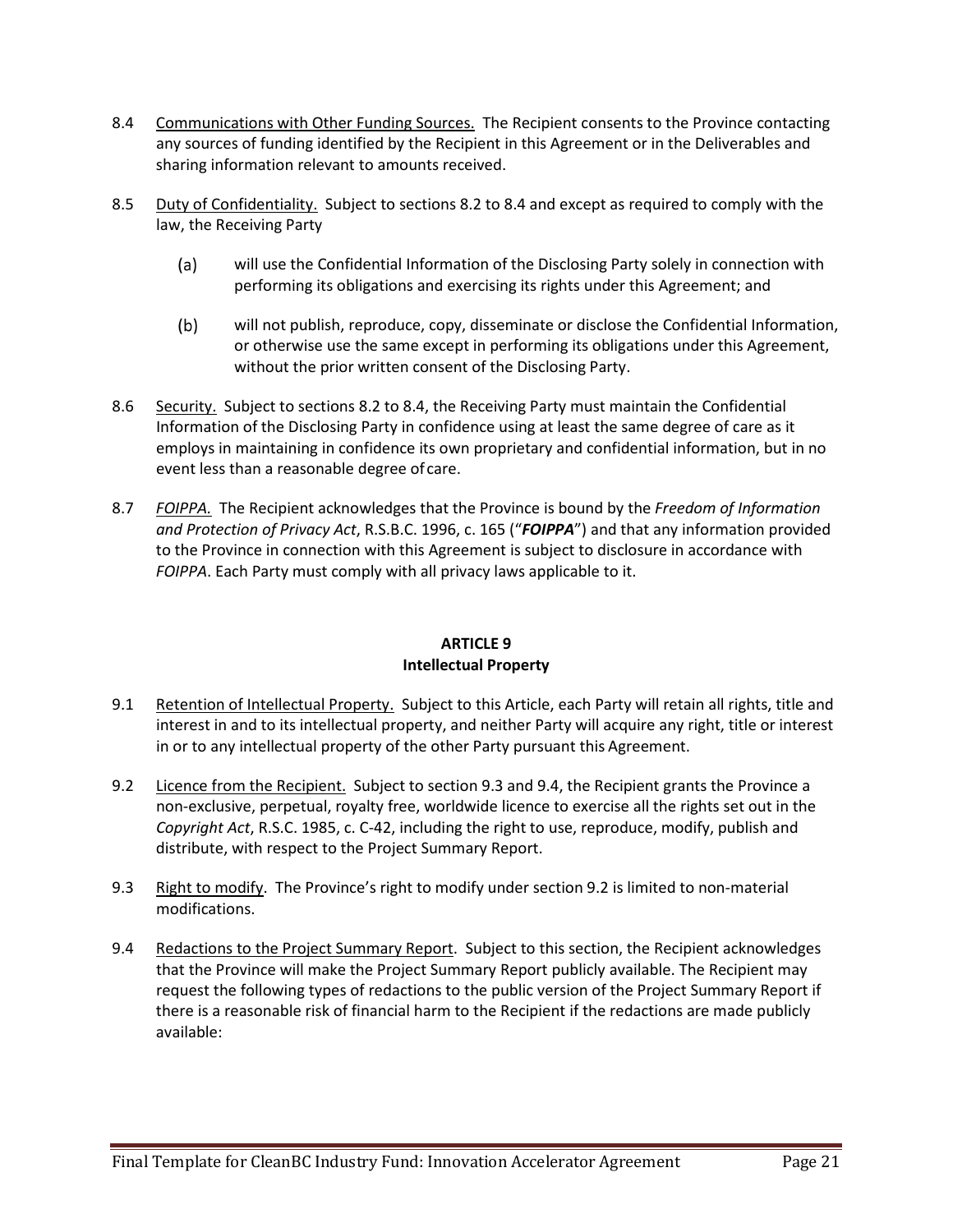- 8.4 Communications with Other Funding Sources. The Recipient consents to the Province contacting any sources of funding identified by the Recipient in this Agreement or in the Deliverables and sharing information relevant to amounts received.
- 8.5 Duty of Confidentiality. Subject to sections 8.2 to 8.4 and except as required to comply with the law, the Receiving Party
	- $(a)$ will use the Confidential Information of the Disclosing Party solely in connection with performing its obligations and exercising its rights under this Agreement; and
	- $(b)$ will not publish, reproduce, copy, disseminate or disclose the Confidential Information, or otherwise use the same except in performing its obligations under this Agreement, without the prior written consent of the Disclosing Party.
- 8.6 Security. Subject to sections 8.2 to 8.4, the Receiving Party must maintain the Confidential Information of the Disclosing Party in confidence using at least the same degree of care as it employs in maintaining in confidence its own proprietary and confidential information, but in no event less than a reasonable degree of care.
- 8.7 *FOIPPA.* The Recipient acknowledges that the Province is bound by the *Freedom of Information and Protection of Privacy Act*, R.S.B.C. 1996, c. 165 ("*FOIPPA*") and that any information provided to the Province in connection with this Agreement is subject to disclosure in accordance with *FOIPPA*. Each Party must comply with all privacy laws applicable to it.

# **ARTICLE 9 Intellectual Property**

- 9.1 Retention of Intellectual Property. Subject to this Article, each Party will retain all rights, title and interest in and to its intellectual property, and neither Party will acquire any right, title or interest in or to any intellectual property of the other Party pursuant this Agreement.
- 9.2 Licence from the Recipient. Subject to section 9.3 and 9.4, the Recipient grants the Province a non-exclusive, perpetual, royalty free, worldwide licence to exercise all the rights set out in the *Copyright Act*, R.S.C. 1985, c. C-42, including the right to use, reproduce, modify, publish and distribute, with respect to the Project Summary Report.
- 9.3 Right to modify. The Province's right to modify under section 9.2 is limited to non-material modifications.
- 9.4 Redactions to the Project Summary Report. Subject to this section, the Recipient acknowledges that the Province will make the Project Summary Report publicly available. The Recipient may request the following types of redactions to the public version of the Project Summary Report if there is a reasonable risk of financial harm to the Recipient if the redactions are made publicly available: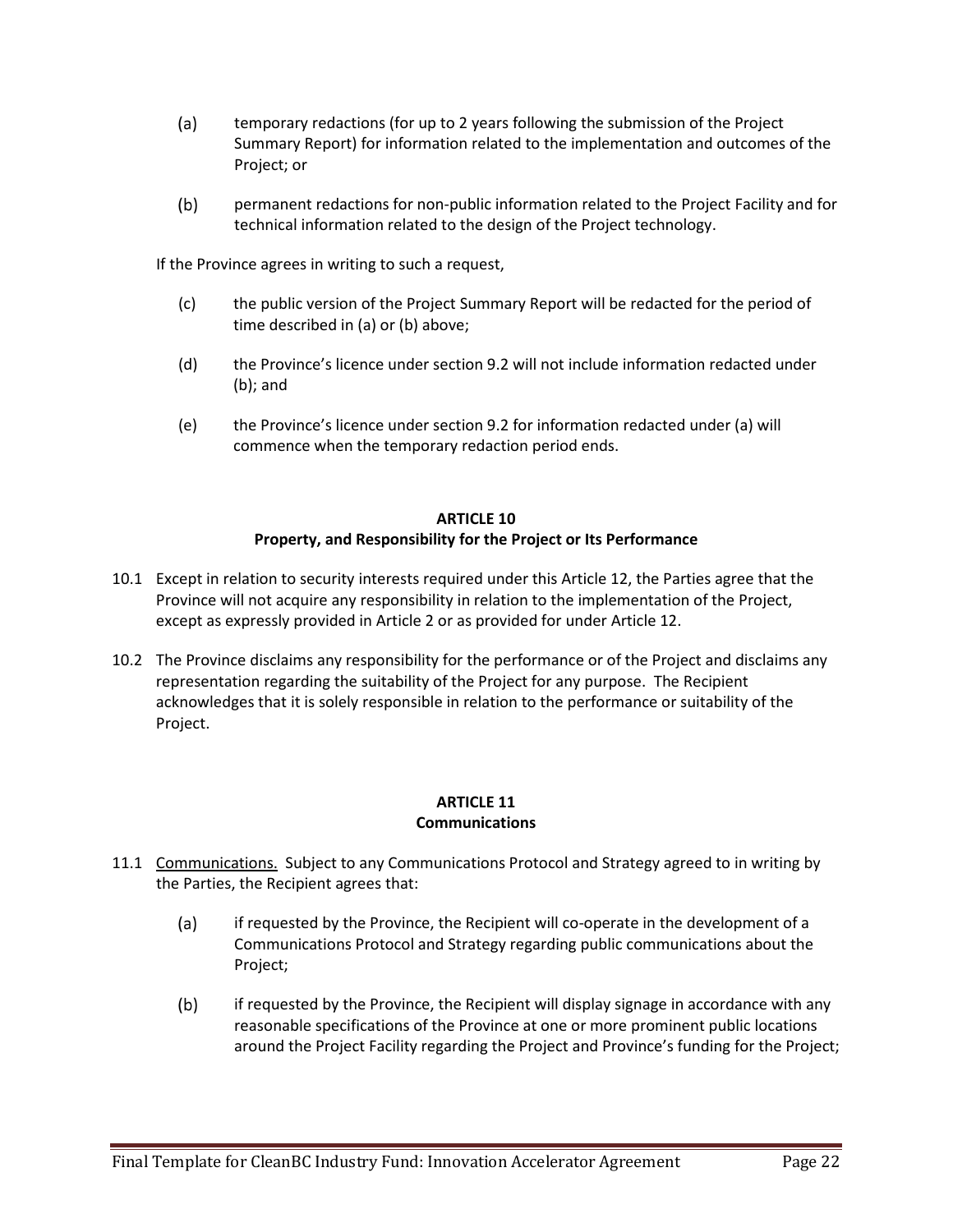- $(a)$ temporary redactions (for up to 2 years following the submission of the Project Summary Report) for information related to the implementation and outcomes of the Project; or
- $(b)$ permanent redactions for non-public information related to the Project Facility and for technical information related to the design of the Project technology.

If the Province agrees in writing to such a request,

- (c) the public version of the Project Summary Report will be redacted for the period of time described in (a) or (b) above;
- (d) the Province's licence under section 9.2 will not include information redacted under (b); and
- (e) the Province's licence under section 9.2 for information redacted under (a) will commence when the temporary redaction period ends.

# **ARTICLE 10 Property, and Responsibility for the Project or Its Performance**

- 10.1 Except in relation to security interests required under this Article 12, the Parties agree that the Province will not acquire any responsibility in relation to the implementation of the Project, except as expressly provided in Article 2 or as provided for under Article 12.
- 10.2 The Province disclaims any responsibility for the performance or of the Project and disclaims any representation regarding the suitability of the Project for any purpose. The Recipient acknowledges that it is solely responsible in relation to the performance or suitability of the Project.

### **ARTICLE 11 Communications**

- 11.1 Communications. Subject to any Communications Protocol and Strategy agreed to in writing by the Parties, the Recipient agrees that:
	- $(a)$ if requested by the Province, the Recipient will co-operate in the development of a Communications Protocol and Strategy regarding public communications about the Project;
	- $(b)$ if requested by the Province, the Recipient will display signage in accordance with any reasonable specifications of the Province at one or more prominent public locations around the Project Facility regarding the Project and Province's funding for the Project;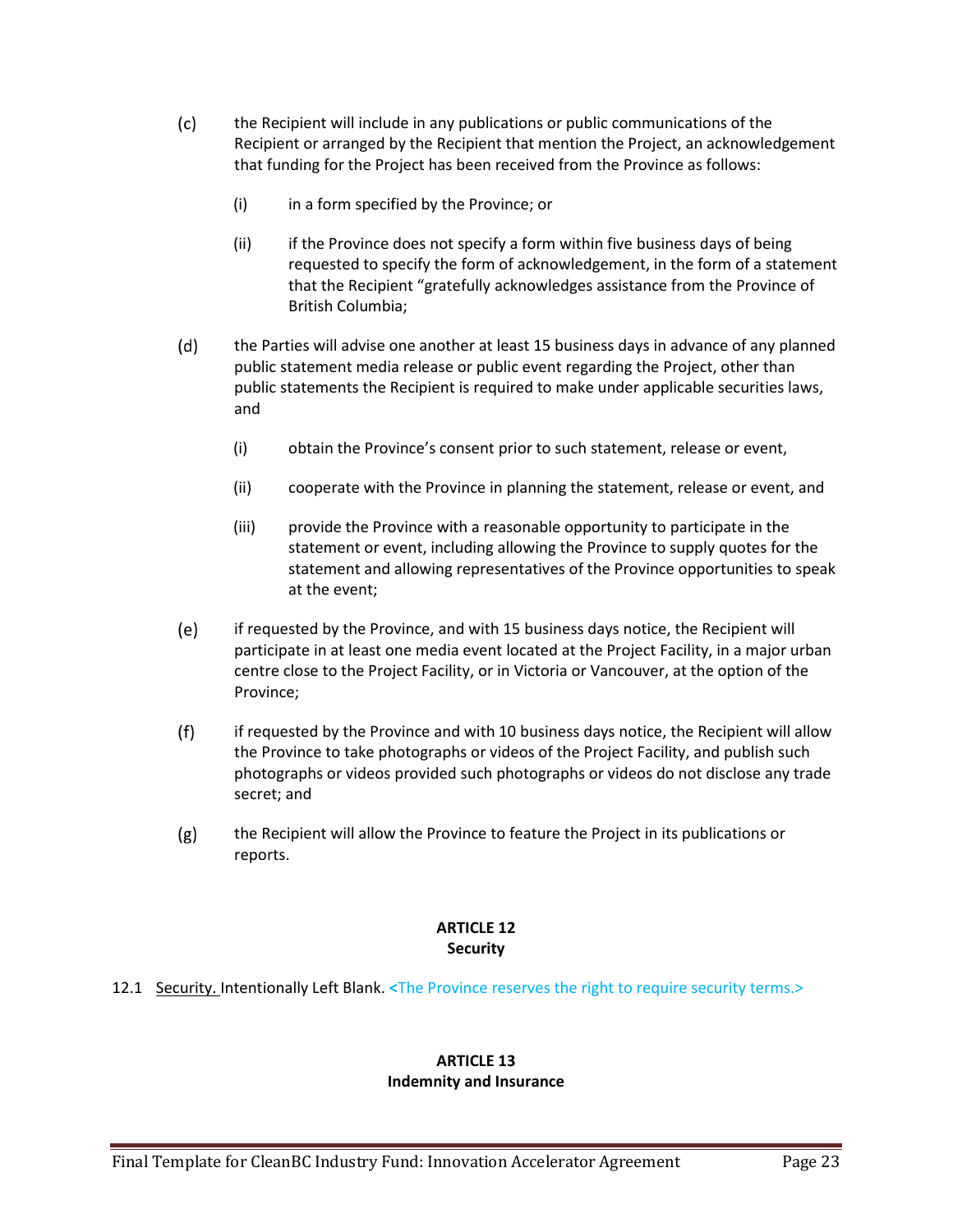- $(c)$ the Recipient will include in any publications or public communications of the Recipient or arranged by the Recipient that mention the Project, an acknowledgement that funding for the Project has been received from the Province as follows:
	- (i) in a form specified by the Province; or
	- (ii) if the Province does not specify a form within five business days of being requested to specify the form of acknowledgement, in the form of a statement that the Recipient "gratefully acknowledges assistance from the Province of British Columbia;
- $(d)$ the Parties will advise one another at least 15 business days in advance of any planned public statement media release or public event regarding the Project, other than public statements the Recipient is required to make under applicable securities laws, and
	- (i) obtain the Province's consent prior to such statement, release or event,
	- (ii) cooperate with the Province in planning the statement, release or event, and
	- (iii) provide the Province with a reasonable opportunity to participate in the statement or event, including allowing the Province to supply quotes for the statement and allowing representatives of the Province opportunities to speak at the event;
- $(e)$ if requested by the Province, and with 15 business days notice, the Recipient will participate in at least one media event located at the Project Facility, in a major urban centre close to the Project Facility, or in Victoria or Vancouver, at the option of the Province;
- if requested by the Province and with 10 business days notice, the Recipient will allow  $(f)$ the Province to take photographs or videos of the Project Facility, and publish such photographs or videos provided such photographs or videos do not disclose any trade secret; and
- $(g)$ the Recipient will allow the Province to feature the Project in its publications or reports.

# **ARTICLE 12 Security**

12.1 Security. Intentionally Left Blank. **<**The Province reserves the right to require security terms.>

#### **ARTICLE 13 Indemnity and Insurance**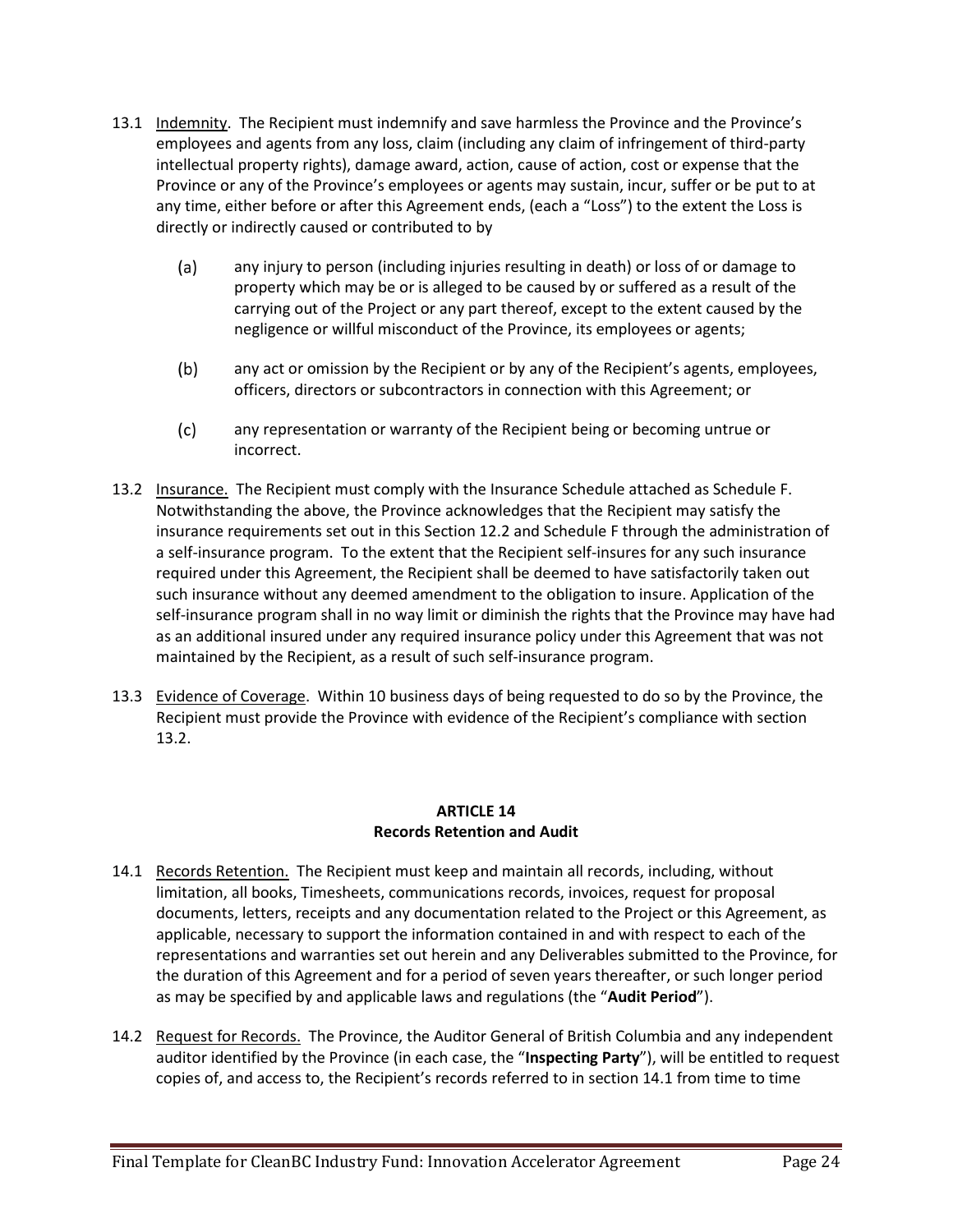- 13.1 Indemnity. The Recipient must indemnify and save harmless the Province and the Province's employees and agents from any loss, claim (including any claim of infringement of third-party intellectual property rights), damage award, action, cause of action, cost or expense that the Province or any of the Province's employees or agents may sustain, incur, suffer or be put to at any time, either before or after this Agreement ends, (each a "Loss") to the extent the Loss is directly or indirectly caused or contributed to by
	- $(a)$ any injury to person (including injuries resulting in death) or loss of or damage to property which may be or is alleged to be caused by or suffered as a result of the carrying out of the Project or any part thereof, except to the extent caused by the negligence or willful misconduct of the Province, its employees or agents;
	- $(b)$ any act or omission by the Recipient or by any of the Recipient's agents, employees, officers, directors or subcontractors in connection with this Agreement; or
	- $(c)$ any representation or warranty of the Recipient being or becoming untrue or incorrect.
- 13.2 Insurance. The Recipient must comply with the Insurance Schedule attached as Schedule F. Notwithstanding the above, the Province acknowledges that the Recipient may satisfy the insurance requirements set out in this Section 12.2 and Schedule F through the administration of a self-insurance program. To the extent that the Recipient self-insures for any such insurance required under this Agreement, the Recipient shall be deemed to have satisfactorily taken out such insurance without any deemed amendment to the obligation to insure. Application of the self-insurance program shall in no way limit or diminish the rights that the Province may have had as an additional insured under any required insurance policy under this Agreement that was not maintained by the Recipient, as a result of such self-insurance program.
- 13.3 Evidence of Coverage. Within 10 business days of being requested to do so by the Province, the Recipient must provide the Province with evidence of the Recipient's compliance with section 13.2.

### **ARTICLE 14 Records Retention and Audit**

- 14.1 Records Retention. The Recipient must keep and maintain all records, including, without limitation, all books, Timesheets, communications records, invoices, request for proposal documents, letters, receipts and any documentation related to the Project or this Agreement, as applicable, necessary to support the information contained in and with respect to each of the representations and warranties set out herein and any Deliverables submitted to the Province, for the duration of this Agreement and for a period of seven years thereafter, or such longer period as may be specified by and applicable laws and regulations (the "**Audit Period**").
- 14.2 Request for Records. The Province, the Auditor General of British Columbia and any independent auditor identified by the Province (in each case, the "**Inspecting Party**"), will be entitled to request copies of, and access to, the Recipient's records referred to in section 14.1 from time to time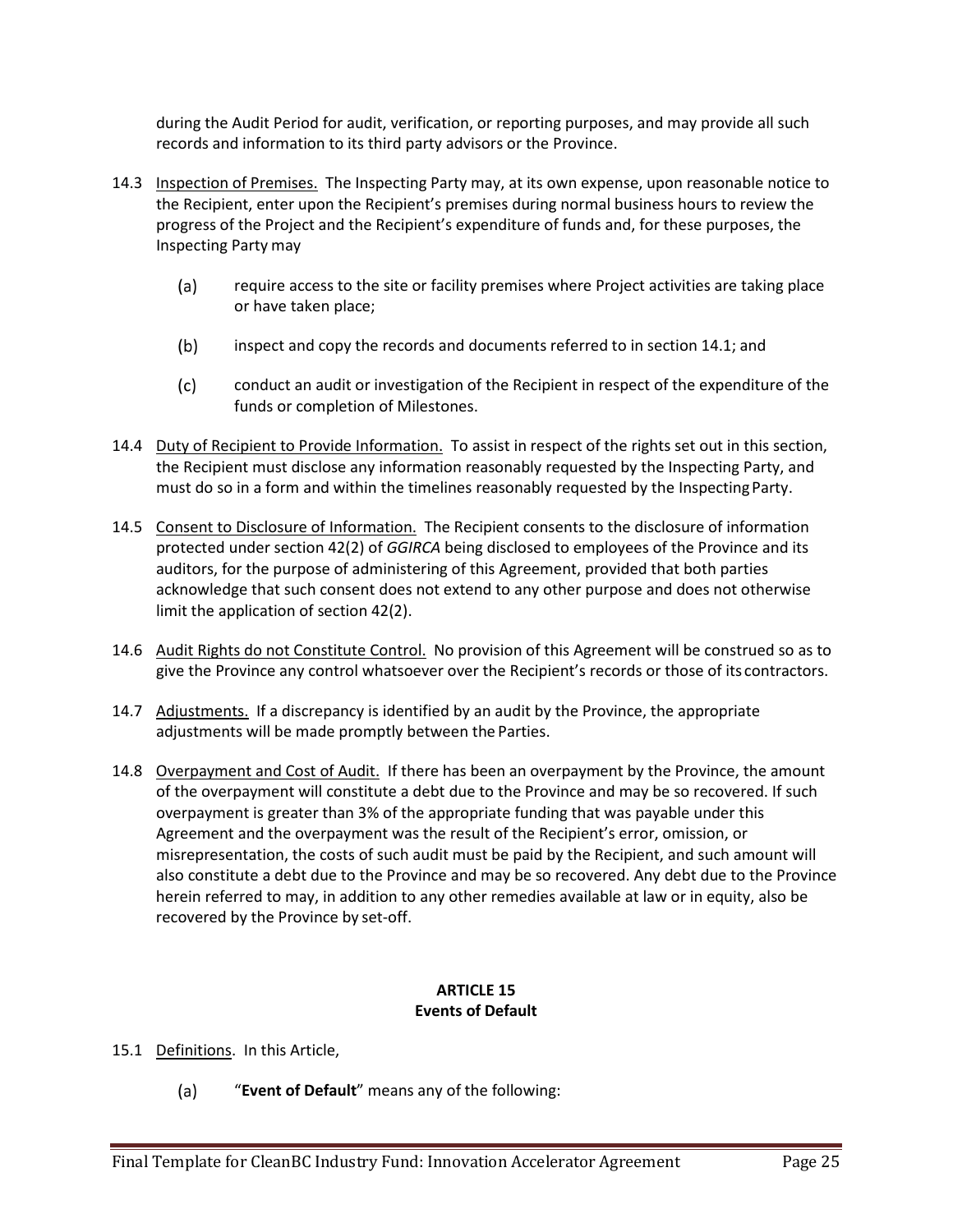during the Audit Period for audit, verification, or reporting purposes, and may provide all such records and information to its third party advisors or the Province.

- 14.3 Inspection of Premises. The Inspecting Party may, at its own expense, upon reasonable notice to the Recipient, enter upon the Recipient's premises during normal business hours to review the progress of the Project and the Recipient's expenditure of funds and, for these purposes, the Inspecting Party may
	- require access to the site or facility premises where Project activities are taking place  $(a)$ or have taken place;
	- $(b)$ inspect and copy the records and documents referred to in section 14.1; and
	- $(c)$ conduct an audit or investigation of the Recipient in respect of the expenditure of the funds or completion of Milestones.
- 14.4 Duty of Recipient to Provide Information. To assist in respect of the rights set out in this section, the Recipient must disclose any information reasonably requested by the Inspecting Party, and must do so in a form and within the timelines reasonably requested by the InspectingParty.
- 14.5 Consent to Disclosure of Information. The Recipient consents to the disclosure of information protected under section 42(2) of *GGIRCA* being disclosed to employees of the Province and its auditors, for the purpose of administering of this Agreement, provided that both parties acknowledge that such consent does not extend to any other purpose and does not otherwise limit the application of section 42(2).
- 14.6 Audit Rights do not Constitute Control. No provision of this Agreement will be construed so as to give the Province any control whatsoever over the Recipient's records or those of its contractors.
- 14.7 Adjustments. If a discrepancy is identified by an audit by the Province, the appropriate adjustments will be made promptly between the Parties.
- 14.8 Overpayment and Cost of Audit. If there has been an overpayment by the Province, the amount of the overpayment will constitute a debt due to the Province and may be so recovered. If such overpayment is greater than 3% of the appropriate funding that was payable under this Agreement and the overpayment was the result of the Recipient's error, omission, or misrepresentation, the costs of such audit must be paid by the Recipient, and such amount will also constitute a debt due to the Province and may be so recovered. Any debt due to the Province herein referred to may, in addition to any other remedies available at law or in equity, also be recovered by the Province by set-off.

# **ARTICLE 15 Events of Default**

- 15.1 Definitions. In this Article,
	- "**Event of Default**" means any of the following: $(a)$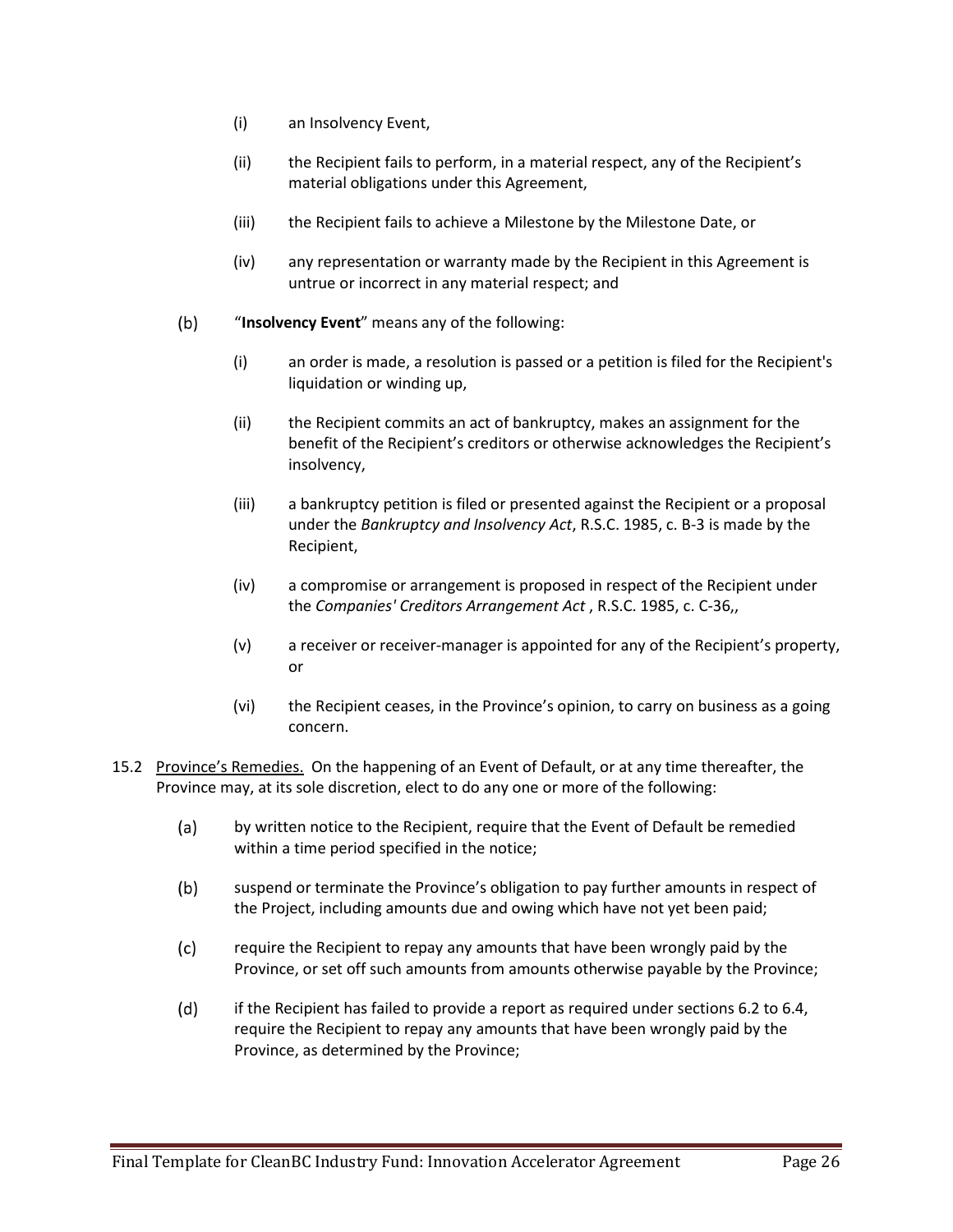- (i) an Insolvency Event,
- (ii) the Recipient fails to perform, in a material respect, any of the Recipient's material obligations under this Agreement,
- (iii) the Recipient fails to achieve a Milestone by the Milestone Date, or
- (iv) any representation or warranty made by the Recipient in this Agreement is untrue or incorrect in any material respect; and
- $(b)$ "**Insolvency Event**" means any of the following:
	- (i) an order is made, a resolution is passed or a petition is filed for the Recipient's liquidation or winding up,
	- (ii) the Recipient commits an act of bankruptcy, makes an assignment for the benefit of the Recipient's creditors or otherwise acknowledges the Recipient's insolvency,
	- (iii) a bankruptcy petition is filed or presented against the Recipient or a proposal under the *Bankruptcy and Insolvency Act*, R.S.C. 1985, c. B-3 is made by the Recipient,
	- (iv) a compromise or arrangement is proposed in respect of the Recipient under the *Companies' Creditors Arrangement Act* , R.S.C. 1985, c. C-36,,
	- (v) a receiver or receiver-manager is appointed for any of the Recipient's property, or
	- (vi) the Recipient ceases, in the Province's opinion, to carry on business as a going concern.
- 15.2 Province's Remedies. On the happening of an Event of Default, or at any time thereafter, the Province may, at its sole discretion, elect to do any one or more of the following:
	- $(a)$ by written notice to the Recipient, require that the Event of Default be remedied within a time period specified in the notice;
	- $(b)$ suspend or terminate the Province's obligation to pay further amounts in respect of the Project, including amounts due and owing which have not yet been paid;
	- $(c)$ require the Recipient to repay any amounts that have been wrongly paid by the Province, or set off such amounts from amounts otherwise payable by the Province;
	- $(d)$ if the Recipient has failed to provide a report as required under sections 6.2 to 6.4, require the Recipient to repay any amounts that have been wrongly paid by the Province, as determined by the Province;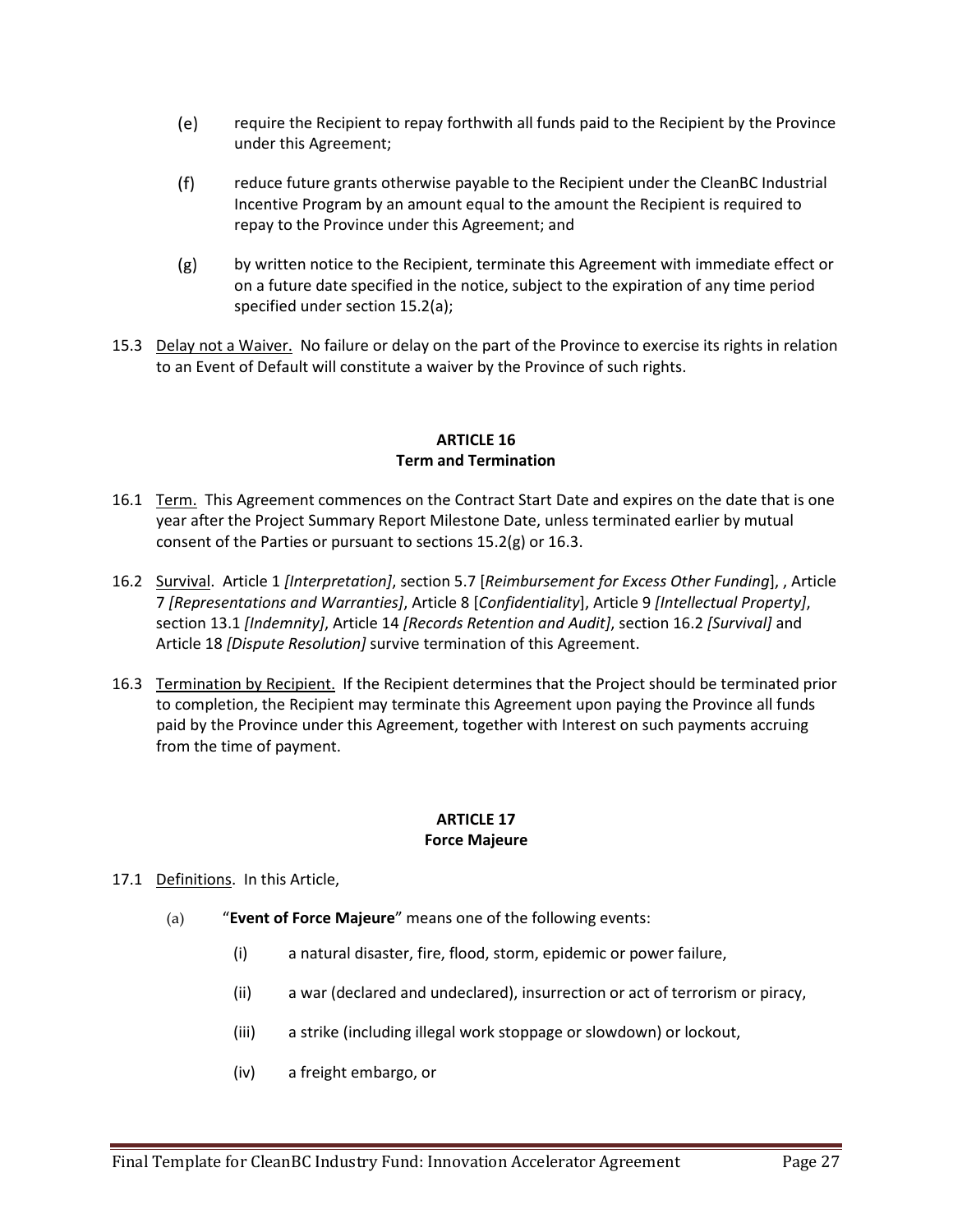- $(e)$ require the Recipient to repay forthwith all funds paid to the Recipient by the Province under this Agreement;
- $(f)$ reduce future grants otherwise payable to the Recipient under the CleanBC Industrial Incentive Program by an amount equal to the amount the Recipient is required to repay to the Province under this Agreement; and
- $(g)$ by written notice to the Recipient, terminate this Agreement with immediate effect or on a future date specified in the notice, subject to the expiration of any time period specified under section 15.2(a);
- 15.3 Delay not a Waiver. No failure or delay on the part of the Province to exercise its rights in relation to an Event of Default will constitute a waiver by the Province of such rights.

### **ARTICLE 16 Term and Termination**

- 16.1 Term. This Agreement commences on the Contract Start Date and expires on the date that is one year after the Project Summary Report Milestone Date, unless terminated earlier by mutual consent of the Parties or pursuant to sections 15.2(g) or 16.3.
- 16.2 Survival. Article 1 *[Interpretation]*, section 5.7 [*Reimbursement for Excess Other Funding*], , Article 7 *[Representations and Warranties]*, Article 8 [*Confidentiality*], Article 9 *[Intellectual Property]*, section 13.1 *[Indemnity]*, Article 14 *[Records Retention and Audit]*, section 16.2 *[Survival]* and Article 18 *[Dispute Resolution]* survive termination of this Agreement.
- 16.3 Termination by Recipient. If the Recipient determines that the Project should be terminated prior to completion, the Recipient may terminate this Agreement upon paying the Province all funds paid by the Province under this Agreement, together with Interest on such payments accruing from the time of payment.

#### **ARTICLE 17 Force Majeure**

# 17.1 Definitions. In this Article,

- (a) "**Event of Force Majeure**" means one of the following events:
	- (i) a natural disaster, fire, flood, storm, epidemic or power failure,
	- (ii) a war (declared and undeclared), insurrection or act of terrorism or piracy,
	- (iii) a strike (including illegal work stoppage or slowdown) or lockout,
	- (iv) a freight embargo, or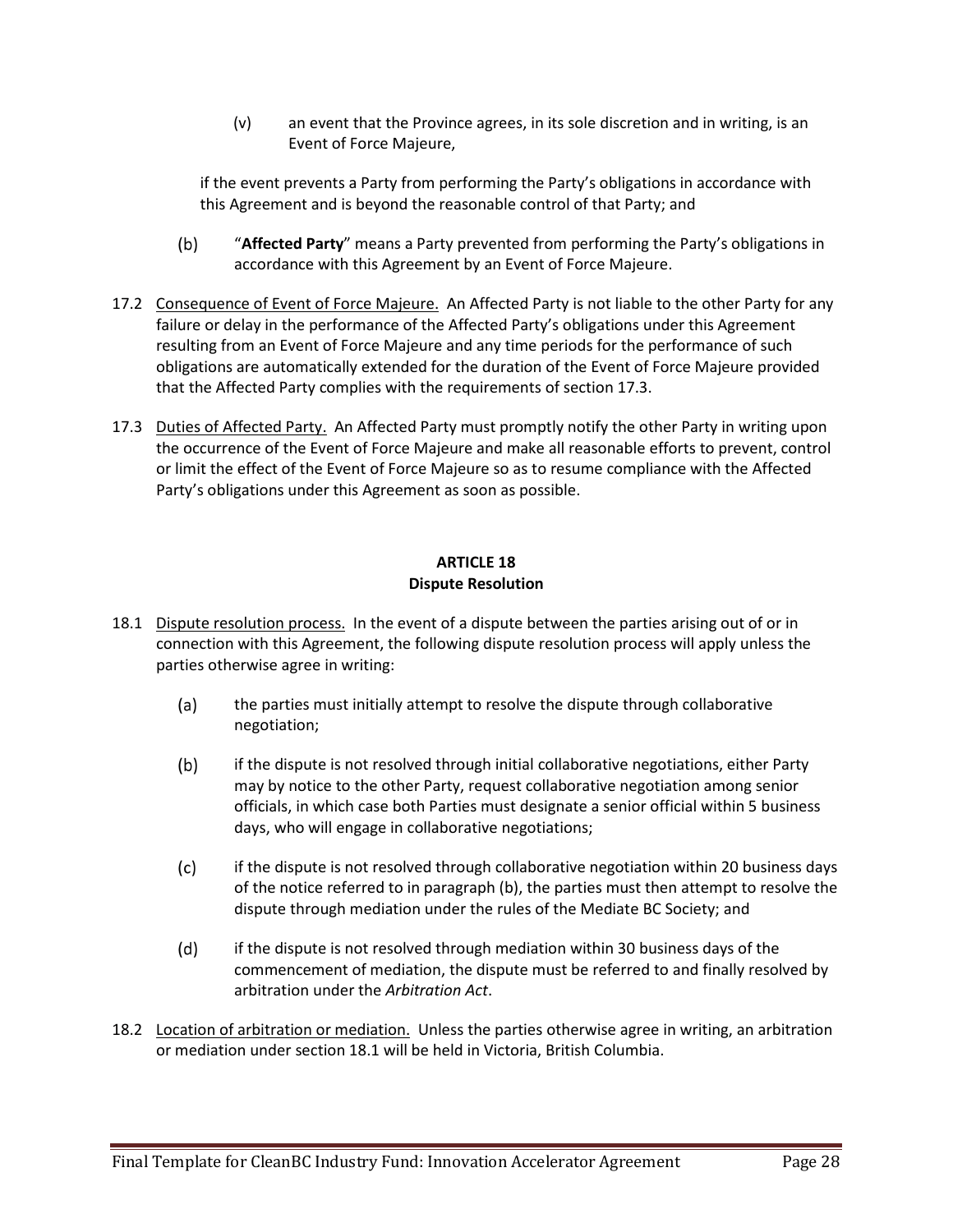(v) an event that the Province agrees, in its sole discretion and in writing, is an Event of Force Majeure,

if the event prevents a Party from performing the Party's obligations in accordance with this Agreement and is beyond the reasonable control of that Party; and

- $(b)$ "**Affected Party**" means a Party prevented from performing the Party's obligations in accordance with this Agreement by an Event of Force Majeure.
- 17.2 Consequence of Event of Force Majeure. An Affected Party is not liable to the other Party for any failure or delay in the performance of the Affected Party's obligations under this Agreement resulting from an Event of Force Majeure and any time periods for the performance of such obligations are automatically extended for the duration of the Event of Force Majeure provided that the Affected Party complies with the requirements of section 17.3.
- 17.3 Duties of Affected Party. An Affected Party must promptly notify the other Party in writing upon the occurrence of the Event of Force Majeure and make all reasonable efforts to prevent, control or limit the effect of the Event of Force Majeure so as to resume compliance with the Affected Party's obligations under this Agreement as soon as possible.

#### **ARTICLE 18 Dispute Resolution**

- 18.1 Dispute resolution process. In the event of a dispute between the parties arising out of or in connection with this Agreement, the following dispute resolution process will apply unless the parties otherwise agree in writing:
	- $(a)$ the parties must initially attempt to resolve the dispute through collaborative negotiation;
	- $(b)$ if the dispute is not resolved through initial collaborative negotiations, either Party may by notice to the other Party, request collaborative negotiation among senior officials, in which case both Parties must designate a senior official within 5 business days, who will engage in collaborative negotiations;
	- $(c)$ if the dispute is not resolved through collaborative negotiation within 20 business days of the notice referred to in paragraph (b), the parties must then attempt to resolve the dispute through mediation under the rules of the Mediate BC Society; and
	- $(d)$ if the dispute is not resolved through mediation within 30 business days of the commencement of mediation, the dispute must be referred to and finally resolved by arbitration under the *Arbitration Act*.
- 18.2 Location of arbitration or mediation. Unless the parties otherwise agree in writing, an arbitration or mediation under section 18.1 will be held in Victoria, British Columbia.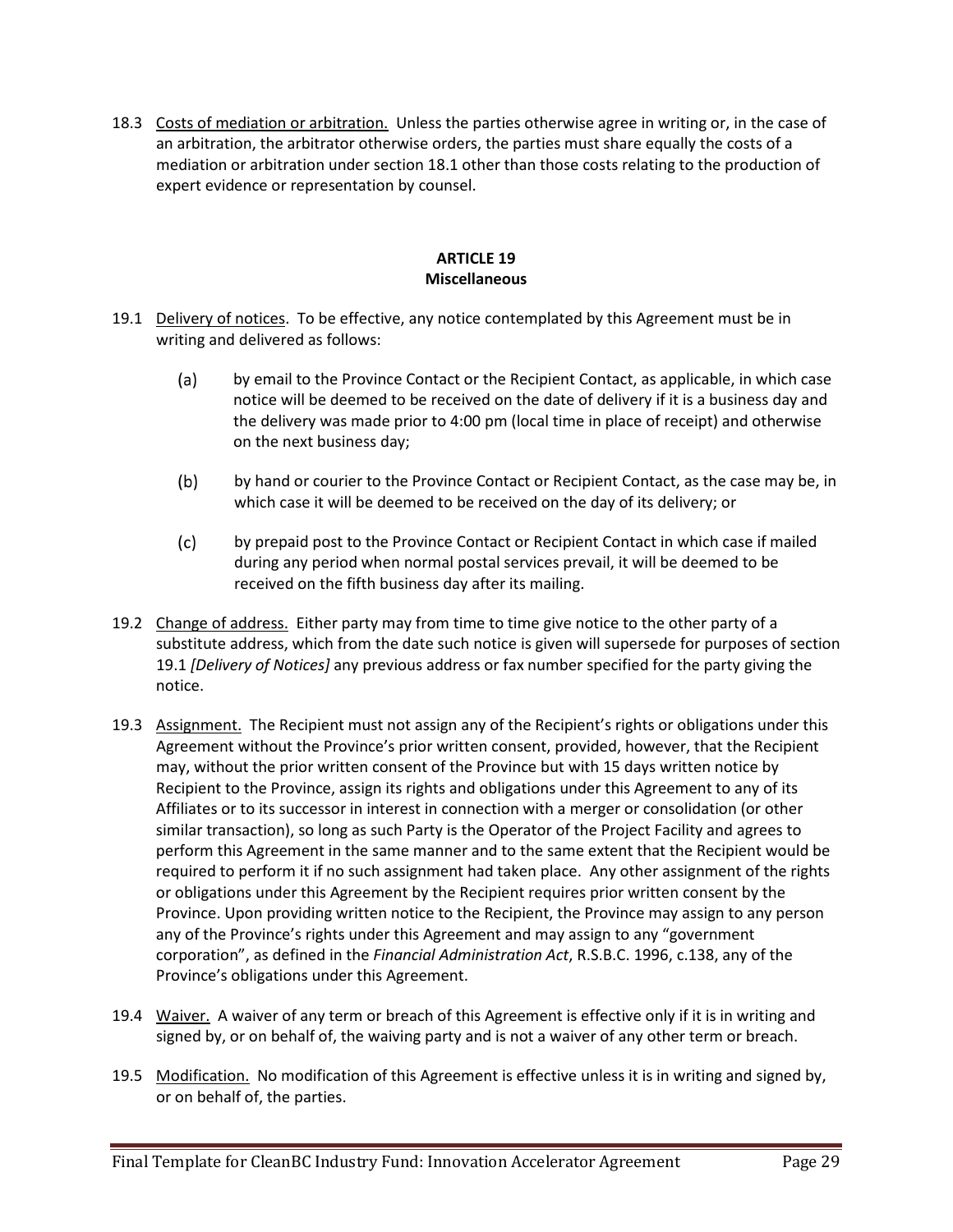18.3 Costs of mediation or arbitration. Unless the parties otherwise agree in writing or, in the case of an arbitration, the arbitrator otherwise orders, the parties must share equally the costs of a mediation or arbitration under section 18.1 other than those costs relating to the production of expert evidence or representation by counsel.

## **ARTICLE 19 Miscellaneous**

- 19.1 Delivery of notices. To be effective, any notice contemplated by this Agreement must be in writing and delivered as follows:
	- $(a)$ by email to the Province Contact or the Recipient Contact, as applicable, in which case notice will be deemed to be received on the date of delivery if it is a business day and the delivery was made prior to 4:00 pm (local time in place of receipt) and otherwise on the next business day;
	- $(b)$ by hand or courier to the Province Contact or Recipient Contact, as the case may be, in which case it will be deemed to be received on the day of its delivery; or
	- $(c)$ by prepaid post to the Province Contact or Recipient Contact in which case if mailed during any period when normal postal services prevail, it will be deemed to be received on the fifth business day after its mailing.
- 19.2 Change of address. Either party may from time to time give notice to the other party of a substitute address, which from the date such notice is given will supersede for purposes of section 19.1 *[Delivery of Notices]* any previous address or fax number specified for the party giving the notice.
- 19.3 Assignment. The Recipient must not assign any of the Recipient's rights or obligations under this Agreement without the Province's prior written consent, provided, however, that the Recipient may, without the prior written consent of the Province but with 15 days written notice by Recipient to the Province, assign its rights and obligations under this Agreement to any of its Affiliates or to its successor in interest in connection with a merger or consolidation (or other similar transaction), so long as such Party is the Operator of the Project Facility and agrees to perform this Agreement in the same manner and to the same extent that the Recipient would be required to perform it if no such assignment had taken place. Any other assignment of the rights or obligations under this Agreement by the Recipient requires prior written consent by the Province. Upon providing written notice to the Recipient, the Province may assign to any person any of the Province's rights under this Agreement and may assign to any "government corporation", as defined in the *Financial Administration Act*, R.S.B.C. 1996, c.138, any of the Province's obligations under this Agreement.
- 19.4 Waiver. A waiver of any term or breach of this Agreement is effective only if it is in writing and signed by, or on behalf of, the waiving party and is not a waiver of any other term or breach.
- 19.5 Modification. No modification of this Agreement is effective unless it is in writing and signed by, or on behalf of, the parties.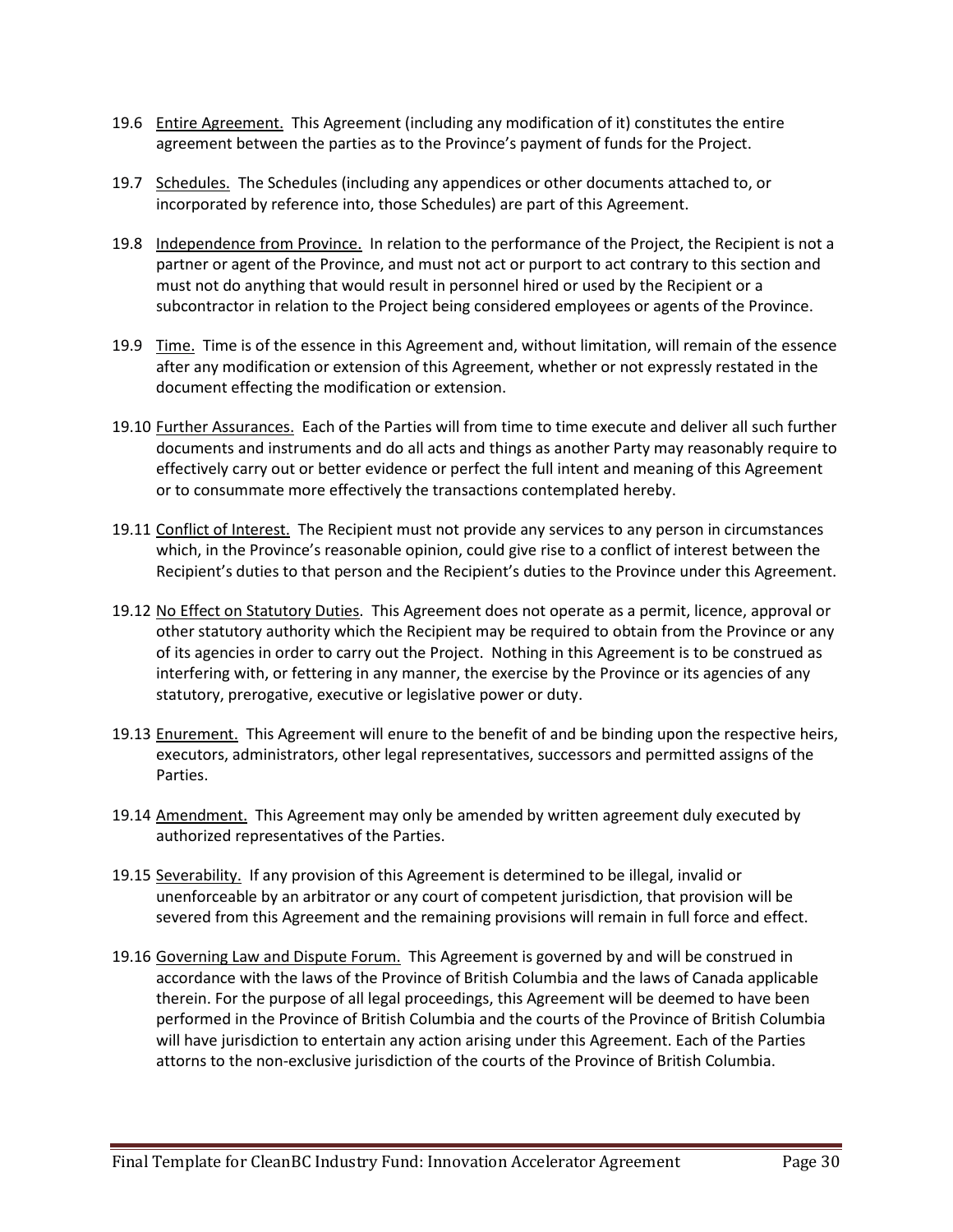- 19.6 Entire Agreement. This Agreement (including any modification of it) constitutes the entire agreement between the parties as to the Province's payment of funds for the Project.
- 19.7 Schedules. The Schedules (including any appendices or other documents attached to, or incorporated by reference into, those Schedules) are part of this Agreement.
- 19.8 Independence from Province. In relation to the performance of the Project, the Recipient is not a partner or agent of the Province, and must not act or purport to act contrary to this section and must not do anything that would result in personnel hired or used by the Recipient or a subcontractor in relation to the Project being considered employees or agents of the Province.
- 19.9 Time. Time is of the essence in this Agreement and, without limitation, will remain of the essence after any modification or extension of this Agreement, whether or not expressly restated in the document effecting the modification or extension.
- 19.10 Further Assurances. Each of the Parties will from time to time execute and deliver all such further documents and instruments and do all acts and things as another Party may reasonably require to effectively carry out or better evidence or perfect the full intent and meaning of this Agreement or to consummate more effectively the transactions contemplated hereby.
- 19.11 Conflict of Interest. The Recipient must not provide any services to any person in circumstances which, in the Province's reasonable opinion, could give rise to a conflict of interest between the Recipient's duties to that person and the Recipient's duties to the Province under this Agreement.
- 19.12 No Effect on Statutory Duties. This Agreement does not operate as a permit, licence, approval or other statutory authority which the Recipient may be required to obtain from the Province or any of its agencies in order to carry out the Project. Nothing in this Agreement is to be construed as interfering with, or fettering in any manner, the exercise by the Province or its agencies of any statutory, prerogative, executive or legislative power or duty.
- 19.13 Enurement. This Agreement will enure to the benefit of and be binding upon the respective heirs, executors, administrators, other legal representatives, successors and permitted assigns of the Parties.
- 19.14 Amendment. This Agreement may only be amended by written agreement duly executed by authorized representatives of the Parties.
- 19.15 Severability. If any provision of this Agreement is determined to be illegal, invalid or unenforceable by an arbitrator or any court of competent jurisdiction, that provision will be severed from this Agreement and the remaining provisions will remain in full force and effect.
- 19.16 Governing Law and Dispute Forum. This Agreement is governed by and will be construed in accordance with the laws of the Province of British Columbia and the laws of Canada applicable therein. For the purpose of all legal proceedings, this Agreement will be deemed to have been performed in the Province of British Columbia and the courts of the Province of British Columbia will have jurisdiction to entertain any action arising under this Agreement. Each of the Parties attorns to the non-exclusive jurisdiction of the courts of the Province of British Columbia.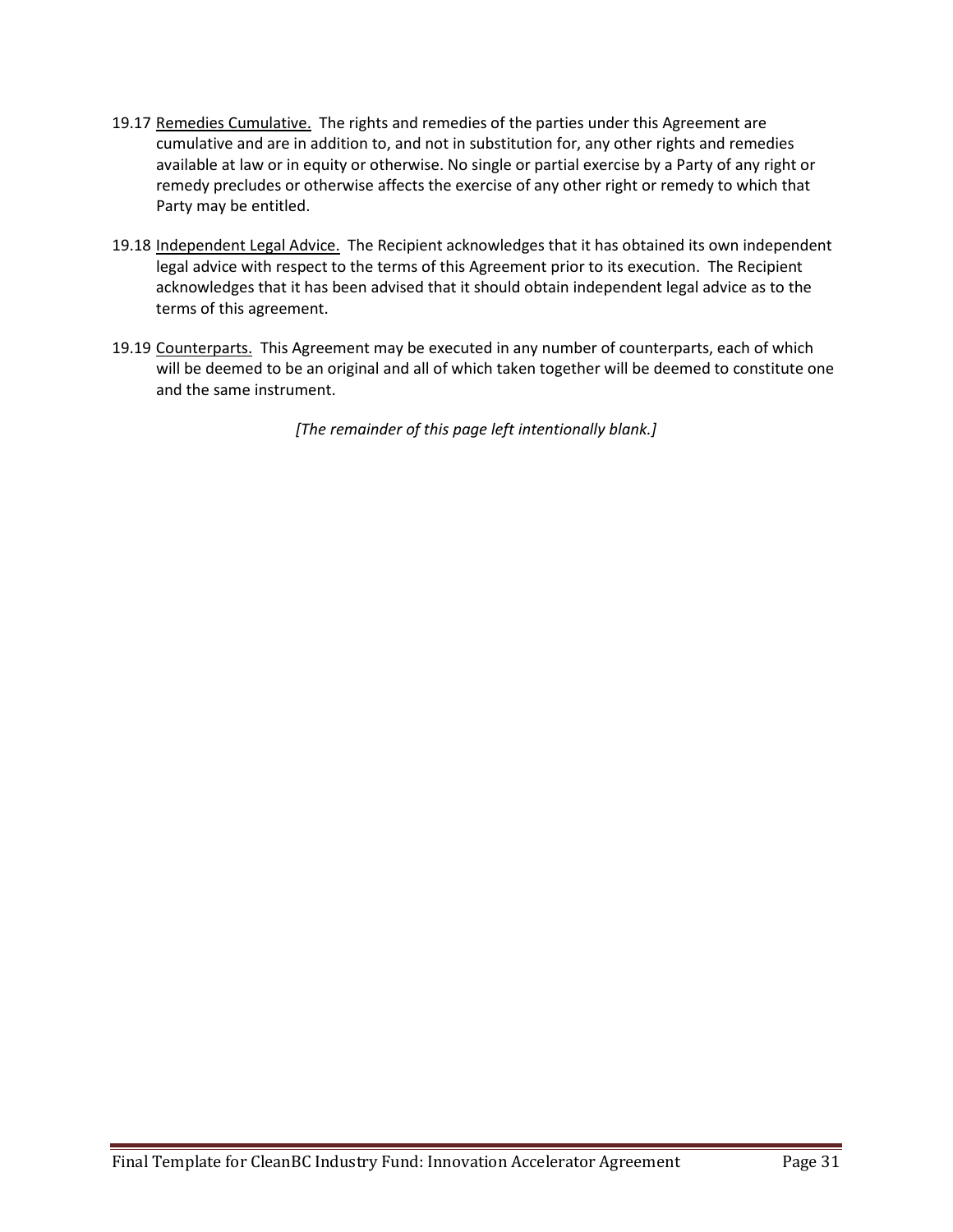- 19.17 Remedies Cumulative. The rights and remedies of the parties under this Agreement are cumulative and are in addition to, and not in substitution for, any other rights and remedies available at law or in equity or otherwise. No single or partial exercise by a Party of any right or remedy precludes or otherwise affects the exercise of any other right or remedy to which that Party may be entitled.
- 19.18 Independent Legal Advice. The Recipient acknowledges that it has obtained its own independent legal advice with respect to the terms of this Agreement prior to its execution. The Recipient acknowledges that it has been advised that it should obtain independent legal advice as to the terms of this agreement.
- 19.19 Counterparts. This Agreement may be executed in any number of counterparts, each of which will be deemed to be an original and all of which taken together will be deemed to constitute one and the same instrument.

*[The remainder of this page left intentionally blank.]*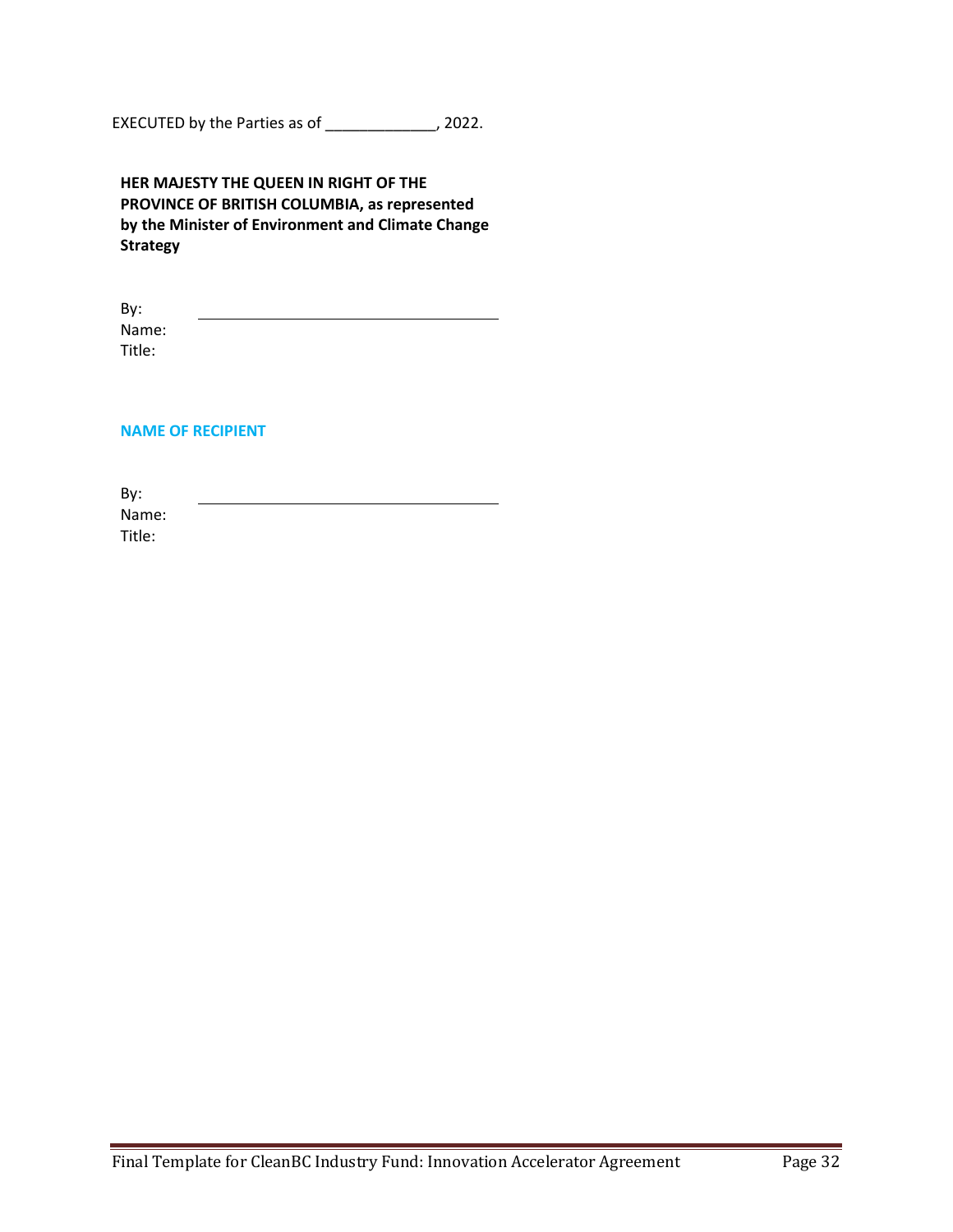EXECUTED by the Parties as of \_\_\_\_\_\_\_\_\_\_\_\_\_, 2022.

| HER MAJESTY THE QUEEN IN RIGHT OF THE             |
|---------------------------------------------------|
| PROVINCE OF BRITISH COLUMBIA, as represented      |
| by the Minister of Environment and Climate Change |
| <b>Strategy</b>                                   |

By: Name: Title:

#### **NAME OF RECIPIENT**

By: Name: Title: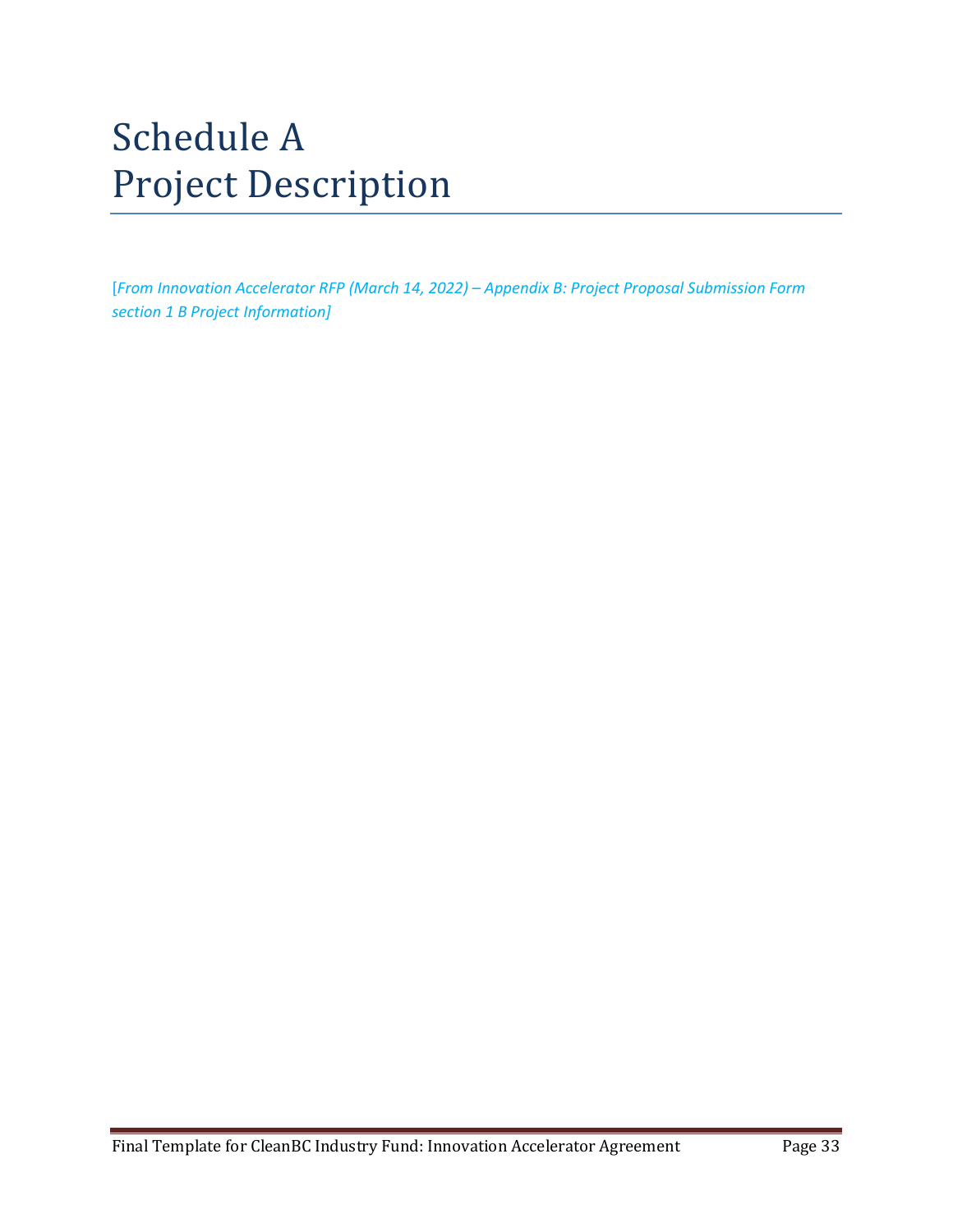# Schedule A Project Description

[*From Innovation Accelerator RFP (March 14, 2022) – Appendix B: Project Proposal Submission Form section 1 B Project Information]*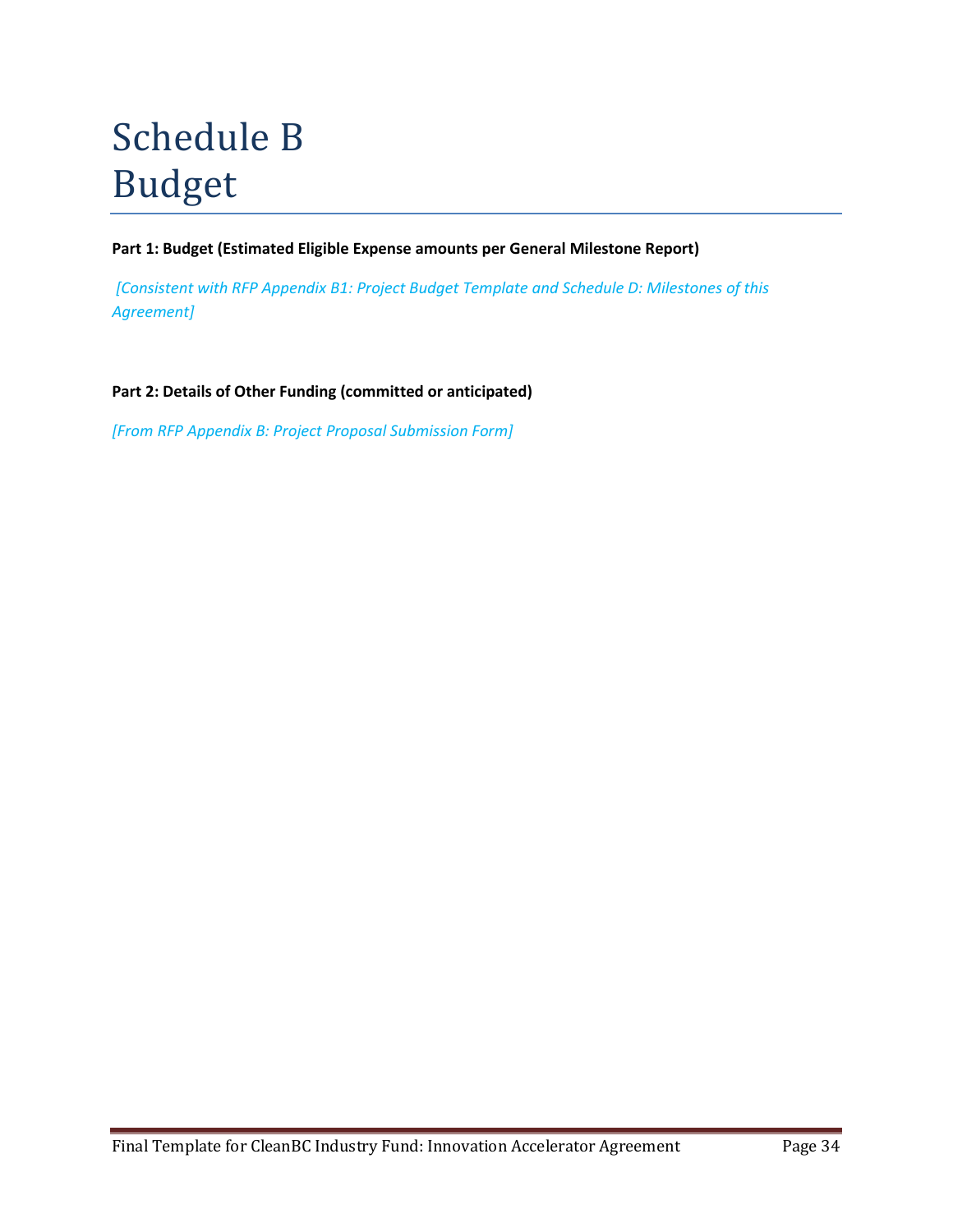# Schedule B Budget

**Part 1: Budget (Estimated Eligible Expense amounts per General Milestone Report)**

*[Consistent with RFP Appendix B1: Project Budget Template and Schedule D: Milestones of this Agreement]*

**Part 2: Details of Other Funding (committed or anticipated)**

*[From RFP Appendix B: Project Proposal Submission Form]*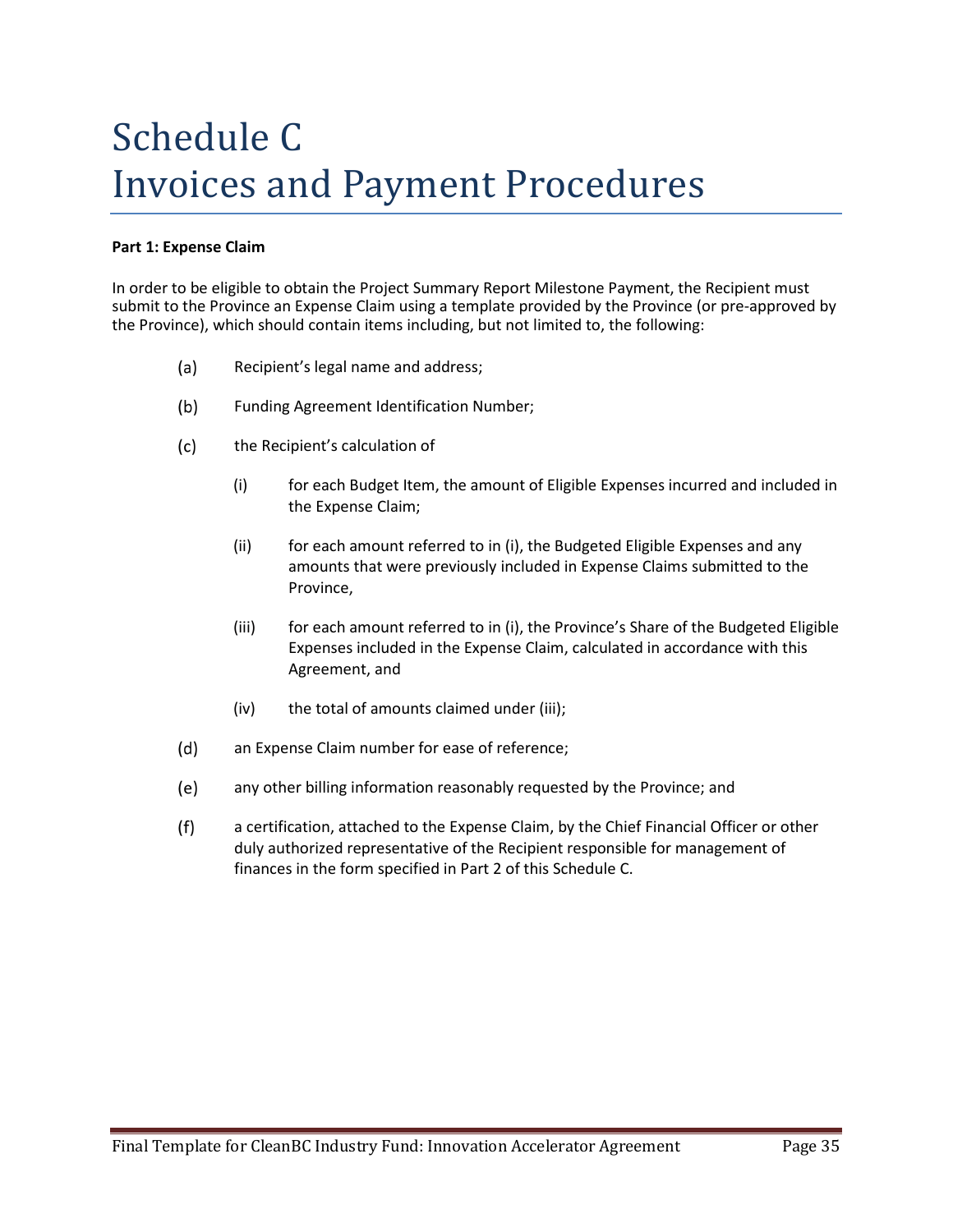# Schedule C Invoices and Payment Procedures

### **Part 1: Expense Claim**

In order to be eligible to obtain the Project Summary Report Milestone Payment, the Recipient must submit to the Province an Expense Claim using a template provided by the Province (or pre-approved by the Province), which should contain items including, but not limited to, the following:

- $(a)$ Recipient's legal name and address;
- $(b)$ Funding Agreement Identification Number;
- $(c)$ the Recipient's calculation of
	- (i) for each Budget Item, the amount of Eligible Expenses incurred and included in the Expense Claim;
	- (ii) for each amount referred to in (i), the Budgeted Eligible Expenses and any amounts that were previously included in Expense Claims submitted to the Province,
	- (iii) for each amount referred to in (i), the Province's Share of the Budgeted Eligible Expenses included in the Expense Claim, calculated in accordance with this Agreement, and
	- (iv) the total of amounts claimed under (iii);
- $(d)$ an Expense Claim number for ease of reference;
- $(e)$ any other billing information reasonably requested by the Province; and
- $(f)$ a certification, attached to the Expense Claim, by the Chief Financial Officer or other duly authorized representative of the Recipient responsible for management of finances in the form specified in Part 2 of this Schedule C.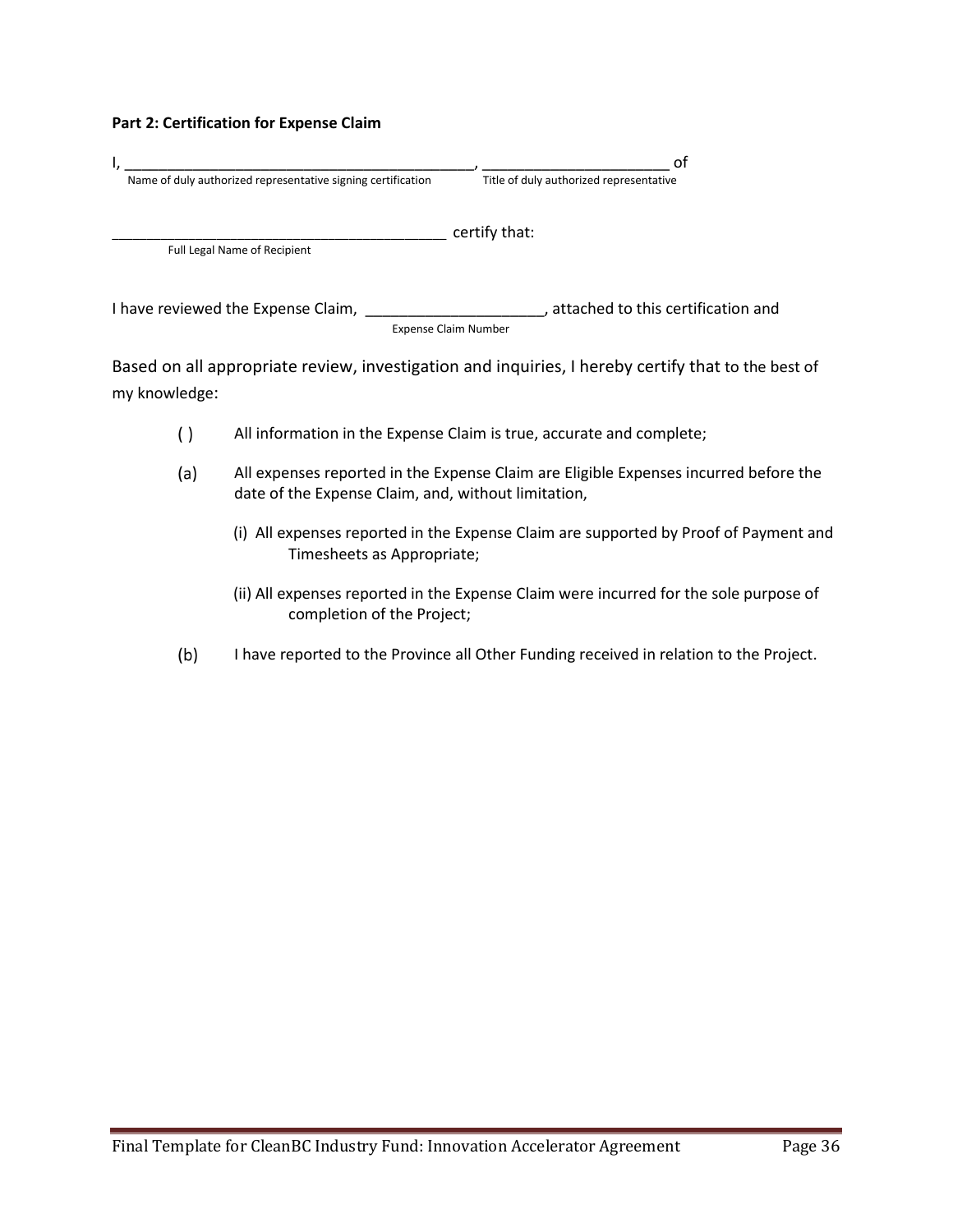#### **Part 2: Certification for Expense Claim**

|                                                              | оt                                      |
|--------------------------------------------------------------|-----------------------------------------|
| Name of duly authorized representative signing certification | Title of duly authorized representative |
|                                                              | certify that:                           |
| Full Legal Name of Recipient                                 |                                         |
| I have reviewed the Expense Claim,                           | attached to this certification and      |
|                                                              | <b>Expense Claim Number</b>             |

Based on all appropriate review, investigation and inquiries, I hereby certify that to the best of my knowledge:

- $( )$ All information in the Expense Claim is true, accurate and complete;
- All expenses reported in the Expense Claim are Eligible Expenses incurred before the  $(a)$ date of the Expense Claim, and, without limitation,
	- (i) All expenses reported in the Expense Claim are supported by Proof of Payment and Timesheets as Appropriate;
	- (ii) All expenses reported in the Expense Claim were incurred for the sole purpose of completion of the Project;
- $(b)$ I have reported to the Province all Other Funding received in relation to the Project.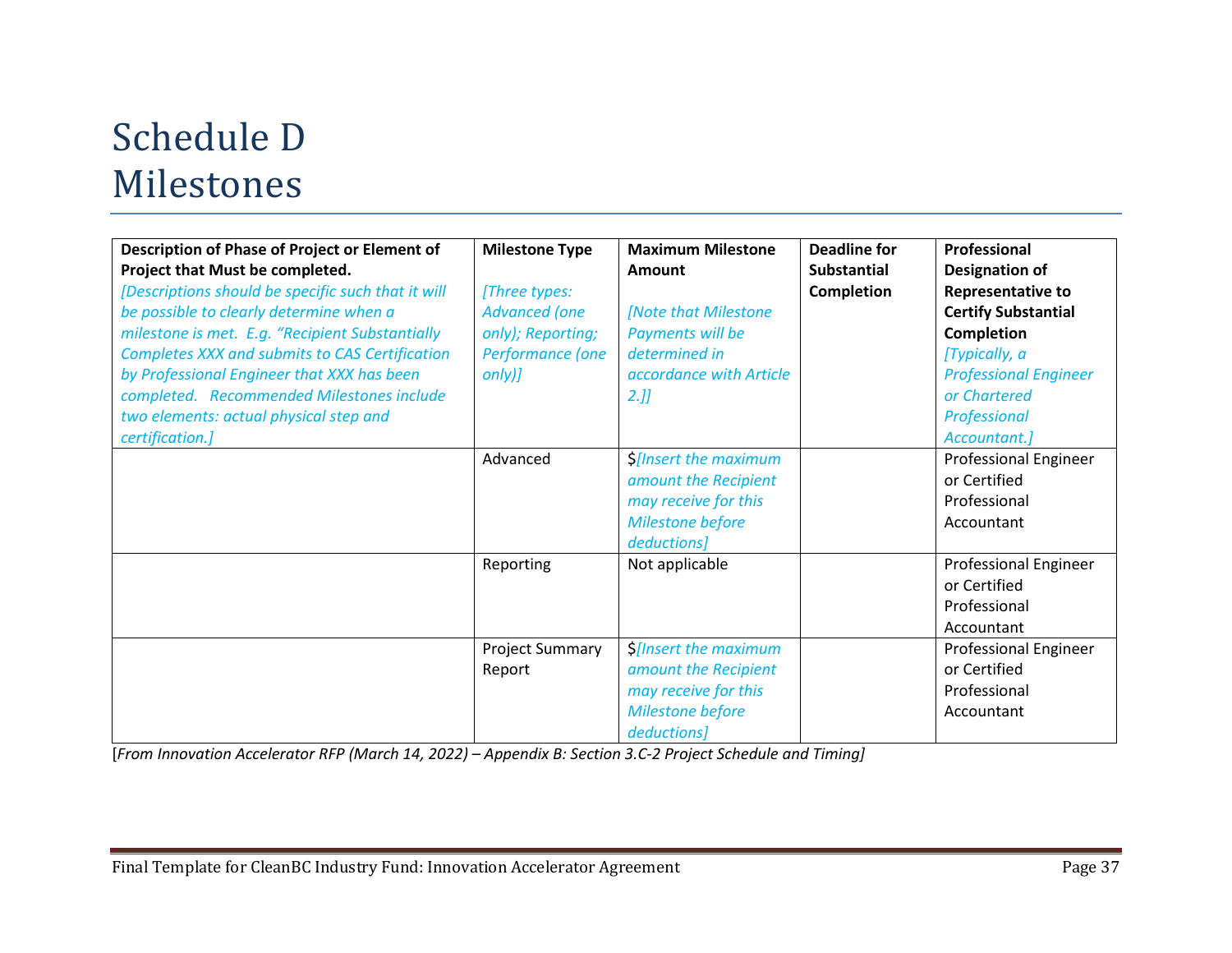# Schedule D Milestones

| Description of Phase of Project or Element of<br>Project that Must be completed.<br>[Descriptions should be specific such that it will<br>be possible to clearly determine when a<br>milestone is met. E.g. "Recipient Substantially<br>Completes XXX and submits to CAS Certification<br>by Professional Engineer that XXX has been<br>completed. Recommended Milestones include<br>two elements: actual physical step and<br>certification.] | <b>Milestone Type</b><br>[Three types:<br><b>Advanced</b> (one<br>only); Reporting;<br>Performance (one<br>$only$ <i>)</i><br>Advanced | <b>Maximum Milestone</b><br>Amount<br><b>Note that Milestone</b><br>Payments will be<br>determined in<br>accordance with Article<br>2.<br><b>\$[Insert the maximum</b><br>amount the Recipient<br>may receive for this<br>Milestone before | <b>Deadline for</b><br><b>Substantial</b><br><b>Completion</b> | Professional<br><b>Designation of</b><br><b>Representative to</b><br><b>Certify Substantial</b><br><b>Completion</b><br>[Typically, a<br><b>Professional Engineer</b><br>or Chartered<br>Professional<br>Accountant.]<br><b>Professional Engineer</b><br>or Certified<br>Professional<br>Accountant |
|------------------------------------------------------------------------------------------------------------------------------------------------------------------------------------------------------------------------------------------------------------------------------------------------------------------------------------------------------------------------------------------------------------------------------------------------|----------------------------------------------------------------------------------------------------------------------------------------|--------------------------------------------------------------------------------------------------------------------------------------------------------------------------------------------------------------------------------------------|----------------------------------------------------------------|-----------------------------------------------------------------------------------------------------------------------------------------------------------------------------------------------------------------------------------------------------------------------------------------------------|
|                                                                                                                                                                                                                                                                                                                                                                                                                                                | Reporting<br><b>Project Summary</b><br>Report                                                                                          | deductions]<br>Not applicable<br><b>\$[Insert the maximum</b><br>amount the Recipient<br>may receive for this<br>Milestone before<br>deductions]                                                                                           |                                                                | <b>Professional Engineer</b><br>or Certified<br>Professional<br>Accountant<br><b>Professional Engineer</b><br>or Certified<br>Professional<br>Accountant                                                                                                                                            |

[*From Innovation Accelerator RFP (March 14, 2022) – Appendix B: Section 3.C-2 Project Schedule and Timing]*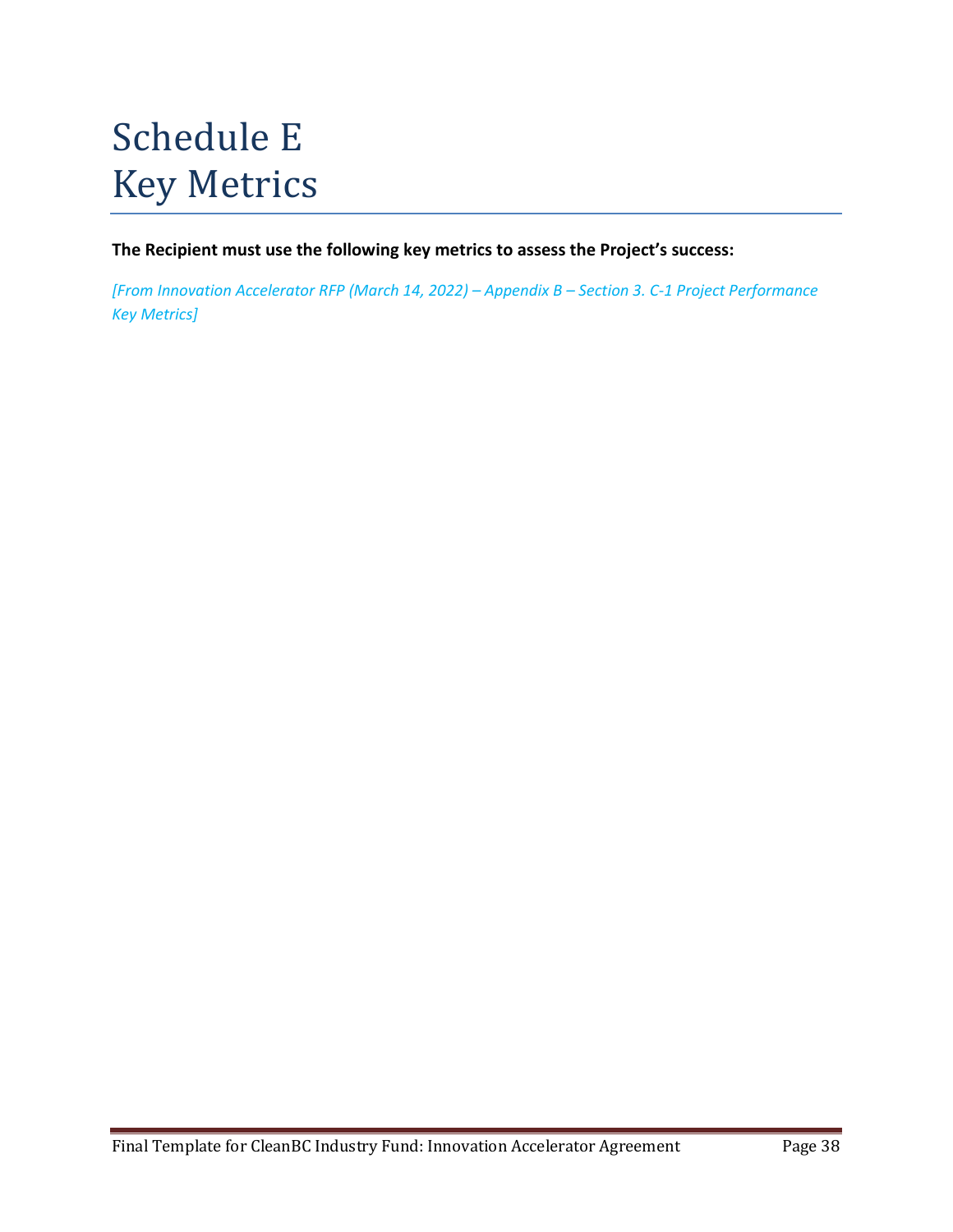# Schedule E Key Metrics

**The Recipient must use the following key metrics to assess the Project's success:**

*[From Innovation Accelerator RFP (March 14, 2022) – Appendix B – Section 3. C-1 Project Performance Key Metrics]*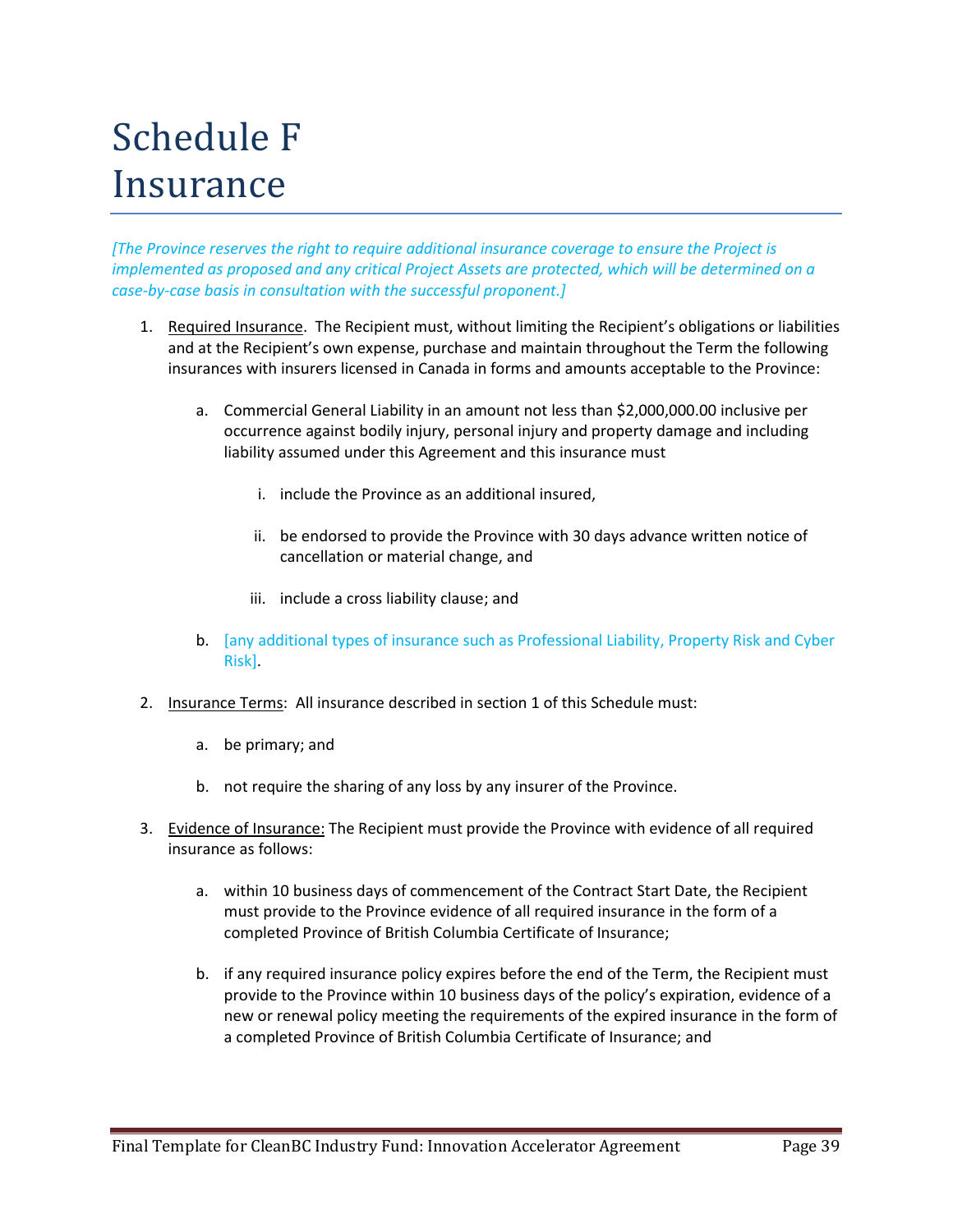# Schedule F Insurance

*[The Province reserves the right to require additional insurance coverage to ensure the Project is implemented as proposed and any critical Project Assets are protected, which will be determined on a case-by-case basis in consultation with the successful proponent.]*

- 1. Required Insurance. The Recipient must, without limiting the Recipient's obligations or liabilities and at the Recipient's own expense, purchase and maintain throughout the Term the following insurances with insurers licensed in Canada in forms and amounts acceptable to the Province:
	- a. Commercial General Liability in an amount not less than \$2,000,000.00 inclusive per occurrence against bodily injury, personal injury and property damage and including liability assumed under this Agreement and this insurance must
		- i. include the Province as an additional insured,
		- ii. be endorsed to provide the Province with 30 days advance written notice of cancellation or material change, and
		- iii. include a cross liability clause; and
	- b. [any additional types of insurance such as Professional Liability, Property Risk and Cyber Risk].
- 2. Insurance Terms: All insurance described in section 1 of this Schedule must:
	- a. be primary; and
	- b. not require the sharing of any loss by any insurer of the Province.
- 3. Evidence of Insurance: The Recipient must provide the Province with evidence of all required insurance as follows:
	- a. within 10 business days of commencement of the Contract Start Date, the Recipient must provide to the Province evidence of all required insurance in the form of a completed Province of British Columbia Certificate of Insurance;
	- b. if any required insurance policy expires before the end of the Term, the Recipient must provide to the Province within 10 business days of the policy's expiration, evidence of a new or renewal policy meeting the requirements of the expired insurance in the form of a completed Province of British Columbia Certificate of Insurance; and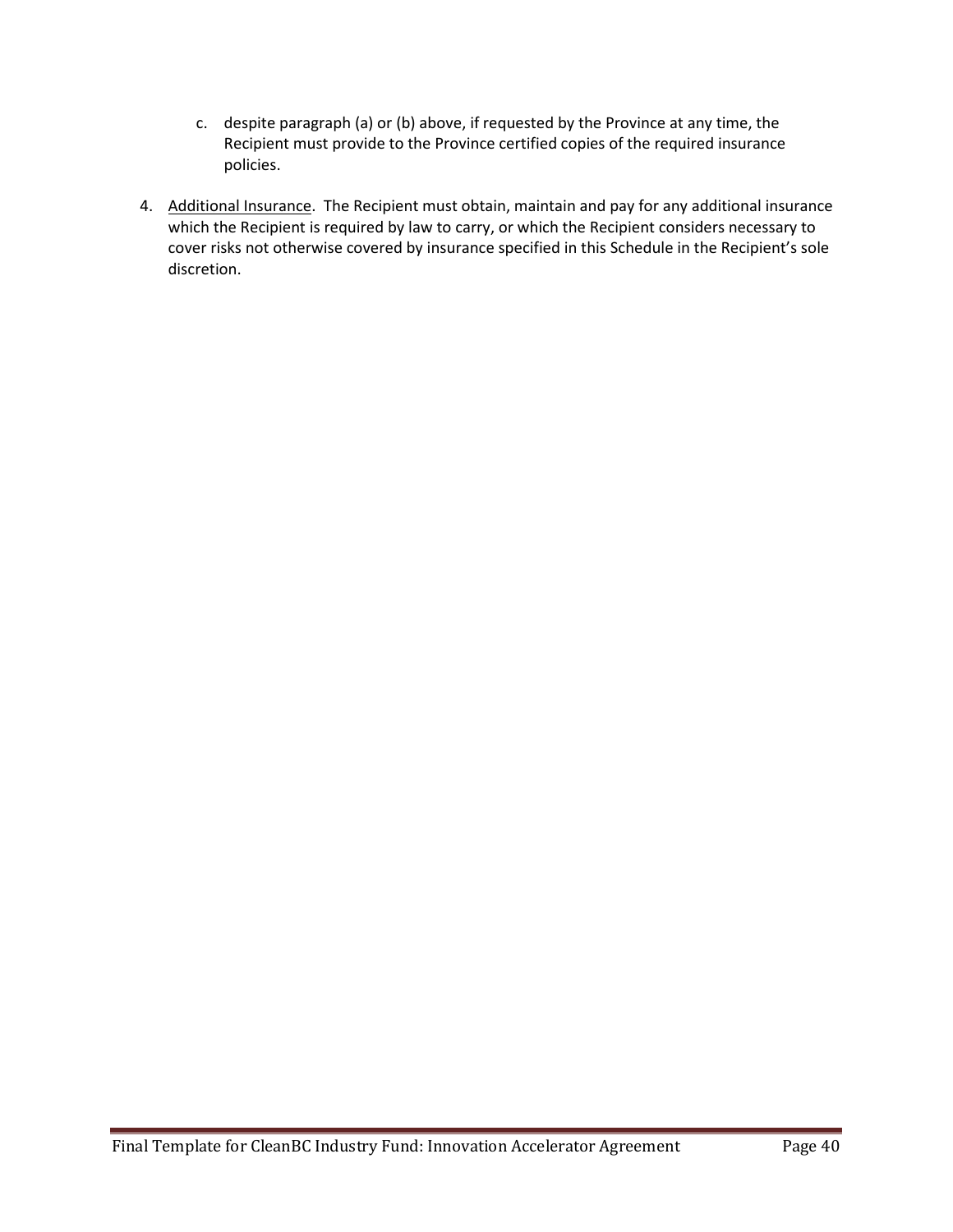- c. despite paragraph (a) or (b) above, if requested by the Province at any time, the Recipient must provide to the Province certified copies of the required insurance policies.
- 4. Additional Insurance. The Recipient must obtain, maintain and pay for any additional insurance which the Recipient is required by law to carry, or which the Recipient considers necessary to cover risks not otherwise covered by insurance specified in this Schedule in the Recipient's sole discretion.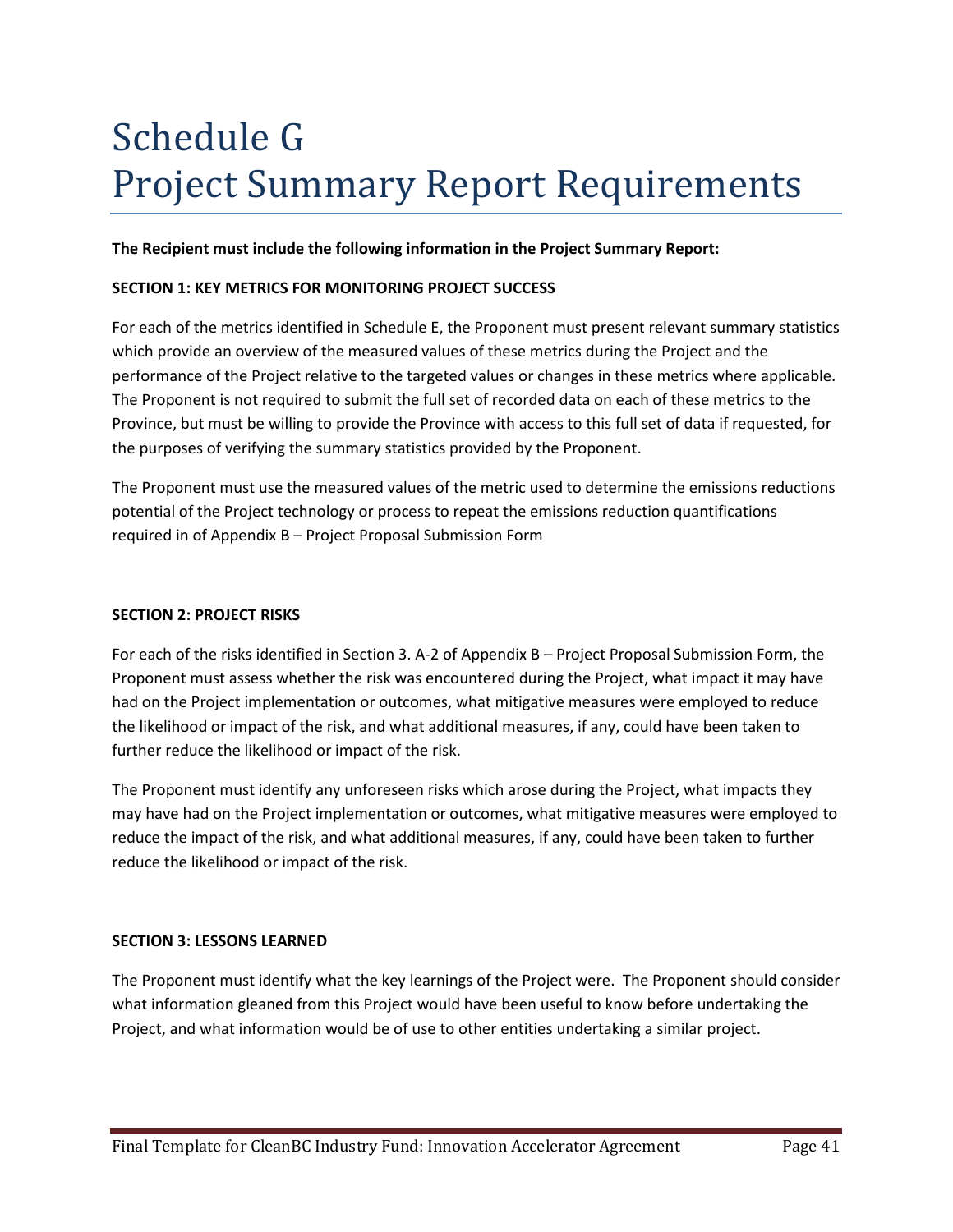# Schedule G Project Summary Report Requirements

## **The Recipient must include the following information in the Project Summary Report:**

#### **SECTION 1: KEY METRICS FOR MONITORING PROJECT SUCCESS**

For each of the metrics identified in Schedule E, the Proponent must present relevant summary statistics which provide an overview of the measured values of these metrics during the Project and the performance of the Project relative to the targeted values or changes in these metrics where applicable. The Proponent is not required to submit the full set of recorded data on each of these metrics to the Province, but must be willing to provide the Province with access to this full set of data if requested, for the purposes of verifying the summary statistics provided by the Proponent.

The Proponent must use the measured values of the metric used to determine the emissions reductions potential of the Project technology or process to repeat the emissions reduction quantifications required in of Appendix B – Project Proposal Submission Form

#### **SECTION 2: PROJECT RISKS**

For each of the risks identified in Section 3. A-2 of Appendix B – Project Proposal Submission Form, the Proponent must assess whether the risk was encountered during the Project, what impact it may have had on the Project implementation or outcomes, what mitigative measures were employed to reduce the likelihood or impact of the risk, and what additional measures, if any, could have been taken to further reduce the likelihood or impact of the risk.

The Proponent must identify any unforeseen risks which arose during the Project, what impacts they may have had on the Project implementation or outcomes, what mitigative measures were employed to reduce the impact of the risk, and what additional measures, if any, could have been taken to further reduce the likelihood or impact of the risk.

#### **SECTION 3: LESSONS LEARNED**

The Proponent must identify what the key learnings of the Project were. The Proponent should consider what information gleaned from this Project would have been useful to know before undertaking the Project, and what information would be of use to other entities undertaking a similar project.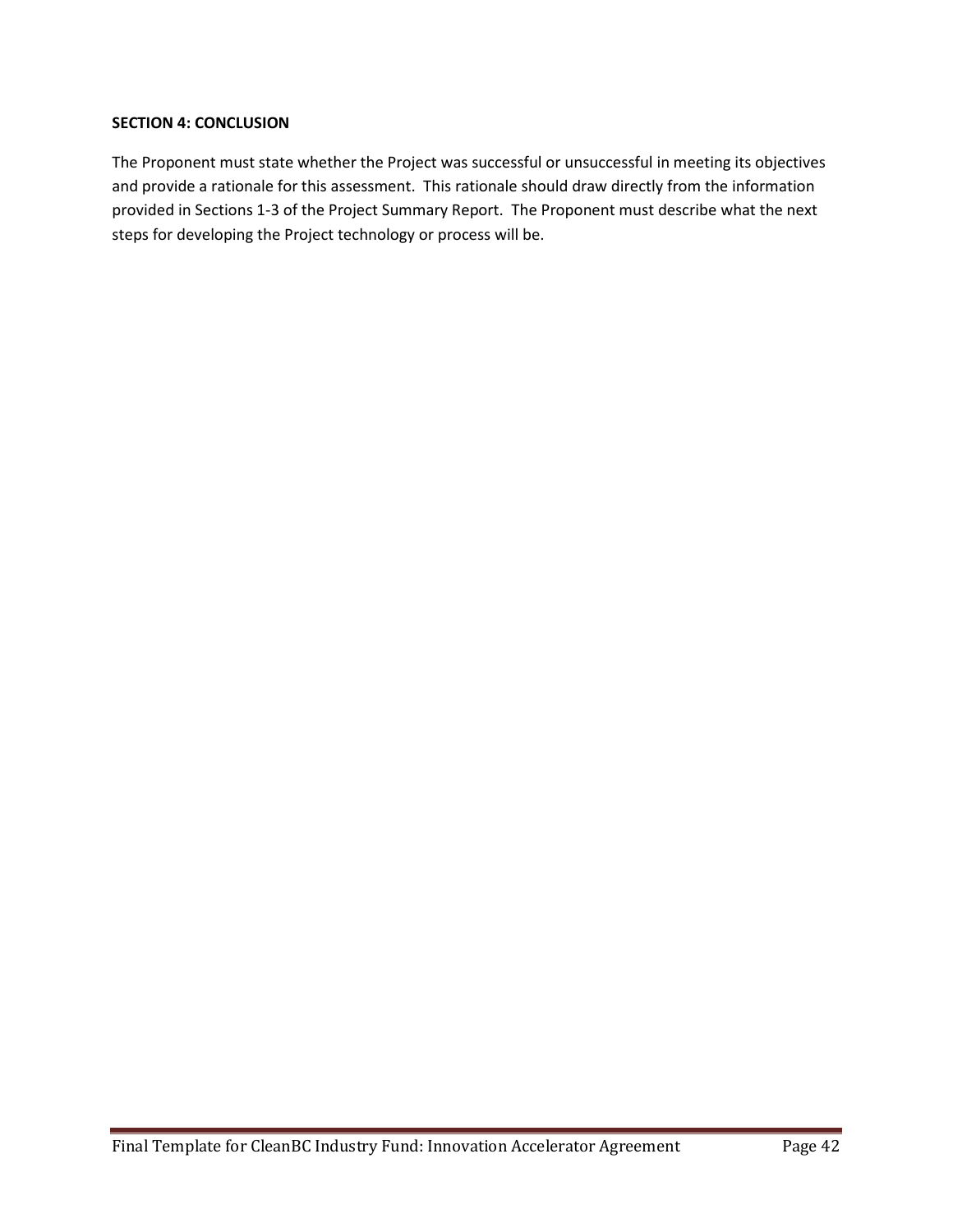### **SECTION 4: CONCLUSION**

The Proponent must state whether the Project was successful or unsuccessful in meeting its objectives and provide a rationale for this assessment. This rationale should draw directly from the information provided in Sections 1-3 of the Project Summary Report. The Proponent must describe what the next steps for developing the Project technology or process will be.